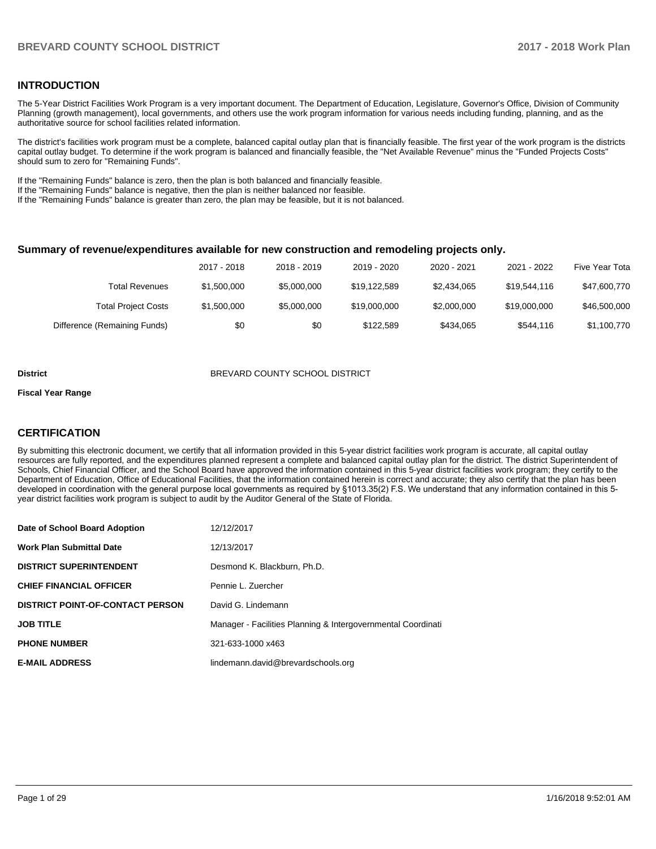#### **INTRODUCTION**

The 5-Year District Facilities Work Program is a very important document. The Department of Education, Legislature, Governor's Office, Division of Community Planning (growth management), local governments, and others use the work program information for various needs including funding, planning, and as the authoritative source for school facilities related information.

The district's facilities work program must be a complete, balanced capital outlay plan that is financially feasible. The first year of the work program is the districts capital outlay budget. To determine if the work program is balanced and financially feasible, the "Net Available Revenue" minus the "Funded Projects Costs" should sum to zero for "Remaining Funds".

If the "Remaining Funds" balance is zero, then the plan is both balanced and financially feasible.

If the "Remaining Funds" balance is negative, then the plan is neither balanced nor feasible.

If the "Remaining Funds" balance is greater than zero, the plan may be feasible, but it is not balanced.

#### **Summary of revenue/expenditures available for new construction and remodeling projects only.**

|                              | 2017 - 2018 | 2018 - 2019 | 2019 - 2020  | 2020 - 2021 | 2021 - 2022  | Five Year Tota |
|------------------------------|-------------|-------------|--------------|-------------|--------------|----------------|
| Total Revenues               | \$1,500,000 | \$5,000,000 | \$19.122.589 | \$2,434,065 | \$19,544,116 | \$47,600,770   |
| <b>Total Project Costs</b>   | \$1,500,000 | \$5,000,000 | \$19,000,000 | \$2,000,000 | \$19,000,000 | \$46,500,000   |
| Difference (Remaining Funds) | \$0         | \$0         | \$122.589    | \$434.065   | \$544.116    | \$1,100,770    |

#### **District** BREVARD COUNTY SCHOOL DISTRICT

#### **Fiscal Year Range**

### **CERTIFICATION**

By submitting this electronic document, we certify that all information provided in this 5-year district facilities work program is accurate, all capital outlay resources are fully reported, and the expenditures planned represent a complete and balanced capital outlay plan for the district. The district Superintendent of Schools, Chief Financial Officer, and the School Board have approved the information contained in this 5-year district facilities work program; they certify to the Department of Education, Office of Educational Facilities, that the information contained herein is correct and accurate; they also certify that the plan has been developed in coordination with the general purpose local governments as required by §1013.35(2) F.S. We understand that any information contained in this 5year district facilities work program is subject to audit by the Auditor General of the State of Florida.

| Date of School Board Adoption           | 12/12/2017                                                   |
|-----------------------------------------|--------------------------------------------------------------|
| <b>Work Plan Submittal Date</b>         | 12/13/2017                                                   |
| <b>DISTRICT SUPERINTENDENT</b>          | Desmond K. Blackburn, Ph.D.                                  |
| <b>CHIEF FINANCIAL OFFICER</b>          | Pennie L. Zuercher                                           |
| <b>DISTRICT POINT-OF-CONTACT PERSON</b> | David G. Lindemann                                           |
| <b>JOB TITLE</b>                        | Manager - Facilities Planning & Intergovernmental Coordinati |
| <b>PHONE NUMBER</b>                     | 321-633-1000 x463                                            |
| <b>E-MAIL ADDRESS</b>                   | lindemann.david@brevardschools.org                           |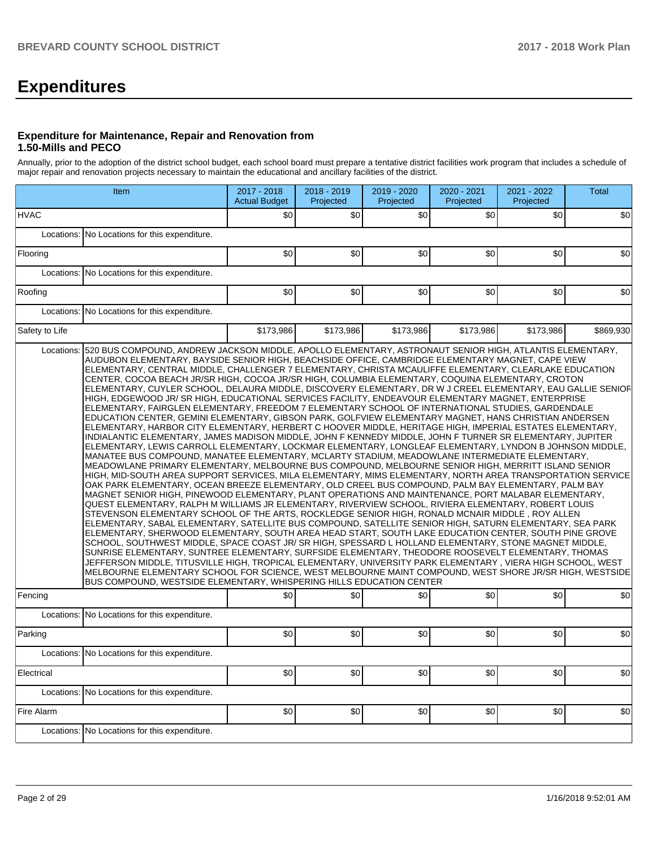# **Expenditures**

#### **Expenditure for Maintenance, Repair and Renovation from 1.50-Mills and PECO**

Annually, prior to the adoption of the district school budget, each school board must prepare a tentative district facilities work program that includes a schedule of major repair and renovation projects necessary to maintain the educational and ancillary facilities of the district.

|                | Item                                                                                                                                                                                                                                                                                                                                                                                                                                                                                                                                                                                                                                                                                                                                                                                                                                                                                                                                                                                                                                                                                                                                                                                                                                                                                                                                                                                                                                                                                                                                                                                                                                                                                                                                                                                                                                                                                                                                                                                                                                                                                                                                                                                                                                                                                                                                                                                                                                                                       | 2017 - 2018<br><b>Actual Budget</b> | 2018 - 2019<br>Projected | 2019 - 2020<br>Projected | $2020 - 2021$<br>Projected | 2021 - 2022<br>Projected | Total     |
|----------------|----------------------------------------------------------------------------------------------------------------------------------------------------------------------------------------------------------------------------------------------------------------------------------------------------------------------------------------------------------------------------------------------------------------------------------------------------------------------------------------------------------------------------------------------------------------------------------------------------------------------------------------------------------------------------------------------------------------------------------------------------------------------------------------------------------------------------------------------------------------------------------------------------------------------------------------------------------------------------------------------------------------------------------------------------------------------------------------------------------------------------------------------------------------------------------------------------------------------------------------------------------------------------------------------------------------------------------------------------------------------------------------------------------------------------------------------------------------------------------------------------------------------------------------------------------------------------------------------------------------------------------------------------------------------------------------------------------------------------------------------------------------------------------------------------------------------------------------------------------------------------------------------------------------------------------------------------------------------------------------------------------------------------------------------------------------------------------------------------------------------------------------------------------------------------------------------------------------------------------------------------------------------------------------------------------------------------------------------------------------------------------------------------------------------------------------------------------------------------|-------------------------------------|--------------------------|--------------------------|----------------------------|--------------------------|-----------|
| <b>HVAC</b>    |                                                                                                                                                                                                                                                                                                                                                                                                                                                                                                                                                                                                                                                                                                                                                                                                                                                                                                                                                                                                                                                                                                                                                                                                                                                                                                                                                                                                                                                                                                                                                                                                                                                                                                                                                                                                                                                                                                                                                                                                                                                                                                                                                                                                                                                                                                                                                                                                                                                                            | \$0                                 | \$0                      | \$0                      | \$0                        | \$0                      | \$0       |
| Locations:     | No Locations for this expenditure.                                                                                                                                                                                                                                                                                                                                                                                                                                                                                                                                                                                                                                                                                                                                                                                                                                                                                                                                                                                                                                                                                                                                                                                                                                                                                                                                                                                                                                                                                                                                                                                                                                                                                                                                                                                                                                                                                                                                                                                                                                                                                                                                                                                                                                                                                                                                                                                                                                         |                                     |                          |                          |                            |                          |           |
| Flooring       |                                                                                                                                                                                                                                                                                                                                                                                                                                                                                                                                                                                                                                                                                                                                                                                                                                                                                                                                                                                                                                                                                                                                                                                                                                                                                                                                                                                                                                                                                                                                                                                                                                                                                                                                                                                                                                                                                                                                                                                                                                                                                                                                                                                                                                                                                                                                                                                                                                                                            | \$0                                 | \$0                      | \$0                      | \$0                        | \$0                      | \$0       |
| Locations:     | No Locations for this expenditure.                                                                                                                                                                                                                                                                                                                                                                                                                                                                                                                                                                                                                                                                                                                                                                                                                                                                                                                                                                                                                                                                                                                                                                                                                                                                                                                                                                                                                                                                                                                                                                                                                                                                                                                                                                                                                                                                                                                                                                                                                                                                                                                                                                                                                                                                                                                                                                                                                                         |                                     |                          |                          |                            |                          |           |
| Roofing        |                                                                                                                                                                                                                                                                                                                                                                                                                                                                                                                                                                                                                                                                                                                                                                                                                                                                                                                                                                                                                                                                                                                                                                                                                                                                                                                                                                                                                                                                                                                                                                                                                                                                                                                                                                                                                                                                                                                                                                                                                                                                                                                                                                                                                                                                                                                                                                                                                                                                            | \$0                                 | \$0                      | \$0                      | \$0                        | \$0                      | \$0       |
|                | Locations: No Locations for this expenditure.                                                                                                                                                                                                                                                                                                                                                                                                                                                                                                                                                                                                                                                                                                                                                                                                                                                                                                                                                                                                                                                                                                                                                                                                                                                                                                                                                                                                                                                                                                                                                                                                                                                                                                                                                                                                                                                                                                                                                                                                                                                                                                                                                                                                                                                                                                                                                                                                                              |                                     |                          |                          |                            |                          |           |
| Safety to Life |                                                                                                                                                                                                                                                                                                                                                                                                                                                                                                                                                                                                                                                                                                                                                                                                                                                                                                                                                                                                                                                                                                                                                                                                                                                                                                                                                                                                                                                                                                                                                                                                                                                                                                                                                                                                                                                                                                                                                                                                                                                                                                                                                                                                                                                                                                                                                                                                                                                                            | \$173,986                           | \$173,986                | \$173,986                | \$173,986                  | \$173,986                | \$869,930 |
|                | ELEMENTARY, CENTRAL MIDDLE, CHALLENGER 7 ELEMENTARY, CHRISTA MCAULIFFE ELEMENTARY, CLEARLAKE EDUCATION<br>CENTER, COCOA BEACH JR/SR HIGH, COCOA JR/SR HIGH, COLUMBIA ELEMENTARY, COQUINA ELEMENTARY, CROTON<br>ELEMENTARY, CUYLER SCHOOL, DELAURA MIDDLE, DISCOVERY ELEMENTARY, DR W J CREEL ELEMENTARY, EAU GALLIE SENIOF<br>HIGH, EDGEWOOD JR/SR HIGH, EDUCATIONAL SERVICES FACILITY, ENDEAVOUR ELEMENTARY MAGNET, ENTERPRISE<br>ELEMENTARY, FAIRGLEN ELEMENTARY, FREEDOM 7 ELEMENTARY SCHOOL OF INTERNATIONAL STUDIES, GARDENDALE<br>EDUCATION CENTER, GEMINI ELEMENTARY, GIBSON PARK, GOLFVIEW ELEMENTARY MAGNET, HANS CHRISTIAN ANDERSEN<br>ELEMENTARY, HARBOR CITY ELEMENTARY, HERBERT C HOOVER MIDDLE, HERITAGE HIGH, IMPERIAL ESTATES ELEMENTARY,<br>INDIALANTIC ELEMENTARY, JAMES MADISON MIDDLE, JOHN F KENNEDY MIDDLE, JOHN F TURNER SR ELEMENTARY, JUPITER<br>ELEMENTARY, LEWIS CARROLL ELEMENTARY, LOCKMAR ELEMENTARY, LONGLEAF ELEMENTARY, LYNDON B JOHNSON MIDDLE,<br>MANATEE BUS COMPOUND, MANATEE ELEMENTARY, MCLARTY STADIUM, MEADOWLANE INTERMEDIATE ELEMENTARY,<br>MEADOWLANE PRIMARY ELEMENTARY, MELBOURNE BUS COMPOUND, MELBOURNE SENIOR HIGH, MERRITT ISLAND SENIOR<br>HIGH, MID-SOUTH AREA SUPPORT SERVICES, MILA ELEMENTARY, MIMS ELEMENTARY, NORTH AREA TRANSPORTATION SERVICE<br>OAK PARK ELEMENTARY, OCEAN BREEZE ELEMENTARY, OLD CREEL BUS COMPOUND, PALM BAY ELEMENTARY, PALM BAY<br>MAGNET SENIOR HIGH, PINEWOOD ELEMENTARY, PLANT OPERATIONS AND MAINTENANCE, PORT MALABAR ELEMENTARY,<br>QUEST ELEMENTARY, RALPH M WILLIAMS JR ELEMENTARY, RIVERVIEW SCHOOL, RIVIERA ELEMENTARY, ROBERT LOUIS<br>STEVENSON ELEMENTARY SCHOOL OF THE ARTS, ROCKLEDGE SENIOR HIGH, RONALD MCNAIR MIDDLE , ROY ALLEN<br>ELEMENTARY, SABAL ELEMENTARY, SATELLITE BUS COMPOUND, SATELLITE SENIOR HIGH, SATURN ELEMENTARY, SEA PARK<br>ELEMENTARY, SHERWOOD ELEMENTARY, SOUTH AREA HEAD START, SOUTH LAKE EDUCATION CENTER, SOUTH PINE GROVE<br>SCHOOL, SOUTHWEST MIDDLE, SPACE COAST JR/ SR HIGH, SPESSARD L HOLLAND ELEMENTARY, STONE MAGNET MIDDLE,<br>SUNRISE ELEMENTARY, SUNTREE ELEMENTARY, SURFSIDE ELEMENTARY, THEODORE ROOSEVELT ELEMENTARY, THOMAS<br>JEFFERSON MIDDLE, TITUSVILLE HIGH, TROPICAL ELEMENTARY, UNIVERSITY PARK ELEMENTARY , VIERA HIGH SCHOOL, WEST<br>MELBOURNE ELEMENTARY SCHOOL FOR SCIENCE, WEST MELBOURNE MAINT COMPOUND, WEST SHORE JR/SR HIGH, WESTSIDE<br>BUS COMPOUND, WESTSIDE ELEMENTARY, WHISPERING HILLS EDUCATION CENTER |                                     |                          |                          |                            |                          |           |
| Fencing        |                                                                                                                                                                                                                                                                                                                                                                                                                                                                                                                                                                                                                                                                                                                                                                                                                                                                                                                                                                                                                                                                                                                                                                                                                                                                                                                                                                                                                                                                                                                                                                                                                                                                                                                                                                                                                                                                                                                                                                                                                                                                                                                                                                                                                                                                                                                                                                                                                                                                            | \$0                                 | \$0                      | \$0                      | \$0                        | \$0                      | \$0       |
| Locations:     | No Locations for this expenditure.                                                                                                                                                                                                                                                                                                                                                                                                                                                                                                                                                                                                                                                                                                                                                                                                                                                                                                                                                                                                                                                                                                                                                                                                                                                                                                                                                                                                                                                                                                                                                                                                                                                                                                                                                                                                                                                                                                                                                                                                                                                                                                                                                                                                                                                                                                                                                                                                                                         |                                     |                          |                          |                            |                          |           |
| Parking        |                                                                                                                                                                                                                                                                                                                                                                                                                                                                                                                                                                                                                                                                                                                                                                                                                                                                                                                                                                                                                                                                                                                                                                                                                                                                                                                                                                                                                                                                                                                                                                                                                                                                                                                                                                                                                                                                                                                                                                                                                                                                                                                                                                                                                                                                                                                                                                                                                                                                            | \$0                                 | \$0                      | \$0                      | \$0                        | \$0                      | \$0       |
| Locations:     | No Locations for this expenditure.                                                                                                                                                                                                                                                                                                                                                                                                                                                                                                                                                                                                                                                                                                                                                                                                                                                                                                                                                                                                                                                                                                                                                                                                                                                                                                                                                                                                                                                                                                                                                                                                                                                                                                                                                                                                                                                                                                                                                                                                                                                                                                                                                                                                                                                                                                                                                                                                                                         |                                     |                          |                          |                            |                          |           |
| Electrical     |                                                                                                                                                                                                                                                                                                                                                                                                                                                                                                                                                                                                                                                                                                                                                                                                                                                                                                                                                                                                                                                                                                                                                                                                                                                                                                                                                                                                                                                                                                                                                                                                                                                                                                                                                                                                                                                                                                                                                                                                                                                                                                                                                                                                                                                                                                                                                                                                                                                                            | \$0                                 | \$0                      | \$0                      | \$0                        | \$0                      | \$0       |
| Locations:     | No Locations for this expenditure.                                                                                                                                                                                                                                                                                                                                                                                                                                                                                                                                                                                                                                                                                                                                                                                                                                                                                                                                                                                                                                                                                                                                                                                                                                                                                                                                                                                                                                                                                                                                                                                                                                                                                                                                                                                                                                                                                                                                                                                                                                                                                                                                                                                                                                                                                                                                                                                                                                         |                                     |                          |                          |                            |                          |           |
| Fire Alarm     |                                                                                                                                                                                                                                                                                                                                                                                                                                                                                                                                                                                                                                                                                                                                                                                                                                                                                                                                                                                                                                                                                                                                                                                                                                                                                                                                                                                                                                                                                                                                                                                                                                                                                                                                                                                                                                                                                                                                                                                                                                                                                                                                                                                                                                                                                                                                                                                                                                                                            | \$0                                 | \$0                      | \$0                      | \$0                        | \$0                      | \$0       |
|                | Locations: No Locations for this expenditure.                                                                                                                                                                                                                                                                                                                                                                                                                                                                                                                                                                                                                                                                                                                                                                                                                                                                                                                                                                                                                                                                                                                                                                                                                                                                                                                                                                                                                                                                                                                                                                                                                                                                                                                                                                                                                                                                                                                                                                                                                                                                                                                                                                                                                                                                                                                                                                                                                              |                                     |                          |                          |                            |                          |           |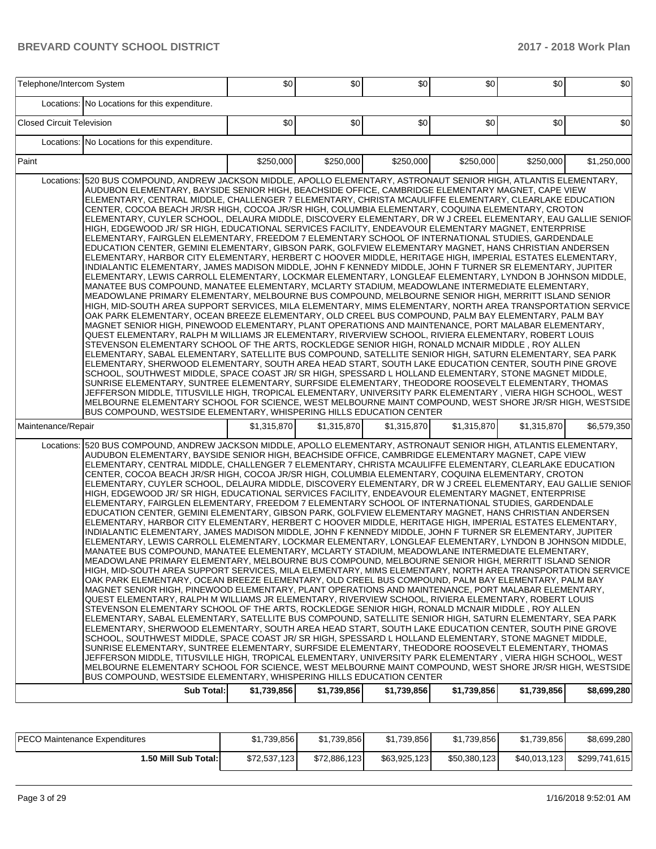| Locations: No Locations for this expenditure.<br>\$0<br>\$0<br>\$0<br>\$0<br>\$0<br>\$0<br>Locations: No Locations for this expenditure.<br>\$250,000<br>\$250,000<br>\$250,000<br>\$250,000<br>\$250,000<br>\$1,250,000<br>Locations: 520 BUS COMPOUND, ANDREW JACKSON MIDDLE, APOLLO ELEMENTARY, ASTRONAUT SENIOR HIGH, ATLANTIS ELEMENTARY,<br>AUDUBON ELEMENTARY, BAYSIDE SENIOR HIGH, BEACHSIDE OFFICE, CAMBRIDGE ELEMENTARY MAGNET, CAPE VIEW<br>ELEMENTARY, CENTRAL MIDDLE, CHALLENGER 7 ELEMENTARY, CHRISTA MCAULIFFE ELEMENTARY, CLEARLAKE EDUCATION<br>CENTER, COCOA BEACH JR/SR HIGH, COCOA JR/SR HIGH, COLUMBIA ELEMENTARY, COQUINA ELEMENTARY, CROTON<br>ELEMENTARY, CUYLER SCHOOL, DELAURA MIDDLE, DISCOVERY ELEMENTARY, DR W J CREEL ELEMENTARY, EAU GALLIE SENIOF<br>HIGH, EDGEWOOD JR/ SR HIGH, EDUCATIONAL SERVICES FACILITY, ENDEAVOUR ELEMENTARY MAGNET, ENTERPRISE<br>ELEMENTARY, FAIRGLEN ELEMENTARY, FREEDOM 7 ELEMENTARY SCHOOL OF INTERNATIONAL STUDIES, GARDENDALE<br>EDUCATION CENTER, GEMINI ELEMENTARY, GIBSON PARK, GOLFVIEW ELEMENTARY MAGNET, HANS CHRISTIAN ANDERSEN<br>ELEMENTARY, HARBOR CITY ELEMENTARY, HERBERT C HOOVER MIDDLE, HERITAGE HIGH, IMPERIAL ESTATES ELEMENTARY,<br>INDIALANTIC ELEMENTARY, JAMES MADISON MIDDLE, JOHN F KENNEDY MIDDLE, JOHN F TURNER SR ELEMENTARY, JUPITER<br>ELEMENTARY, LEWIS CARROLL ELEMENTARY, LOCKMAR ELEMENTARY, LONGLEAF ELEMENTARY, LYNDON B JOHNSON MIDDLE,<br>MANATEE BUS COMPOUND, MANATEE ELEMENTARY, MCLARTY STADIUM, MEADOWLANE INTERMEDIATE ELEMENTARY,<br>MEADOWLANE PRIMARY ELEMENTARY, MELBOURNE BUS COMPOUND, MELBOURNE SENIOR HIGH, MERRITT ISLAND SENIOR<br>HIGH, MID-SOUTH AREA SUPPORT SERVICES, MILA ELEMENTARY, MIMS ELEMENTARY, NORTH AREA TRANSPORTATION SERVICE<br>OAK PARK ELEMENTARY, OCEAN BREEZE ELEMENTARY, OLD CREEL BUS COMPOUND, PALM BAY ELEMENTARY, PALM BAY<br>MAGNET SENIOR HIGH, PINEWOOD ELEMENTARY, PLANT OPERATIONS AND MAINTENANCE, PORT MALABAR ELEMENTARY,<br>QUEST ELEMENTARY, RALPH M WILLIAMS JR ELEMENTARY, RIVERVIEW SCHOOL, RIVIERA ELEMENTARY, ROBERT LOUIS<br>STEVENSON ELEMENTARY SCHOOL OF THE ARTS, ROCKLEDGE SENIOR HIGH, RONALD MCNAIR MIDDLE, ROY ALLEN<br>ELEMENTARY, SABAL ELEMENTARY, SATELLITE BUS COMPOUND, SATELLITE SENIOR HIGH, SATURN ELEMENTARY, SEA PARK<br>ELEMENTARY, SHERWOOD ELEMENTARY, SOUTH AREA HEAD START, SOUTH LAKE EDUCATION CENTER, SOUTH PINE GROVE<br>SCHOOL, SOUTHWEST MIDDLE, SPACE COAST JR/ SR HIGH, SPESSARD L HOLLAND ELEMENTARY, STONE MAGNET MIDDLE,<br>SUNRISE ELEMENTARY, SUNTREE ELEMENTARY, SURFSIDE ELEMENTARY, THEODORE ROOSEVELT ELEMENTARY, THOMAS<br>JEFFERSON MIDDLE, TITUSVILLE HIGH, TROPICAL ELEMENTARY, UNIVERSITY PARK ELEMENTARY , VIERA HIGH SCHOOL, WEST<br>MELBOURNE ELEMENTARY SCHOOL FOR SCIENCE, WEST MELBOURNE MAINT COMPOUND, WEST SHORE JR/SR HIGH, WESTSIDE<br>BUS COMPOUND, WESTSIDE ELEMENTARY, WHISPERING HILLS EDUCATION CENTER<br>\$1,315,870<br>\$1,315,870<br>\$1,315,870<br>\$1,315,870<br>\$1,315,870<br>\$6,579,350<br>Locations: 520 BUS COMPOUND, ANDREW JACKSON MIDDLE, APOLLO ELEMENTARY, ASTRONAUT SENIOR HIGH, ATLANTIS ELEMENTARY,<br>AUDUBON ELEMENTARY, BAYSIDE SENIOR HIGH, BEACHSIDE OFFICE, CAMBRIDGE ELEMENTARY MAGNET, CAPE VIEW<br>ELEMENTARY, CENTRAL MIDDLE, CHALLENGER 7 ELEMENTARY, CHRISTA MCAULIFFE ELEMENTARY, CLEARLAKE EDUCATION<br>CENTER, COCOA BEACH JR/SR HIGH, COCOA JR/SR HIGH, COLUMBIA ELEMENTARY, COQUINA ELEMENTARY, CROTON<br>ELEMENTARY, CUYLER SCHOOL, DELAURA MIDDLE, DISCOVERY ELEMENTARY, DR W J CREEL ELEMENTARY, EAU GALLIE SENIOF<br>HIGH, EDGEWOOD JR/ SR HIGH, EDUCATIONAL SERVICES FACILITY, ENDEAVOUR ELEMENTARY MAGNET, ENTERPRISE<br>ELEMENTARY, FAIRGLEN ELEMENTARY, FREEDOM 7 ELEMENTARY SCHOOL OF INTERNATIONAL STUDIES, GARDENDALE<br>EDUCATION CENTER, GEMINI ELEMENTARY, GIBSON PARK, GOLFVIEW ELEMENTARY MAGNET, HANS CHRISTIAN ANDERSEN<br>ELEMENTARY, HARBOR CITY ELEMENTARY, HERBERT C HOOVER MIDDLE, HERITAGE HIGH, IMPERIAL ESTATES ELEMENTARY,<br>INDIALANTIC ELEMENTARY, JAMES MADISON MIDDLE, JOHN F KENNEDY MIDDLE, JOHN F TURNER SR ELEMENTARY, JUPITER<br>ELEMENTARY, LEWIS CARROLL ELEMENTARY, LOCKMAR ELEMENTARY, LONGLEAF ELEMENTARY, LYNDON B JOHNSON MIDDLE,<br>MANATEE BUS COMPOUND, MANATEE ELEMENTARY, MCLARTY STADIUM, MEADOWLANE INTERMEDIATE ELEMENTARY,<br>MEADOWLANE PRIMARY ELEMENTARY, MELBOURNE BUS COMPOUND, MELBOURNE SENIOR HIGH, MERRITT ISLAND SENIOR<br>HIGH, MID-SOUTH AREA SUPPORT SERVICES, MILA ELEMENTARY, MIMS ELEMENTARY, NORTH AREA TRANSPORTATION SERVICE<br>OAK PARK ELEMENTARY, OCEAN BREEZE ELEMENTARY, OLD CREEL BUS COMPOUND, PALM BAY ELEMENTARY, PALM BAY<br>MAGNET SENIOR HIGH, PINEWOOD ELEMENTARY, PLANT OPERATIONS AND MAINTENANCE, PORT MALABAR ELEMENTARY,<br>QUEST ELEMENTARY, RALPH M WILLIAMS JR ELEMENTARY, RIVERVIEW SCHOOL, RIVIERA ELEMENTARY, ROBERT LOUIS<br>STEVENSON ELEMENTARY SCHOOL OF THE ARTS, ROCKLEDGE SENIOR HIGH, RONALD MCNAIR MIDDLE, ROY ALLEN<br>ELEMENTARY, SABAL ELEMENTARY, SATELLITE BUS COMPOUND, SATELLITE SENIOR HIGH, SATURN ELEMENTARY, SEA PARK<br>ELEMENTARY, SHERWOOD ELEMENTARY, SOUTH AREA HEAD START, SOUTH LAKE EDUCATION CENTER, SOUTH PINE GROVE<br>SCHOOL, SOUTHWEST MIDDLE, SPACE COAST JR/ SR HIGH, SPESSARD L HOLLAND ELEMENTARY, STONE MAGNET MIDDLE,<br>SUNRISE ELEMENTARY, SUNTREE ELEMENTARY, SURFSIDE ELEMENTARY, THEODORE ROOSEVELT ELEMENTARY, THOMAS<br>JEFFERSON MIDDLE, TITUSVILLE HIGH, TROPICAL ELEMENTARY, UNIVERSITY PARK ELEMENTARY, VIERA HIGH SCHOOL, WEST<br>MELBOURNE ELEMENTARY SCHOOL FOR SCIENCE, WEST MELBOURNE MAINT COMPOUND, WEST SHORE JR/SR HIGH, WESTSIDE<br>BUS COMPOUND, WESTSIDE ELEMENTARY, WHISPERING HILLS EDUCATION CENTER | Telephone/Intercom System |            | \$0         | \$0         | \$0         | \$0         | \$0         | \$0         |
|-------------------------------------------------------------------------------------------------------------------------------------------------------------------------------------------------------------------------------------------------------------------------------------------------------------------------------------------------------------------------------------------------------------------------------------------------------------------------------------------------------------------------------------------------------------------------------------------------------------------------------------------------------------------------------------------------------------------------------------------------------------------------------------------------------------------------------------------------------------------------------------------------------------------------------------------------------------------------------------------------------------------------------------------------------------------------------------------------------------------------------------------------------------------------------------------------------------------------------------------------------------------------------------------------------------------------------------------------------------------------------------------------------------------------------------------------------------------------------------------------------------------------------------------------------------------------------------------------------------------------------------------------------------------------------------------------------------------------------------------------------------------------------------------------------------------------------------------------------------------------------------------------------------------------------------------------------------------------------------------------------------------------------------------------------------------------------------------------------------------------------------------------------------------------------------------------------------------------------------------------------------------------------------------------------------------------------------------------------------------------------------------------------------------------------------------------------------------------------------------------------------------------------------------------------------------------------------------------------------------------------------------------------------------------------------------------------------------------------------------------------------------------------------------------------------------------------------------------------------------------------------------------------------------------------------------------------------------------------------------------------------------------------------------------------------------------------------------------------------------------------------------------------------------------------------------------------------------------------------------------------------------------------------------------------------------------------------------------------------------------------------------------------------------------------------------------------------------------------------------------------------------------------------------------------------------------------------------------------------------------------------------------------------------------------------------------------------------------------------------------------------------------------------------------------------------------------------------------------------------------------------------------------------------------------------------------------------------------------------------------------------------------------------------------------------------------------------------------------------------------------------------------------------------------------------------------------------------------------------------------------------------------------------------------------------------------------------------------------------------------------------------------------------------------------------------------------------------------------------------------------------------------------------------------------------------------------------------------------------------------------------------------------------------------------------------------------------------------------------------------------------------------------------------------------------------------------------------------------------------------------------------------------------------------------------------------------------------------------------------------------------------------------------------------------------------------------------------------------------------------------------------------------------------------------------------------------------------------------------------------------------------------------------------------------------------------------------------------------------------------------------------------------------------------------------------------------------------------------------------------------------------------------------------------------------------------------------------------------------------------------------------------------------------------------------------------------------------------------------|---------------------------|------------|-------------|-------------|-------------|-------------|-------------|-------------|
| <b>Closed Circuit Television</b><br>Paint<br>Maintenance/Repair                                                                                                                                                                                                                                                                                                                                                                                                                                                                                                                                                                                                                                                                                                                                                                                                                                                                                                                                                                                                                                                                                                                                                                                                                                                                                                                                                                                                                                                                                                                                                                                                                                                                                                                                                                                                                                                                                                                                                                                                                                                                                                                                                                                                                                                                                                                                                                                                                                                                                                                                                                                                                                                                                                                                                                                                                                                                                                                                                                                                                                                                                                                                                                                                                                                                                                                                                                                                                                                                                                                                                                                                                                                                                                                                                                                                                                                                                                                                                                                                                                                                                                                                                                                                                                                                                                                                                                                                                                                                                                                                                                                                                                                                                                                                                                                                                                                                                                                                                                                                                                                                                                                                                                                                                                                                                                                                                                                                                                                                                                                                                                                                                                                                     |                           |            |             |             |             |             |             |             |
|                                                                                                                                                                                                                                                                                                                                                                                                                                                                                                                                                                                                                                                                                                                                                                                                                                                                                                                                                                                                                                                                                                                                                                                                                                                                                                                                                                                                                                                                                                                                                                                                                                                                                                                                                                                                                                                                                                                                                                                                                                                                                                                                                                                                                                                                                                                                                                                                                                                                                                                                                                                                                                                                                                                                                                                                                                                                                                                                                                                                                                                                                                                                                                                                                                                                                                                                                                                                                                                                                                                                                                                                                                                                                                                                                                                                                                                                                                                                                                                                                                                                                                                                                                                                                                                                                                                                                                                                                                                                                                                                                                                                                                                                                                                                                                                                                                                                                                                                                                                                                                                                                                                                                                                                                                                                                                                                                                                                                                                                                                                                                                                                                                                                                                                                     |                           |            |             |             |             |             |             |             |
|                                                                                                                                                                                                                                                                                                                                                                                                                                                                                                                                                                                                                                                                                                                                                                                                                                                                                                                                                                                                                                                                                                                                                                                                                                                                                                                                                                                                                                                                                                                                                                                                                                                                                                                                                                                                                                                                                                                                                                                                                                                                                                                                                                                                                                                                                                                                                                                                                                                                                                                                                                                                                                                                                                                                                                                                                                                                                                                                                                                                                                                                                                                                                                                                                                                                                                                                                                                                                                                                                                                                                                                                                                                                                                                                                                                                                                                                                                                                                                                                                                                                                                                                                                                                                                                                                                                                                                                                                                                                                                                                                                                                                                                                                                                                                                                                                                                                                                                                                                                                                                                                                                                                                                                                                                                                                                                                                                                                                                                                                                                                                                                                                                                                                                                                     |                           |            |             |             |             |             |             |             |
|                                                                                                                                                                                                                                                                                                                                                                                                                                                                                                                                                                                                                                                                                                                                                                                                                                                                                                                                                                                                                                                                                                                                                                                                                                                                                                                                                                                                                                                                                                                                                                                                                                                                                                                                                                                                                                                                                                                                                                                                                                                                                                                                                                                                                                                                                                                                                                                                                                                                                                                                                                                                                                                                                                                                                                                                                                                                                                                                                                                                                                                                                                                                                                                                                                                                                                                                                                                                                                                                                                                                                                                                                                                                                                                                                                                                                                                                                                                                                                                                                                                                                                                                                                                                                                                                                                                                                                                                                                                                                                                                                                                                                                                                                                                                                                                                                                                                                                                                                                                                                                                                                                                                                                                                                                                                                                                                                                                                                                                                                                                                                                                                                                                                                                                                     |                           |            |             |             |             |             |             |             |
|                                                                                                                                                                                                                                                                                                                                                                                                                                                                                                                                                                                                                                                                                                                                                                                                                                                                                                                                                                                                                                                                                                                                                                                                                                                                                                                                                                                                                                                                                                                                                                                                                                                                                                                                                                                                                                                                                                                                                                                                                                                                                                                                                                                                                                                                                                                                                                                                                                                                                                                                                                                                                                                                                                                                                                                                                                                                                                                                                                                                                                                                                                                                                                                                                                                                                                                                                                                                                                                                                                                                                                                                                                                                                                                                                                                                                                                                                                                                                                                                                                                                                                                                                                                                                                                                                                                                                                                                                                                                                                                                                                                                                                                                                                                                                                                                                                                                                                                                                                                                                                                                                                                                                                                                                                                                                                                                                                                                                                                                                                                                                                                                                                                                                                                                     |                           |            |             |             |             |             |             |             |
|                                                                                                                                                                                                                                                                                                                                                                                                                                                                                                                                                                                                                                                                                                                                                                                                                                                                                                                                                                                                                                                                                                                                                                                                                                                                                                                                                                                                                                                                                                                                                                                                                                                                                                                                                                                                                                                                                                                                                                                                                                                                                                                                                                                                                                                                                                                                                                                                                                                                                                                                                                                                                                                                                                                                                                                                                                                                                                                                                                                                                                                                                                                                                                                                                                                                                                                                                                                                                                                                                                                                                                                                                                                                                                                                                                                                                                                                                                                                                                                                                                                                                                                                                                                                                                                                                                                                                                                                                                                                                                                                                                                                                                                                                                                                                                                                                                                                                                                                                                                                                                                                                                                                                                                                                                                                                                                                                                                                                                                                                                                                                                                                                                                                                                                                     |                           | Sub Total: | \$1,739,856 | \$1,739,856 | \$1,739,856 | \$1,739,856 | \$1,739,856 | \$8,699,280 |

| <b>PECO Maintenance Expenditures</b> | \$1.739.856  | \$1.739.856  | \$1.739.856  | \$1.739.856  | \$1.739.856  | \$8,699,280   |
|--------------------------------------|--------------|--------------|--------------|--------------|--------------|---------------|
| I.50 Mill Sub Total: I               | \$72,537,123 | \$72.886.123 | \$63.925.123 | \$50,380,123 | \$40.013.123 | \$299.741.615 |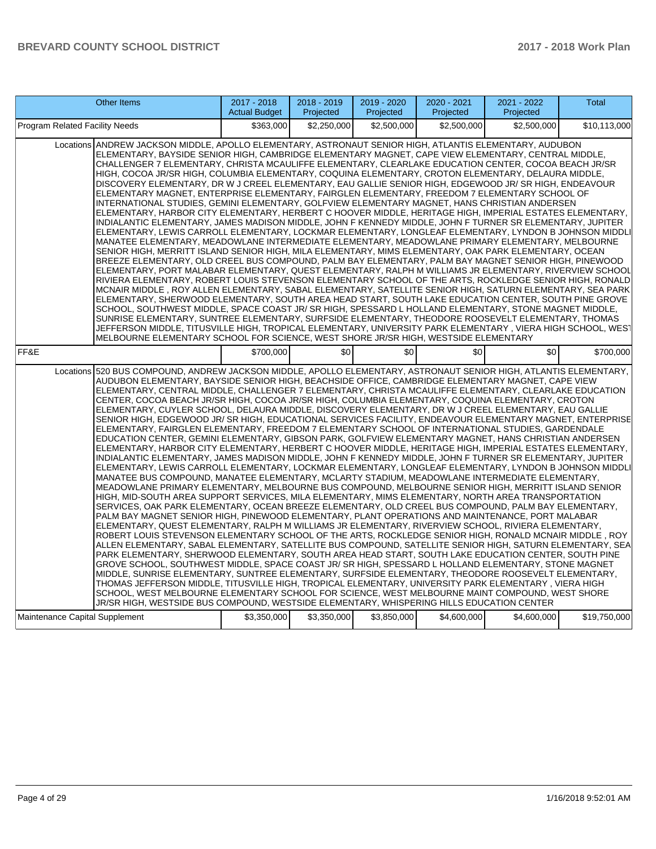| <b>Other Items</b>                                                                                                                                                                                                                                                                                                                                                                                                                                                                                                                                                                                                                                                                                                                                                                                                                                                                                                                                                                                                                                                                                                                                                                                                                                                                                                                                                                                                                                                                                                                                                                                                                                                                                                                                                                                                                                                                                                                                                                                                                                                                                                                                                                                                                                                                                                                                                                                                                                                                                                                                                                                                                                                                                   | 2017 - 2018<br><b>Actual Budget</b> | 2018 - 2019<br>Projected | 2019 - 2020<br>Projected | 2020 - 2021<br>Projected | 2021 - 2022<br>Projected | <b>Total</b> |  |  |  |
|------------------------------------------------------------------------------------------------------------------------------------------------------------------------------------------------------------------------------------------------------------------------------------------------------------------------------------------------------------------------------------------------------------------------------------------------------------------------------------------------------------------------------------------------------------------------------------------------------------------------------------------------------------------------------------------------------------------------------------------------------------------------------------------------------------------------------------------------------------------------------------------------------------------------------------------------------------------------------------------------------------------------------------------------------------------------------------------------------------------------------------------------------------------------------------------------------------------------------------------------------------------------------------------------------------------------------------------------------------------------------------------------------------------------------------------------------------------------------------------------------------------------------------------------------------------------------------------------------------------------------------------------------------------------------------------------------------------------------------------------------------------------------------------------------------------------------------------------------------------------------------------------------------------------------------------------------------------------------------------------------------------------------------------------------------------------------------------------------------------------------------------------------------------------------------------------------------------------------------------------------------------------------------------------------------------------------------------------------------------------------------------------------------------------------------------------------------------------------------------------------------------------------------------------------------------------------------------------------------------------------------------------------------------------------------------------------|-------------------------------------|--------------------------|--------------------------|--------------------------|--------------------------|--------------|--|--|--|
| Program Related Facility Needs                                                                                                                                                                                                                                                                                                                                                                                                                                                                                                                                                                                                                                                                                                                                                                                                                                                                                                                                                                                                                                                                                                                                                                                                                                                                                                                                                                                                                                                                                                                                                                                                                                                                                                                                                                                                                                                                                                                                                                                                                                                                                                                                                                                                                                                                                                                                                                                                                                                                                                                                                                                                                                                                       | \$363,000                           | \$2,250,000              | \$2,500,000              | \$2,500,000              | \$2,500,000              | \$10,113,000 |  |  |  |
| ANDREW JACKSON MIDDLE, APOLLO ELEMENTARY, ASTRONAUT SENIOR HIGH, ATLANTIS ELEMENTARY, AUDUBON<br>Locations<br>ELEMENTARY, BAYSIDE SENIOR HIGH, CAMBRIDGE ELEMENTARY MAGNET, CAPE VIEW ELEMENTARY, CENTRAL MIDDLE,<br>CHALLENGER 7 ELEMENTARY, CHRISTA MCAULIFFE ELEMENTARY, CLEARLAKE EDUCATION CENTER, COCOA BEACH JR/SR<br>HIGH, COCOA JR/SR HIGH, COLUMBIA ELEMENTARY, COQUINA ELEMENTARY, CROTON ELEMENTARY, DELAURA MIDDLE,<br>DISCOVERY ELEMENTARY, DR W J CREEL ELEMENTARY, EAU GALLIE SENIOR HIGH, EDGEWOOD JR/ SR HIGH, ENDEAVOUR<br>ELEMENTARY MAGNET, ENTERPRISE ELEMENTARY, FAIRGLEN ELEMENTARY, FREEDOM 7 ELEMENTARY SCHOOL OF<br>INTERNATIONAL STUDIES, GEMINI ELEMENTARY, GOLFVIEW ELEMENTARY MAGNET, HANS CHRISTIAN ANDERSEN<br>ELEMENTARY, HARBOR CITY ELEMENTARY, HERBERT C HOOVER MIDDLE, HERITAGE HIGH, IMPERIAL ESTATES ELEMENTARY,<br>INDIALANTIC ELEMENTARY, JAMES MADISON MIDDLE, JOHN F KENNEDY MIDDLE, JOHN F TURNER SR ELEMENTARY, JUPITER<br>ELEMENTARY, LEWIS CARROLL ELEMENTARY, LOCKMAR ELEMENTARY, LONGLEAF ELEMENTARY, LYNDON B JOHNSON MIDDLI<br>MANATEE ELEMENTARY, MEADOWLANE INTERMEDIATE ELEMENTARY, MEADOWLANE PRIMARY ELEMENTARY, MELBOURNE<br>SENIOR HIGH, MERRITT ISLAND SENIOR HIGH, MILA ELEMENTARY, MIMS ELEMENTARY, OAK PARK ELEMENTARY, OCEAN<br>BREEZE ELEMENTARY, OLD CREEL BUS COMPOUND, PALM BAY ELEMENTARY, PALM BAY MAGNET SENIOR HIGH, PINEWOOD<br>ELEMENTARY, PORT MALABAR ELEMENTARY, QUEST ELEMENTARY, RALPH M WILLIAMS JR ELEMENTARY, RIVERVIEW SCHOOL<br>RIVIERA ELEMENTARY, ROBERT LOUIS STEVENSON ELEMENTARY SCHOOL OF THE ARTS, ROCKLEDGE SENIOR HIGH, RONALD<br>MCNAIR MIDDLE , ROY ALLEN ELEMENTARY, SABAL ELEMENTARY, SATELLITE SENIOR HIGH, SATURN ELEMENTARY, SEA PARK<br>ELEMENTARY, SHERWOOD ELEMENTARY, SOUTH AREA HEAD START, SOUTH LAKE EDUCATION CENTER, SOUTH PINE GROVE<br>SCHOOL, SOUTHWEST MIDDLE, SPACE COAST JR/ SR HIGH, SPESSARD L HOLLAND ELEMENTARY, STONE MAGNET MIDDLE,<br>SUNRISE ELEMENTARY, SUNTREE ELEMENTARY, SURFSIDE ELEMENTARY, THEODORE ROOSEVELT ELEMENTARY, THOMAS<br>JEFFERSON MIDDLE, TITUSVILLE HIGH, TROPICAL ELEMENTARY, UNIVERSITY PARK ELEMENTARY , VIERA HIGH SCHOOL, WES'I<br>MELBOURNE ELEMENTARY SCHOOL FOR SCIENCE, WEST SHORE JR/SR HIGH, WESTSIDE ELEMENTARY                                                                                                                                                                                                                                                                                                                                                                                                                           |                                     |                          |                          |                          |                          |              |  |  |  |
| FF&E                                                                                                                                                                                                                                                                                                                                                                                                                                                                                                                                                                                                                                                                                                                                                                                                                                                                                                                                                                                                                                                                                                                                                                                                                                                                                                                                                                                                                                                                                                                                                                                                                                                                                                                                                                                                                                                                                                                                                                                                                                                                                                                                                                                                                                                                                                                                                                                                                                                                                                                                                                                                                                                                                                 | \$700,000                           | \$0                      | \$0                      | \$0                      | \$0                      | \$700,000    |  |  |  |
| Locations 520 BUS COMPOUND, ANDREW JACKSON MIDDLE, APOLLO ELEMENTARY, ASTRONAUT SENIOR HIGH, ATLANTIS ELEMENTARY,<br>AUDUBON ELEMENTARY, BAYSIDE SENIOR HIGH, BEACHSIDE OFFICE, CAMBRIDGE ELEMENTARY MAGNET, CAPE VIEW<br>ELEMENTARY, CENTRAL MIDDLE, CHALLENGER 7 ELEMENTARY, CHRISTA MCAULIFFE ELEMENTARY, CLEARLAKE EDUCATION<br>CENTER, COCOA BEACH JR/SR HIGH, COCOA JR/SR HIGH, COLUMBIA ELEMENTARY, COQUINA ELEMENTARY, CROTON<br>ELEMENTARY, CUYLER SCHOOL, DELAURA MIDDLE, DISCOVERY ELEMENTARY, DR W J CREEL ELEMENTARY, EAU GALLIE<br>SENIOR HIGH, EDGEWOOD JR/ SR HIGH, EDUCATIONAL SERVICES FACILITY, ENDEAVOUR ELEMENTARY MAGNET, ENTERPRISE<br>ELEMENTARY, FAIRGLEN ELEMENTARY, FREEDOM 7 ELEMENTARY SCHOOL OF INTERNATIONAL STUDIES, GARDENDALE<br>EDUCATION CENTER, GEMINI ELEMENTARY, GIBSON PARK, GOLFVIEW ELEMENTARY MAGNET, HANS CHRISTIAN ANDERSEN<br>ELEMENTARY, HARBOR CITY ELEMENTARY, HERBERT C HOOVER MIDDLE, HERITAGE HIGH, IMPERIAL ESTATES ELEMENTARY,<br>INDIALANTIC ELEMENTARY, JAMES MADISON MIDDLE, JOHN F KENNEDY MIDDLE, JOHN F TURNER SR ELEMENTARY, JUPITER<br>ELEMENTARY, LEWIS CARROLL ELEMENTARY, LOCKMAR ELEMENTARY, LONGLEAF ELEMENTARY, LYNDON B JOHNSON MIDDLI<br>MANATEE BUS COMPOUND, MANATEE ELEMENTARY, MCLARTY STADIUM, MEADOWLANE INTERMEDIATE ELEMENTARY,<br>MEADOWLANE PRIMARY ELEMENTARY, MELBOURNE BUS COMPOUND, MELBOURNE SENIOR HIGH, MERRITT ISLAND SENIOR<br>HIGH, MID-SOUTH AREA SUPPORT SERVICES, MILA ELEMENTARY, MIMS ELEMENTARY, NORTH AREA TRANSPORTATION<br>SERVICES, OAK PARK ELEMENTARY, OCEAN BREEZE ELEMENTARY, OLD CREEL BUS COMPOUND, PALM BAY ELEMENTARY,<br>PALM BAY MAGNET SENIOR HIGH, PINEWOOD ELEMENTARY, PLANT OPERATIONS AND MAINTENANCE, PORT MALABAR<br>ELEMENTARY, QUEST ELEMENTARY, RALPH M WILLIAMS JR ELEMENTARY, RIVERVIEW SCHOOL, RIVIERA ELEMENTARY,<br>ROBERT LOUIS STEVENSON ELEMENTARY SCHOOL OF THE ARTS, ROCKLEDGE SENIOR HIGH, RONALD MCNAIR MIDDLE, ROY<br>ALLEN ELEMENTARY, SABAL ELEMENTARY, SATELLITE BUS COMPOUND, SATELLITE SENIOR HIGH, SATURN ELEMENTARY, SEA<br>PARK ELEMENTARY, SHERWOOD ELEMENTARY, SOUTH AREA HEAD START, SOUTH LAKE EDUCATION CENTER, SOUTH PINE<br>GROVE SCHOOL, SOUTHWEST MIDDLE, SPACE COAST JR/ SR HIGH, SPESSARD L HOLLAND ELEMENTARY, STONE MAGNET<br>MIDDLE, SUNRISE ELEMENTARY, SUNTREE ELEMENTARY, SURFSIDE ELEMENTARY, THEODORE ROOSEVELT ELEMENTARY,<br>THOMAS JEFFERSON MIDDLE, TITUSVILLE HIGH, TROPICAL ELEMENTARY, UNIVERSITY PARK ELEMENTARY, VIERA HIGH<br>SCHOOL, WEST MELBOURNE ELEMENTARY SCHOOL FOR SCIENCE, WEST MELBOURNE MAINT COMPOUND, WEST SHORE<br>JR/SR HIGH, WESTSIDE BUS COMPOUND, WESTSIDE ELEMENTARY, WHISPERING HILLS EDUCATION CENTER |                                     |                          |                          |                          |                          |              |  |  |  |
| Maintenance Capital Supplement                                                                                                                                                                                                                                                                                                                                                                                                                                                                                                                                                                                                                                                                                                                                                                                                                                                                                                                                                                                                                                                                                                                                                                                                                                                                                                                                                                                                                                                                                                                                                                                                                                                                                                                                                                                                                                                                                                                                                                                                                                                                                                                                                                                                                                                                                                                                                                                                                                                                                                                                                                                                                                                                       | \$3,350,000                         | \$3,350,000              | \$3,850,000              | \$4,600,000              | \$4,600,000              | \$19,750,000 |  |  |  |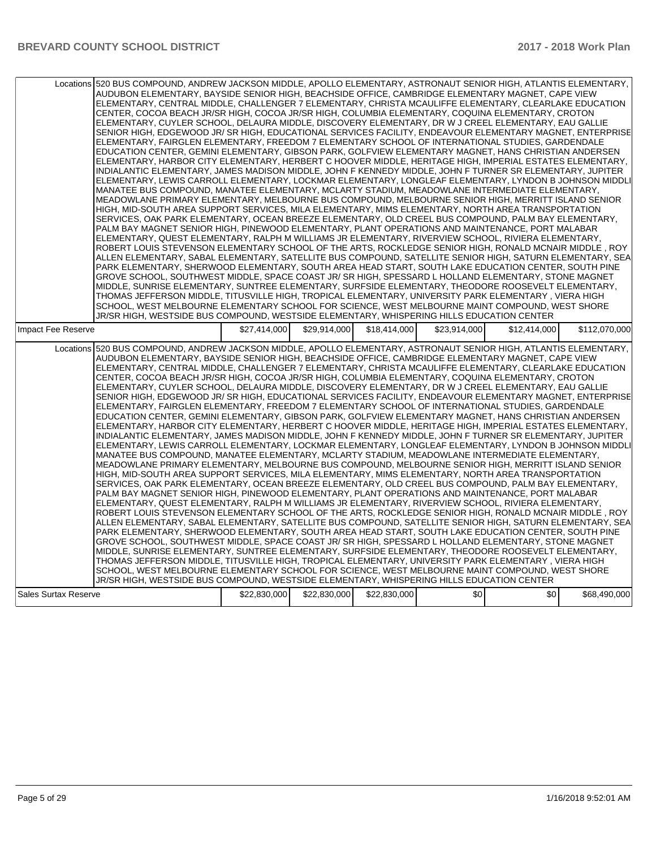|                             | Locations 520 BUS COMPOUND, ANDREW JACKSON MIDDLE, APOLLO ELEMENTARY, ASTRONAUT SENIOR HIGH, ATLANTIS ELEMENTARY,<br>AUDUBON ELEMENTARY, BAYSIDE SENIOR HIGH, BEACHSIDE OFFICE, CAMBRIDGE ELEMENTARY MAGNET, CAPE VIEW<br>ELEMENTARY, CENTRAL MIDDLE, CHALLENGER 7 ELEMENTARY, CHRISTA MCAULIFFE ELEMENTARY, CLEARLAKE EDUCATION<br>ICENTER. COCOA BEACH JR/SR HIGH. COCOA JR/SR HIGH. COLUMBIA ELEMENTARY. COQUINA ELEMENTARY. CROTON<br>ELEMENTARY, CUYLER SCHOOL, DELAURA MIDDLE, DISCOVERY ELEMENTARY, DR W J CREEL ELEMENTARY, EAU GALLIE<br>SENIOR HIGH, EDGEWOOD JR/ SR HIGH, EDUCATIONAL SERVICES FACILITY, ENDEAVOUR ELEMENTARY MAGNET, ENTERPRISE<br>ELEMENTARY, FAIRGLEN ELEMENTARY, FREEDOM 7 ELEMENTARY SCHOOL OF INTERNATIONAL STUDIES, GARDENDALE<br>EDUCATION CENTER, GEMINI ELEMENTARY, GIBSON PARK, GOLFVIEW ELEMENTARY MAGNET, HANS CHRISTIAN ANDERSEN<br>IELEMENTARY. HARBOR CITY ELEMENTARY. HERBERT C HOOVER MIDDLE. HERITAGE HIGH. IMPERIAL ESTATES ELEMENTARY.<br>INDIALANTIC ELEMENTARY, JAMES MADISON MIDDLE, JOHN F KENNEDY MIDDLE, JOHN F TURNER SR ELEMENTARY, JUPITER<br>ELEMENTARY, LEWIS CARROLL ELEMENTARY, LOCKMAR ELEMENTARY, LONGLEAF ELEMENTARY, LYNDON B JOHNSON MIDDLI<br>MANATEE BUS COMPOUND, MANATEE ELEMENTARY, MCLARTY STADIUM, MEADOWLANE INTERMEDIATE ELEMENTARY,<br>MEADOWLANE PRIMARY ELEMENTARY, MELBOURNE BUS COMPOUND, MELBOURNE SENIOR HIGH, MERRITT ISLAND SENIOR<br>HIGH. MID-SOUTH AREA SUPPORT SERVICES. MILA ELEMENTARY. MIMS ELEMENTARY. NORTH AREA TRANSPORTATION<br>SERVICES, OAK PARK ELEMENTARY, OCEAN BREEZE ELEMENTARY, OLD CREEL BUS COMPOUND, PALM BAY ELEMENTARY,<br>PALM BAY MAGNET SENIOR HIGH, PINEWOOD ELEMENTARY, PLANT OPERATIONS AND MAINTENANCE, PORT MALABAR<br>ELEMENTARY, QUEST ELEMENTARY, RALPH M WILLIAMS JR ELEMENTARY, RIVERVIEW SCHOOL, RIVIERA ELEMENTARY,<br>ROBERT LOUIS STEVENSON ELEMENTARY SCHOOL OF THE ARTS, ROCKLEDGE SENIOR HIGH, RONALD MCNAIR MIDDLE , ROY<br>ALLEN ELEMENTARY, SABAL ELEMENTARY, SATELLITE BUS COMPOUND, SATELLITE SENIOR HIGH, SATURN ELEMENTARY, SEA<br>PARK ELEMENTARY, SHERWOOD ELEMENTARY, SOUTH AREA HEAD START, SOUTH LAKE EDUCATION CENTER, SOUTH PINE<br>GROVE SCHOOL, SOUTHWEST MIDDLE, SPACE COAST JR/ SR HIGH, SPESSARD L HOLLAND ELEMENTARY, STONE MAGNET<br>MIDDLE, SUNRISE ELEMENTARY, SUNTREE ELEMENTARY, SURFSIDE ELEMENTARY, THEODORE ROOSEVELT ELEMENTARY,<br>THOMAS JEFFERSON MIDDLE, TITUSVILLE HIGH, TROPICAL ELEMENTARY, UNIVERSITY PARK ELEMENTARY, VIERA HIGH<br>SCHOOL, WEST MELBOURNE ELEMENTARY SCHOOL FOR SCIENCE, WEST MELBOURNE MAINT COMPOUND, WEST SHORE<br>JR/SR HIGH, WESTSIDE BUS COMPOUND, WESTSIDE ELEMENTARY, WHISPERING HILLS EDUCATION CENTER |              |              |              |              |              |               |
|-----------------------------|---------------------------------------------------------------------------------------------------------------------------------------------------------------------------------------------------------------------------------------------------------------------------------------------------------------------------------------------------------------------------------------------------------------------------------------------------------------------------------------------------------------------------------------------------------------------------------------------------------------------------------------------------------------------------------------------------------------------------------------------------------------------------------------------------------------------------------------------------------------------------------------------------------------------------------------------------------------------------------------------------------------------------------------------------------------------------------------------------------------------------------------------------------------------------------------------------------------------------------------------------------------------------------------------------------------------------------------------------------------------------------------------------------------------------------------------------------------------------------------------------------------------------------------------------------------------------------------------------------------------------------------------------------------------------------------------------------------------------------------------------------------------------------------------------------------------------------------------------------------------------------------------------------------------------------------------------------------------------------------------------------------------------------------------------------------------------------------------------------------------------------------------------------------------------------------------------------------------------------------------------------------------------------------------------------------------------------------------------------------------------------------------------------------------------------------------------------------------------------------------------------------------------------------------------------------------------------------------------------------------------------------------------------------------------------------------------------|--------------|--------------|--------------|--------------|--------------|---------------|
| Impact Fee Reserve          |                                                                                                                                                                                                                                                                                                                                                                                                                                                                                                                                                                                                                                                                                                                                                                                                                                                                                                                                                                                                                                                                                                                                                                                                                                                                                                                                                                                                                                                                                                                                                                                                                                                                                                                                                                                                                                                                                                                                                                                                                                                                                                                                                                                                                                                                                                                                                                                                                                                                                                                                                                                                                                                                                                         | \$27.414.000 | \$29.914.000 | \$18,414,000 | \$23,914,000 | \$12.414.000 | \$112,070,000 |
|                             | Locations 520 BUS COMPOUND, ANDREW JACKSON MIDDLE, APOLLO ELEMENTARY, ASTRONAUT SENIOR HIGH, ATLANTIS ELEMENTARY,<br>AUDUBON ELEMENTARY, BAYSIDE SENIOR HIGH, BEACHSIDE OFFICE, CAMBRIDGE ELEMENTARY MAGNET, CAPE VIEW<br>ELEMENTARY, CENTRAL MIDDLE, CHALLENGER 7 ELEMENTARY, CHRISTA MCAULIFFE ELEMENTARY, CLEARLAKE EDUCATION <br>CENTER, COCOA BEACH JR/SR HIGH, COCOA JR/SR HIGH, COLUMBIA ELEMENTARY, COQUINA ELEMENTARY, CROTON<br>ELEMENTARY, CUYLER SCHOOL, DELAURA MIDDLE, DISCOVERY ELEMENTARY, DR W J CREEL ELEMENTARY, EAU GALLIE<br>SENIOR HIGH, EDGEWOOD JR/ SR HIGH, EDUCATIONAL SERVICES FACILITY, ENDEAVOUR ELEMENTARY MAGNET, ENTERPRISE<br>ELEMENTARY, FAIRGLEN ELEMENTARY, FREEDOM 7 ELEMENTARY SCHOOL OF INTERNATIONAL STUDIES, GARDENDALE<br>EDUCATION CENTER, GEMINI ELEMENTARY, GIBSON PARK, GOLFVIEW ELEMENTARY MAGNET, HANS CHRISTIAN ANDERSEN<br>ELEMENTARY, HARBOR CITY ELEMENTARY, HERBERT C HOOVER MIDDLE, HERITAGE HIGH, IMPERIAL ESTATES ELEMENTARY,<br>INDIALANTIC ELEMENTARY, JAMES MADISON MIDDLE, JOHN F KENNEDY MIDDLE, JOHN F TURNER SR ELEMENTARY, JUPITER<br>ELEMENTARY, LEWIS CARROLL ELEMENTARY, LOCKMAR ELEMENTARY, LONGLEAF ELEMENTARY, LYNDON B JOHNSON MIDDLI<br>MANATEE BUS COMPOUND, MANATEE ELEMENTARY, MCLARTY STADIUM, MEADOWLANE INTERMEDIATE ELEMENTARY,<br>MEADOWLANE PRIMARY ELEMENTARY, MELBOURNE BUS COMPOUND, MELBOURNE SENIOR HIGH, MERRITT ISLAND SENIOR<br>HIGH, MID-SOUTH AREA SUPPORT SERVICES, MILA ELEMENTARY, MIMS ELEMENTARY, NORTH AREA TRANSPORTATION<br>SERVICES, OAK PARK ELEMENTARY, OCEAN BREEZE ELEMENTARY, OLD CREEL BUS COMPOUND, PALM BAY ELEMENTARY,<br>PALM BAY MAGNET SENIOR HIGH, PINEWOOD ELEMENTARY, PLANT OPERATIONS AND MAINTENANCE, PORT MALABAR<br>ELEMENTARY, QUEST ELEMENTARY, RALPH M WILLIAMS JR ELEMENTARY, RIVERVIEW SCHOOL, RIVIERA ELEMENTARY,<br>ROBERT LOUIS STEVENSON ELEMENTARY SCHOOL OF THE ARTS, ROCKLEDGE SENIOR HIGH, RONALD MCNAIR MIDDLE , ROY<br>ALLEN ELEMENTARY, SABAL ELEMENTARY, SATELLITE BUS COMPOUND, SATELLITE SENIOR HIGH, SATURN ELEMENTARY, SEA<br>PARK ELEMENTARY, SHERWOOD ELEMENTARY, SOUTH AREA HEAD START, SOUTH LAKE EDUCATION CENTER, SOUTH PINE<br>GROVE SCHOOL, SOUTHWEST MIDDLE, SPACE COAST JR/ SR HIGH, SPESSARD L HOLLAND ELEMENTARY, STONE MAGNET<br>MIDDLE, SUNRISE ELEMENTARY, SUNTREE ELEMENTARY, SURFSIDE ELEMENTARY, THEODORE ROOSEVELT ELEMENTARY,<br>THOMAS JEFFERSON MIDDLE, TITUSVILLE HIGH, TROPICAL ELEMENTARY, UNIVERSITY PARK ELEMENTARY , VIERA HIGH<br>SCHOOL, WEST MELBOURNE ELEMENTARY SCHOOL FOR SCIENCE, WEST MELBOURNE MAINT COMPOUND, WEST SHORE<br>JR/SR HIGH, WESTSIDE BUS COMPOUND, WESTSIDE ELEMENTARY, WHISPERING HILLS EDUCATION CENTER |              |              |              |              |              |               |
| <b>Sales Surtax Reserve</b> |                                                                                                                                                                                                                                                                                                                                                                                                                                                                                                                                                                                                                                                                                                                                                                                                                                                                                                                                                                                                                                                                                                                                                                                                                                                                                                                                                                                                                                                                                                                                                                                                                                                                                                                                                                                                                                                                                                                                                                                                                                                                                                                                                                                                                                                                                                                                                                                                                                                                                                                                                                                                                                                                                                         | \$22,830,000 | \$22,830,000 | \$22,830,000 | \$0          | \$0          | \$68,490,000  |
|                             |                                                                                                                                                                                                                                                                                                                                                                                                                                                                                                                                                                                                                                                                                                                                                                                                                                                                                                                                                                                                                                                                                                                                                                                                                                                                                                                                                                                                                                                                                                                                                                                                                                                                                                                                                                                                                                                                                                                                                                                                                                                                                                                                                                                                                                                                                                                                                                                                                                                                                                                                                                                                                                                                                                         |              |              |              |              |              |               |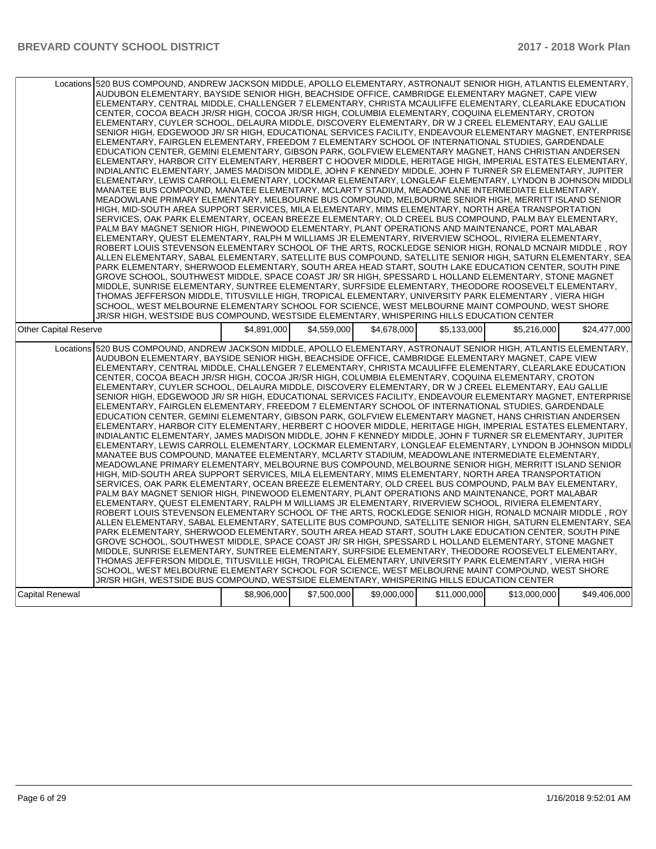| Locations 520 BUS COMPOUND, ANDREW JACKSON MIDDLE, APOLLO ELEMENTARY, ASTRONAUT SENIOR HIGH, ATLANTIS ELEMENTARY,<br>AUDUBON ELEMENTARY, BAYSIDE SENIOR HIGH, BEACHSIDE OFFICE, CAMBRIDGE ELEMENTARY MAGNET, CAPE VIEW<br>ELEMENTARY, CENTRAL MIDDLE, CHALLENGER 7 ELEMENTARY, CHRISTA MCAULIFFE ELEMENTARY, CLEARLAKE EDUCATION<br>CENTER, COCOA BEACH JR/SR HIGH, COCOA JR/SR HIGH, COLUMBIA ELEMENTARY, COQUINA ELEMENTARY, CROTON<br>ELEMENTARY, CUYLER SCHOOL, DELAURA MIDDLE, DISCOVERY ELEMENTARY, DR W J CREEL ELEMENTARY, EAU GALLIE<br>SENIOR HIGH, EDGEWOOD JR/ SR HIGH, EDUCATIONAL SERVICES FACILITY, ENDEAVOUR ELEMENTARY MAGNET, ENTERPRISE<br>ELEMENTARY, FAIRGLEN ELEMENTARY, FREEDOM 7 ELEMENTARY SCHOOL OF INTERNATIONAL STUDIES, GARDENDALE<br>EDUCATION CENTER, GEMINI ELEMENTARY, GIBSON PARK, GOLFVIEW ELEMENTARY MAGNET, HANS CHRISTIAN ANDERSEN<br>ELEMENTARY, HARBOR CITY ELEMENTARY, HERBERT C HOOVER MIDDLE, HERITAGE HIGH, IMPERIAL ESTATES ELEMENTARY,<br>INDIALANTIC ELEMENTARY, JAMES MADISON MIDDLE, JOHN F KENNEDY MIDDLE, JOHN F TURNER SR ELEMENTARY, JUPITER<br>ELEMENTARY, LEWIS CARROLL ELEMENTARY, LOCKMAR ELEMENTARY, LONGLEAF ELEMENTARY, LYNDON B JOHNSON MIDDLI<br>MANATEE BUS COMPOUND, MANATEE ELEMENTARY, MCLARTY STADIUM, MEADOWLANE INTERMEDIATE ELEMENTARY,<br>MEADOWLANE PRIMARY ELEMENTARY, MELBOURNE BUS COMPOUND, MELBOURNE SENIOR HIGH, MERRITT ISLAND SENIOR <br>HIGH, MID-SOUTH AREA SUPPORT SERVICES, MILA ELEMENTARY, MIMS ELEMENTARY, NORTH AREA TRANSPORTATION<br>SERVICES, OAK PARK ELEMENTARY, OCEAN BREEZE ELEMENTARY, OLD CREEL BUS COMPOUND, PALM BAY ELEMENTARY,<br>PALM BAY MAGNET SENIOR HIGH, PINEWOOD ELEMENTARY, PLANT OPERATIONS AND MAINTENANCE, PORT MALABAR<br>ELEMENTARY, QUEST ELEMENTARY, RALPH M WILLIAMS JR ELEMENTARY, RIVERVIEW SCHOOL, RIVIERA ELEMENTARY,<br>ROBERT LOUIS STEVENSON ELEMENTARY SCHOOL OF THE ARTS, ROCKLEDGE SENIOR HIGH, RONALD MCNAIR MIDDLE , ROY<br>ALLEN ELEMENTARY, SABAL ELEMENTARY, SATELLITE BUS COMPOUND, SATELLITE SENIOR HIGH, SATURN ELEMENTARY, SEA<br>PARK ELEMENTARY, SHERWOOD ELEMENTARY, SOUTH AREA HEAD START, SOUTH LAKE EDUCATION CENTER, SOUTH PINE<br>GROVE SCHOOL, SOUTHWEST MIDDLE, SPACE COAST JR/ SR HIGH, SPESSARD L HOLLAND ELEMENTARY, STONE MAGNET<br>MIDDLE, SUNRISE ELEMENTARY, SUNTREE ELEMENTARY, SURFSIDE ELEMENTARY, THEODORE ROOSEVELT ELEMENTARY,<br>THOMAS JEFFERSON MIDDLE, TITUSVILLE HIGH, TROPICAL ELEMENTARY, UNIVERSITY PARK ELEMENTARY, VIERA HIGH<br>SCHOOL, WEST MELBOURNE ELEMENTARY SCHOOL FOR SCIENCE, WEST MELBOURNE MAINT COMPOUND, WEST SHORE<br>JR/SR HIGH, WESTSIDE BUS COMPOUND, WESTSIDE ELEMENTARY, WHISPERING HILLS EDUCATION CENTER<br><b>Other Capital Reserve</b><br>\$4.891.000<br>\$4,559,000<br>\$4,678,000<br>\$5,133,000<br>\$5,216,000<br>\$24,477,000<br>Locations 520 BUS COMPOUND, ANDREW JACKSON MIDDLE, APOLLO ELEMENTARY, ASTRONAUT SENIOR HIGH, ATLANTIS ELEMENTARY,<br>AUDUBON ELEMENTARY. BAYSIDE SENIOR HIGH. BEACHSIDE OFFICE. CAMBRIDGE ELEMENTARY MAGNET. CAPE VIEW<br>ELEMENTARY, CENTRAL MIDDLE, CHALLENGER 7 ELEMENTARY, CHRISTA MCAULIFFE ELEMENTARY, CLEARLAKE EDUCATION <br>CENTER, COCOA BEACH JR/SR HIGH, COCOA JR/SR HIGH, COLUMBIA ELEMENTARY, COQUINA ELEMENTARY, CROTON<br>ELEMENTARY, CUYLER SCHOOL, DELAURA MIDDLE, DISCOVERY ELEMENTARY, DR W J CREEL ELEMENTARY, EAU GALLIE<br>SENIOR HIGH, EDGEWOOD JR/ SR HIGH, EDUCATIONAL SERVICES FACILITY, ENDEAVOUR ELEMENTARY MAGNET, ENTERPRISE<br>ELEMENTARY, FAIRGLEN ELEMENTARY, FREEDOM 7 ELEMENTARY SCHOOL OF INTERNATIONAL STUDIES, GARDENDALE<br>EDUCATION CENTER, GEMINI ELEMENTARY, GIBSON PARK, GOLFVIEW ELEMENTARY MAGNET, HANS CHRISTIAN ANDERSEN<br>ELEMENTARY, HARBOR CITY ELEMENTARY, HERBERT C HOOVER MIDDLE, HERITAGE HIGH, IMPERIAL ESTATES ELEMENTARY,<br>INDIALANTIC ELEMENTARY, JAMES MADISON MIDDLE, JOHN F KENNEDY MIDDLE, JOHN F TURNER SR ELEMENTARY, JUPITER<br>ELEMENTARY, LEWIS CARROLL ELEMENTARY, LOCKMAR ELEMENTARY, LONGLEAF ELEMENTARY, LYNDON B JOHNSON MIDDLI<br>MANATEE BUS COMPOUND. MANATEE ELEMENTARY. MCLARTY STADIUM. MEADOWLANE INTERMEDIATE ELEMENTARY.<br>MEADOWLANE PRIMARY ELEMENTARY, MELBOURNE BUS COMPOUND, MELBOURNE SENIOR HIGH, MERRITT ISLAND SENIOR<br>HIGH, MID-SOUTH AREA SUPPORT SERVICES, MILA ELEMENTARY, MIMS ELEMENTARY, NORTH AREA TRANSPORTATION<br>SERVICES, OAK PARK ELEMENTARY, OCEAN BREEZE ELEMENTARY, OLD CREEL BUS COMPOUND, PALM BAY ELEMENTARY,<br>PALM BAY MAGNET SENIOR HIGH, PINEWOOD ELEMENTARY, PLANT OPERATIONS AND MAINTENANCE, PORT MALABAR<br>ELEMENTARY, QUEST ELEMENTARY, RALPH M WILLIAMS JR ELEMENTARY, RIVERVIEW SCHOOL, RIVIERA ELEMENTARY,<br>ROBERT LOUIS STEVENSON ELEMENTARY SCHOOL OF THE ARTS, ROCKLEDGE SENIOR HIGH, RONALD MCNAIR MIDDLE , ROY<br>ALLEN ELEMENTARY, SABAL ELEMENTARY, SATELLITE BUS COMPOUND, SATELLITE SENIOR HIGH, SATURN ELEMENTARY, SEA<br>PARK ELEMENTARY, SHERWOOD ELEMENTARY, SOUTH AREA HEAD START, SOUTH LAKE EDUCATION CENTER, SOUTH PINE<br>GROVE SCHOOL, SOUTHWEST MIDDLE, SPACE COAST JR/ SR HIGH, SPESSARD L HOLLAND ELEMENTARY, STONE MAGNET<br>MIDDLE, SUNRISE ELEMENTARY, SUNTREE ELEMENTARY, SURFSIDE ELEMENTARY, THEODORE ROOSEVELT ELEMENTARY,<br>THOMAS JEFFERSON MIDDLE, TITUSVILLE HIGH, TROPICAL ELEMENTARY, UNIVERSITY PARK ELEMENTARY, VIERA HIGH<br>SCHOOL, WEST MELBOURNE ELEMENTARY SCHOOL FOR SCIENCE, WEST MELBOURNE MAINT COMPOUND, WEST SHORE<br>JR/SR HIGH, WESTSIDE BUS COMPOUND, WESTSIDE ELEMENTARY, WHISPERING HILLS EDUCATION CENTER<br>\$8,906,000<br>\$7,500,000<br>\$9,000,000<br>\$11,000,000<br>\$13,000,000<br>\$49,406,000<br><b>Capital Renewal</b> |  |  |  |  |
|--------------------------------------------------------------------------------------------------------------------------------------------------------------------------------------------------------------------------------------------------------------------------------------------------------------------------------------------------------------------------------------------------------------------------------------------------------------------------------------------------------------------------------------------------------------------------------------------------------------------------------------------------------------------------------------------------------------------------------------------------------------------------------------------------------------------------------------------------------------------------------------------------------------------------------------------------------------------------------------------------------------------------------------------------------------------------------------------------------------------------------------------------------------------------------------------------------------------------------------------------------------------------------------------------------------------------------------------------------------------------------------------------------------------------------------------------------------------------------------------------------------------------------------------------------------------------------------------------------------------------------------------------------------------------------------------------------------------------------------------------------------------------------------------------------------------------------------------------------------------------------------------------------------------------------------------------------------------------------------------------------------------------------------------------------------------------------------------------------------------------------------------------------------------------------------------------------------------------------------------------------------------------------------------------------------------------------------------------------------------------------------------------------------------------------------------------------------------------------------------------------------------------------------------------------------------------------------------------------------------------------------------------------------------------------------------------------------------------------------------------------------------------------------------------------------------------------------------------------------------------------------------------------------------------------------------------------------------------------------------------------------------------------------------------------------------------------------------------------------------------------------------------------------------------------------------------------------------------------------------------------------------------------------------------------------------------------------------------------------------------------------------------------------------------------------------------------------------------------------------------------------------------------------------------------------------------------------------------------------------------------------------------------------------------------------------------------------------------------------------------------------------------------------------------------------------------------------------------------------------------------------------------------------------------------------------------------------------------------------------------------------------------------------------------------------------------------------------------------------------------------------------------------------------------------------------------------------------------------------------------------------------------------------------------------------------------------------------------------------------------------------------------------------------------------------------------------------------------------------------------------------------------------------------------------------------------------------------------------------------------------------------------------------------------------------------------------------------------------------------------------------------------------------------------------------------------------------------------------------------------------------------------------------------------------------------------------------------------------------------------------------------------------------------------------------------------------------------------------------------------------------------------------------------------------------------------------------------------------------------------------------------------------------------------------------------------------------------------------------------------------------------------------------------------------------------------------------------------------------------------------------------------------------------------------------------------------------------------------------------------------------------------------------------|--|--|--|--|
|                                                                                                                                                                                                                                                                                                                                                                                                                                                                                                                                                                                                                                                                                                                                                                                                                                                                                                                                                                                                                                                                                                                                                                                                                                                                                                                                                                                                                                                                                                                                                                                                                                                                                                                                                                                                                                                                                                                                                                                                                                                                                                                                                                                                                                                                                                                                                                                                                                                                                                                                                                                                                                                                                                                                                                                                                                                                                                                                                                                                                                                                                                                                                                                                                                                                                                                                                                                                                                                                                                                                                                                                                                                                                                                                                                                                                                                                                                                                                                                                                                                                                                                                                                                                                                                                                                                                                                                                                                                                                                                                                                                                                                                                                                                                                                                                                                                                                                                                                                                                                                                                                                                                                                                                                                                                                                                                                                                                                                                                                                                                                                                                                                                                    |  |  |  |  |
|                                                                                                                                                                                                                                                                                                                                                                                                                                                                                                                                                                                                                                                                                                                                                                                                                                                                                                                                                                                                                                                                                                                                                                                                                                                                                                                                                                                                                                                                                                                                                                                                                                                                                                                                                                                                                                                                                                                                                                                                                                                                                                                                                                                                                                                                                                                                                                                                                                                                                                                                                                                                                                                                                                                                                                                                                                                                                                                                                                                                                                                                                                                                                                                                                                                                                                                                                                                                                                                                                                                                                                                                                                                                                                                                                                                                                                                                                                                                                                                                                                                                                                                                                                                                                                                                                                                                                                                                                                                                                                                                                                                                                                                                                                                                                                                                                                                                                                                                                                                                                                                                                                                                                                                                                                                                                                                                                                                                                                                                                                                                                                                                                                                                    |  |  |  |  |
|                                                                                                                                                                                                                                                                                                                                                                                                                                                                                                                                                                                                                                                                                                                                                                                                                                                                                                                                                                                                                                                                                                                                                                                                                                                                                                                                                                                                                                                                                                                                                                                                                                                                                                                                                                                                                                                                                                                                                                                                                                                                                                                                                                                                                                                                                                                                                                                                                                                                                                                                                                                                                                                                                                                                                                                                                                                                                                                                                                                                                                                                                                                                                                                                                                                                                                                                                                                                                                                                                                                                                                                                                                                                                                                                                                                                                                                                                                                                                                                                                                                                                                                                                                                                                                                                                                                                                                                                                                                                                                                                                                                                                                                                                                                                                                                                                                                                                                                                                                                                                                                                                                                                                                                                                                                                                                                                                                                                                                                                                                                                                                                                                                                                    |  |  |  |  |
|                                                                                                                                                                                                                                                                                                                                                                                                                                                                                                                                                                                                                                                                                                                                                                                                                                                                                                                                                                                                                                                                                                                                                                                                                                                                                                                                                                                                                                                                                                                                                                                                                                                                                                                                                                                                                                                                                                                                                                                                                                                                                                                                                                                                                                                                                                                                                                                                                                                                                                                                                                                                                                                                                                                                                                                                                                                                                                                                                                                                                                                                                                                                                                                                                                                                                                                                                                                                                                                                                                                                                                                                                                                                                                                                                                                                                                                                                                                                                                                                                                                                                                                                                                                                                                                                                                                                                                                                                                                                                                                                                                                                                                                                                                                                                                                                                                                                                                                                                                                                                                                                                                                                                                                                                                                                                                                                                                                                                                                                                                                                                                                                                                                                    |  |  |  |  |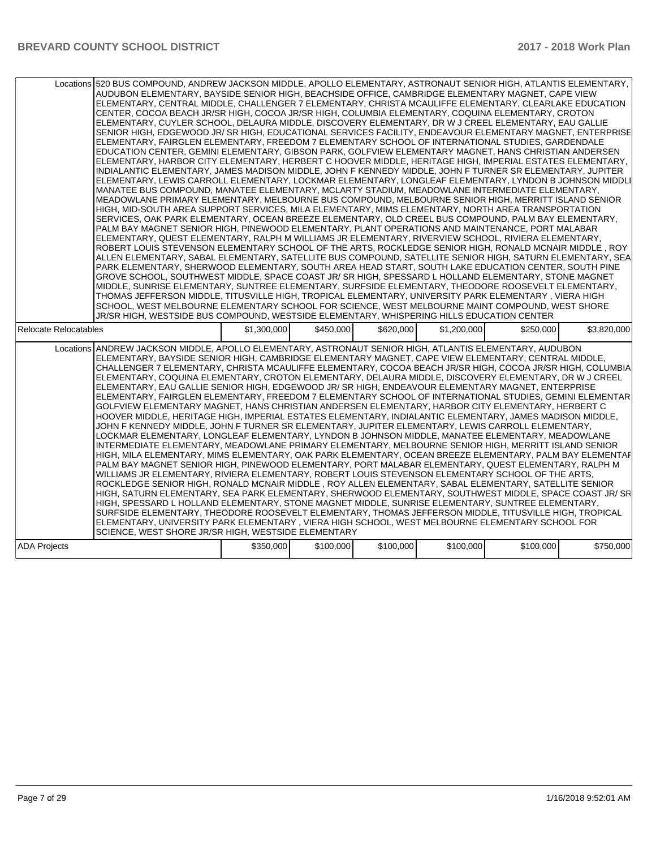|                       | Locations 520 BUS COMPOUND, ANDREW JACKSON MIDDLE, APOLLO ELEMENTARY, ASTRONAUT SENIOR HIGH, ATLANTIS ELEMENTARY,<br>AUDUBON ELEMENTARY, BAYSIDE SENIOR HIGH, BEACHSIDE OFFICE, CAMBRIDGE ELEMENTARY MAGNET, CAPE VIEW<br>ELEMENTARY, CENTRAL MIDDLE, CHALLENGER 7 ELEMENTARY, CHRISTA MCAULIFFE ELEMENTARY, CLEARLAKE EDUCATION<br>CENTER, COCOA BEACH JR/SR HIGH, COCOA JR/SR HIGH, COLUMBIA ELEMENTARY, COQUINA ELEMENTARY, CROTON<br>ELEMENTARY, CUYLER SCHOOL, DELAURA MIDDLE, DISCOVERY ELEMENTARY, DR W J CREEL ELEMENTARY, EAU GALLIE<br>SENIOR HIGH, EDGEWOOD JR/ SR HIGH, EDUCATIONAL SERVICES FACILITY, ENDEAVOUR ELEMENTARY MAGNET, ENTERPRISE<br>ELEMENTARY, FAIRGLEN ELEMENTARY, FREEDOM 7 ELEMENTARY SCHOOL OF INTERNATIONAL STUDIES, GARDENDALE<br>EDUCATION CENTER, GEMINI ELEMENTARY, GIBSON PARK, GOLFVIEW ELEMENTARY MAGNET, HANS CHRISTIAN ANDERSEN<br>ELEMENTARY, HARBOR CITY ELEMENTARY, HERBERT C HOOVER MIDDLE, HERITAGE HIGH, IMPERIAL ESTATES ELEMENTARY,<br>INDIALANTIC ELEMENTARY, JAMES MADISON MIDDLE, JOHN F KENNEDY MIDDLE, JOHN F TURNER SR ELEMENTARY, JUPITER<br>ELEMENTARY, LEWIS CARROLL ELEMENTARY, LOCKMAR ELEMENTARY, LONGLEAF ELEMENTARY, LYNDON B JOHNSON MIDDLI<br>MANATEE BUS COMPOUND, MANATEE ELEMENTARY, MCLARTY STADIUM, MEADOWLANE INTERMEDIATE ELEMENTARY,<br>MEADOWLANE PRIMARY ELEMENTARY. MELBOURNE BUS COMPOUND. MELBOURNE SENIOR HIGH. MERRITT ISLAND SENIOR<br>HIGH, MID-SOUTH AREA SUPPORT SERVICES, MILA ELEMENTARY, MIMS ELEMENTARY, NORTH AREA TRANSPORTATION<br>SERVICES, OAK PARK ELEMENTARY, OCEAN BREEZE ELEMENTARY, OLD CREEL BUS COMPOUND, PALM BAY ELEMENTARY,<br>PALM BAY MAGNET SENIOR HIGH, PINEWOOD ELEMENTARY, PLANT OPERATIONS AND MAINTENANCE, PORT MALABAR<br>ELEMENTARY, QUEST ELEMENTARY, RALPH M WILLIAMS JR ELEMENTARY, RIVERVIEW SCHOOL, RIVIERA ELEMENTARY,<br>ROBERT LOUIS STEVENSON ELEMENTARY SCHOOL OF THE ARTS, ROCKLEDGE SENIOR HIGH, RONALD MCNAIR MIDDLE, ROY<br>ALLEN ELEMENTARY. SABAL ELEMENTARY. SATELLITE BUS COMPOUND. SATELLITE SENIOR HIGH. SATURN ELEMENTARY. SEA<br>PARK ELEMENTARY, SHERWOOD ELEMENTARY, SOUTH AREA HEAD START, SOUTH LAKE EDUCATION CENTER, SOUTH PINE<br>GROVE SCHOOL. SOUTHWEST MIDDLE. SPACE COAST JR/ SR HIGH. SPESSARD L HOLLAND ELEMENTARY. STONE MAGNET<br>MIDDLE, SUNRISE ELEMENTARY, SUNTREE ELEMENTARY, SURFSIDE ELEMENTARY, THEODORE ROOSEVELT ELEMENTARY,<br>THOMAS JEFFERSON MIDDLE, TITUSVILLE HIGH, TROPICAL ELEMENTARY, UNIVERSITY PARK ELEMENTARY , VIERA HIGH<br>SCHOOL, WEST MELBOURNE ELEMENTARY SCHOOL FOR SCIENCE, WEST MELBOURNE MAINT COMPOUND, WEST SHORE<br>JR/SR HIGH, WESTSIDE BUS COMPOUND, WESTSIDE ELEMENTARY, WHISPERING HILLS EDUCATION CENTER |             |           |           |             |           |             |
|-----------------------|-------------------------------------------------------------------------------------------------------------------------------------------------------------------------------------------------------------------------------------------------------------------------------------------------------------------------------------------------------------------------------------------------------------------------------------------------------------------------------------------------------------------------------------------------------------------------------------------------------------------------------------------------------------------------------------------------------------------------------------------------------------------------------------------------------------------------------------------------------------------------------------------------------------------------------------------------------------------------------------------------------------------------------------------------------------------------------------------------------------------------------------------------------------------------------------------------------------------------------------------------------------------------------------------------------------------------------------------------------------------------------------------------------------------------------------------------------------------------------------------------------------------------------------------------------------------------------------------------------------------------------------------------------------------------------------------------------------------------------------------------------------------------------------------------------------------------------------------------------------------------------------------------------------------------------------------------------------------------------------------------------------------------------------------------------------------------------------------------------------------------------------------------------------------------------------------------------------------------------------------------------------------------------------------------------------------------------------------------------------------------------------------------------------------------------------------------------------------------------------------------------------------------------------------------------------------------------------------------------------------------------------------------------------------------------------------------------|-------------|-----------|-----------|-------------|-----------|-------------|
| Relocate Relocatables |                                                                                                                                                                                                                                                                                                                                                                                                                                                                                                                                                                                                                                                                                                                                                                                                                                                                                                                                                                                                                                                                                                                                                                                                                                                                                                                                                                                                                                                                                                                                                                                                                                                                                                                                                                                                                                                                                                                                                                                                                                                                                                                                                                                                                                                                                                                                                                                                                                                                                                                                                                                                                                                                                                       | \$1.300,000 | \$450,000 | \$620,000 | \$1,200,000 | \$250,000 | \$3,820,000 |
|                       |                                                                                                                                                                                                                                                                                                                                                                                                                                                                                                                                                                                                                                                                                                                                                                                                                                                                                                                                                                                                                                                                                                                                                                                                                                                                                                                                                                                                                                                                                                                                                                                                                                                                                                                                                                                                                                                                                                                                                                                                                                                                                                                                                                                                                                                                                                                                                                                                                                                                                                                                                                                                                                                                                                       |             |           |           |             |           |             |
|                       | Locations ANDREW JACKSON MIDDLE, APOLLO ELEMENTARY, ASTRONAUT SENIOR HIGH, ATLANTIS ELEMENTARY, AUDUBON<br>ELEMENTARY, BAYSIDE SENIOR HIGH, CAMBRIDGE ELEMENTARY MAGNET, CAPE VIEW ELEMENTARY, CENTRAL MIDDLE,<br>CHALLENGER 7 ELEMENTARY, CHRISTA MCAULIFFE ELEMENTARY, COCOA BEACH JR/SR HIGH, COCOA JR/SR HIGH, COLUMBIA                                                                                                                                                                                                                                                                                                                                                                                                                                                                                                                                                                                                                                                                                                                                                                                                                                                                                                                                                                                                                                                                                                                                                                                                                                                                                                                                                                                                                                                                                                                                                                                                                                                                                                                                                                                                                                                                                                                                                                                                                                                                                                                                                                                                                                                                                                                                                                           |             |           |           |             |           |             |
|                       | ELEMENTARY, COQUINA ELEMENTARY, CROTON ELEMENTARY, DELAURA MIDDLE, DISCOVERY ELEMENTARY, DR W J CREEL<br>ELEMENTARY, EAU GALLIE SENIOR HIGH, EDGEWOOD JR/ SR HIGH, ENDEAVOUR ELEMENTARY MAGNET, ENTERPRISE<br>ELEMENTARY, FAIRGLEN ELEMENTARY, FREEDOM 7 ELEMENTARY SCHOOL OF INTERNATIONAL STUDIES, GEMINI ELEMENTAR<br>GOLFVIEW ELEMENTARY MAGNET, HANS CHRISTIAN ANDERSEN ELEMENTARY, HARBOR CITY ELEMENTARY, HERBERT C<br>HOOVER MIDDLE, HERITAGE HIGH, IMPERIAL ESTATES ELEMENTARY, INDIALANTIC ELEMENTARY, JAMES MADISON MIDDLE,<br>JOHN F KENNEDY MIDDLE, JOHN F TURNER SR ELEMENTARY, JUPITER ELEMENTARY, LEWIS CARROLL ELEMENTARY,<br>LOCKMAR ELEMENTARY, LONGLEAF ELEMENTARY, LYNDON B JOHNSON MIDDLE, MANATEE ELEMENTARY, MEADOWLANE<br>INTERMEDIATE ELEMENTARY, MEADOWLANE PRIMARY ELEMENTARY, MELBOURNE SENIOR HIGH, MERRITT ISLAND SENIOR<br>HIGH, MILA ELEMENTARY, MIMS ELEMENTARY, OAK PARK ELEMENTARY, OCEAN BREEZE ELEMENTARY, PALM BAY ELEMENTAF<br>PALM BAY MAGNET SENIOR HIGH, PINEWOOD ELEMENTARY, PORT MALABAR ELEMENTARY, QUEST ELEMENTARY, RALPH M<br>WILLIAMS JR ELEMENTARY, RIVIERA ELEMENTARY, ROBERT LOUIS STEVENSON ELEMENTARY SCHOOL OF THE ARTS,<br>ROCKLEDGE SENIOR HIGH, RONALD MCNAIR MIDDLE, ROY ALLEN ELEMENTARY, SABAL ELEMENTARY, SATELLITE SENIOR<br>HIGH, SATURN ELEMENTARY, SEA PARK ELEMENTARY, SHERWOOD ELEMENTARY, SOUTHWEST MIDDLE, SPACE COAST JR/ SR<br>HIGH, SPESSARD L HOLLAND ELEMENTARY, STONE MAGNET MIDDLE, SUNRISE ELEMENTARY, SUNTREE ELEMENTARY,<br>SURFSIDE ELEMENTARY, THEODORE ROOSEVELT ELEMENTARY, THOMAS JEFFERSON MIDDLE, TITUSVILLE HIGH, TROPICAL<br>ELEMENTARY, UNIVERSITY PARK ELEMENTARY, VIERA HIGH SCHOOL, WEST MELBOURNE ELEMENTARY SCHOOL FOR<br>SCIENCE, WEST SHORE JR/SR HIGH, WESTSIDE ELEMENTARY                                                                                                                                                                                                                                                                                                                                                                                                                                                                                                                                                                                                                                                                                                                                                                                                                                                                                                                         |             |           |           |             |           |             |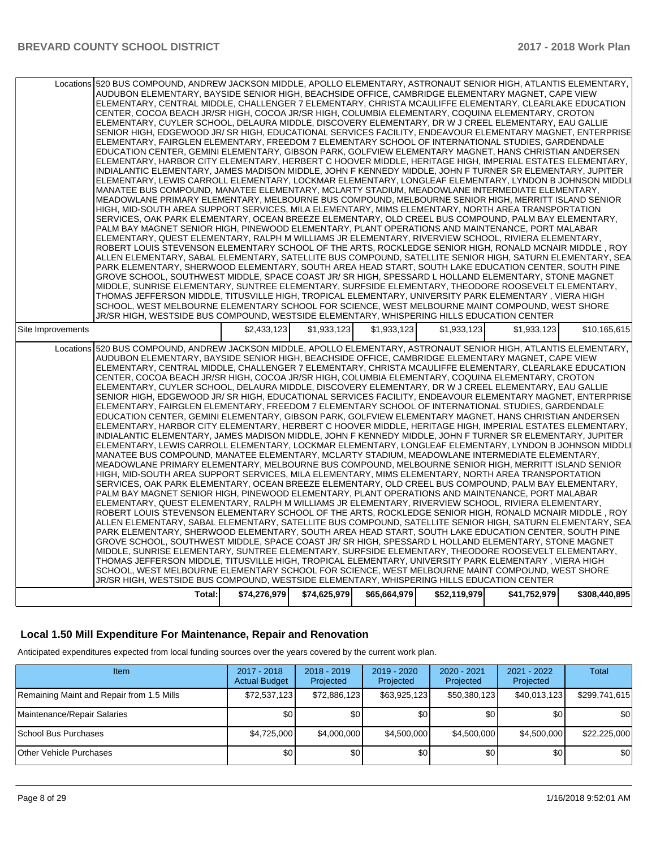|                   | Locations 520 BUS COMPOUND, ANDREW JACKSON MIDDLE, APOLLO ELEMENTARY, ASTRONAUT SENIOR HIGH, ATLANTIS ELEMENTARY,<br>AUDUBON ELEMENTARY, BAYSIDE SENIOR HIGH, BEACHSIDE OFFICE, CAMBRIDGE ELEMENTARY MAGNET, CAPE VIEW<br>ELEMENTARY, CENTRAL MIDDLE, CHALLENGER 7 ELEMENTARY, CHRISTA MCAULIFFE ELEMENTARY, CLEARLAKE EDUCATION<br>CENTER, COCOA BEACH JR/SR HIGH, COCOA JR/SR HIGH, COLUMBIA ELEMENTARY, COQUINA ELEMENTARY, CROTON<br>ELEMENTARY, CUYLER SCHOOL, DELAURA MIDDLE, DISCOVERY ELEMENTARY, DR W J CREEL ELEMENTARY, EAU GALLIE<br>SENIOR HIGH, EDGEWOOD JR/ SR HIGH, EDUCATIONAL SERVICES FACILITY, ENDEAVOUR ELEMENTARY MAGNET, ENTERPRISE<br>ELEMENTARY, FAIRGLEN ELEMENTARY, FREEDOM 7 ELEMENTARY SCHOOL OF INTERNATIONAL STUDIES, GARDENDALE<br>EDUCATION CENTER, GEMINI ELEMENTARY, GIBSON PARK, GOLFVIEW ELEMENTARY MAGNET, HANS CHRISTIAN ANDERSEN<br>ELEMENTARY, HARBOR CITY ELEMENTARY, HERBERT C HOOVER MIDDLE, HERITAGE HIGH, IMPERIAL ESTATES ELEMENTARY,                                                                                                                                                                                                                                                                                                                                                                                                                                                                                                                                                                                                                                                                                                                                                                                                                                                                                                                                                                                                                                                                                                                                                                                                                                                                                                                                                                                                                                                                                                                                                                                                                                                                                                                  |              |              |              |              |              |               |
|-------------------|-------------------------------------------------------------------------------------------------------------------------------------------------------------------------------------------------------------------------------------------------------------------------------------------------------------------------------------------------------------------------------------------------------------------------------------------------------------------------------------------------------------------------------------------------------------------------------------------------------------------------------------------------------------------------------------------------------------------------------------------------------------------------------------------------------------------------------------------------------------------------------------------------------------------------------------------------------------------------------------------------------------------------------------------------------------------------------------------------------------------------------------------------------------------------------------------------------------------------------------------------------------------------------------------------------------------------------------------------------------------------------------------------------------------------------------------------------------------------------------------------------------------------------------------------------------------------------------------------------------------------------------------------------------------------------------------------------------------------------------------------------------------------------------------------------------------------------------------------------------------------------------------------------------------------------------------------------------------------------------------------------------------------------------------------------------------------------------------------------------------------------------------------------------------------------------------------------------------------------------------------------------------------------------------------------------------------------------------------------------------------------------------------------------------------------------------------------------------------------------------------------------------------------------------------------------------------------------------------------------------------------------------------------------------------------------------------------|--------------|--------------|--------------|--------------|--------------|---------------|
|                   | INDIALANTIC ELEMENTARY, JAMES MADISON MIDDLE, JOHN F KENNEDY MIDDLE, JOHN F TURNER SR ELEMENTARY, JUPITER<br>ELEMENTARY, LEWIS CARROLL ELEMENTARY, LOCKMAR ELEMENTARY, LONGLEAF ELEMENTARY, LYNDON B JOHNSON MIDDLI<br>MANATEE BUS COMPOUND, MANATEE ELEMENTARY, MCLARTY STADIUM, MEADOWLANE INTERMEDIATE ELEMENTARY,<br>MEADOWLANE PRIMARY ELEMENTARY, MELBOURNE BUS COMPOUND, MELBOURNE SENIOR HIGH, MERRITT ISLAND SENIOR<br>HIGH, MID-SOUTH AREA SUPPORT SERVICES, MILA ELEMENTARY, MIMS ELEMENTARY, NORTH AREA TRANSPORTATION<br>SERVICES, OAK PARK ELEMENTARY, OCEAN BREEZE ELEMENTARY, OLD CREEL BUS COMPOUND, PALM BAY ELEMENTARY,<br>PALM BAY MAGNET SENIOR HIGH, PINEWOOD ELEMENTARY, PLANT OPERATIONS AND MAINTENANCE, PORT MALABAR<br>ELEMENTARY, QUEST ELEMENTARY, RALPH M WILLIAMS JR ELEMENTARY, RIVERVIEW SCHOOL, RIVIERA ELEMENTARY,<br>ROBERT LOUIS STEVENSON ELEMENTARY SCHOOL OF THE ARTS, ROCKLEDGE SENIOR HIGH, RONALD MCNAIR MIDDLE, ROY                                                                                                                                                                                                                                                                                                                                                                                                                                                                                                                                                                                                                                                                                                                                                                                                                                                                                                                                                                                                                                                                                                                                                                                                                                                                                                                                                                                                                                                                                                                                                                                                                                                                                                                                       |              |              |              |              |              |               |
| Site Improvements | ALLEN ELEMENTARY, SABAL ELEMENTARY, SATELLITE BUS COMPOUND, SATELLITE SENIOR HIGH, SATURN ELEMENTARY, SEA<br>PARK ELEMENTARY, SHERWOOD ELEMENTARY, SOUTH AREA HEAD START, SOUTH LAKE EDUCATION CENTER, SOUTH PINE<br>GROVE SCHOOL, SOUTHWEST MIDDLE, SPACE COAST JR/ SR HIGH, SPESSARD L HOLLAND ELEMENTARY, STONE MAGNET<br>MIDDLE, SUNRISE ELEMENTARY, SUNTREE ELEMENTARY, SURFSIDE ELEMENTARY, THEODORE ROOSEVELT ELEMENTARY,<br>THOMAS JEFFERSON MIDDLE, TITUSVILLE HIGH, TROPICAL ELEMENTARY, UNIVERSITY PARK ELEMENTARY, VIERA HIGH<br>SCHOOL, WEST MELBOURNE ELEMENTARY SCHOOL FOR SCIENCE, WEST MELBOURNE MAINT COMPOUND, WEST SHORE<br>JR/SR HIGH, WESTSIDE BUS COMPOUND, WESTSIDE ELEMENTARY, WHISPERING HILLS EDUCATION CENTER                                                                                                                                                                                                                                                                                                                                                                                                                                                                                                                                                                                                                                                                                                                                                                                                                                                                                                                                                                                                                                                                                                                                                                                                                                                                                                                                                                                                                                                                                                                                                                                                                                                                                                                                                                                                                                                                                                                                                             | \$2,433,123  | \$1,933,123  | \$1,933,123  | \$1,933,123  | \$1,933,123  | \$10,165,615  |
|                   | Locations 520 BUS COMPOUND, ANDREW JACKSON MIDDLE, APOLLO ELEMENTARY, ASTRONAUT SENIOR HIGH, ATLANTIS ELEMENTARY,<br>AUDUBON ELEMENTARY, BAYSIDE SENIOR HIGH, BEACHSIDE OFFICE, CAMBRIDGE ELEMENTARY MAGNET, CAPE VIEW<br>ELEMENTARY, CENTRAL MIDDLE, CHALLENGER 7 ELEMENTARY, CHRISTA MCAULIFFE ELEMENTARY, CLEARLAKE EDUCATION<br>CENTER, COCOA BEACH JR/SR HIGH, COCOA JR/SR HIGH, COLUMBIA ELEMENTARY, COQUINA ELEMENTARY, CROTON<br>ELEMENTARY, CUYLER SCHOOL, DELAURA MIDDLE, DISCOVERY ELEMENTARY, DR W J CREEL ELEMENTARY, EAU GALLIE<br>SENIOR HIGH, EDGEWOOD JR/ SR HIGH, EDUCATIONAL SERVICES FACILITY, ENDEAVOUR ELEMENTARY MAGNET, ENTERPRISE<br>ELEMENTARY, FAIRGLEN ELEMENTARY, FREEDOM 7 ELEMENTARY SCHOOL OF INTERNATIONAL STUDIES, GARDENDALE<br>EDUCATION CENTER, GEMINI ELEMENTARY, GIBSON PARK, GOLFVIEW ELEMENTARY MAGNET, HANS CHRISTIAN ANDERSEN<br>ELEMENTARY, HARBOR CITY ELEMENTARY, HERBERT C HOOVER MIDDLE, HERITAGE HIGH, IMPERIAL ESTATES ELEMENTARY,<br>INDIALANTIC ELEMENTARY, JAMES MADISON MIDDLE, JOHN F KENNEDY MIDDLE, JOHN F TURNER SR ELEMENTARY, JUPITER<br>ELEMENTARY, LEWIS CARROLL ELEMENTARY, LOCKMAR ELEMENTARY, LONGLEAF ELEMENTARY, LYNDON B JOHNSON MIDDLI<br>MANATEE BUS COMPOUND, MANATEE ELEMENTARY, MCLARTY STADIUM, MEADOWLANE INTERMEDIATE ELEMENTARY,<br>MEADOWLANE PRIMARY ELEMENTARY, MELBOURNE BUS COMPOUND, MELBOURNE SENIOR HIGH, MERRITT ISLAND SENIOR<br>HIGH, MID-SOUTH AREA SUPPORT SERVICES, MILA ELEMENTARY, MIMS ELEMENTARY, NORTH AREA TRANSPORTATION<br>SERVICES, OAK PARK ELEMENTARY, OCEAN BREEZE ELEMENTARY, OLD CREEL BUS COMPOUND, PALM BAY ELEMENTARY,<br>PALM BAY MAGNET SENIOR HIGH, PINEWOOD ELEMENTARY, PLANT OPERATIONS AND MAINTENANCE, PORT MALABAR<br>ELEMENTARY, QUEST ELEMENTARY, RALPH M WILLIAMS JR ELEMENTARY, RIVERVIEW SCHOOL, RIVIERA ELEMENTARY,<br>ROBERT LOUIS STEVENSON ELEMENTARY SCHOOL OF THE ARTS, ROCKLEDGE SENIOR HIGH, RONALD MCNAIR MIDDLE , ROY<br>ALLEN ELEMENTARY, SABAL ELEMENTARY, SATELLITE BUS COMPOUND, SATELLITE SENIOR HIGH, SATURN ELEMENTARY, SEA<br>PARK ELEMENTARY, SHERWOOD ELEMENTARY, SOUTH AREA HEAD START, SOUTH LAKE EDUCATION CENTER, SOUTH PINE<br>GROVE SCHOOL, SOUTHWEST MIDDLE, SPACE COAST JR/ SR HIGH, SPESSARD L HOLLAND ELEMENTARY, STONE MAGNET<br>MIDDLE, SUNRISE ELEMENTARY, SUNTREE ELEMENTARY, SURFSIDE ELEMENTARY, THEODORE ROOSEVELT ELEMENTARY,<br>THOMAS JEFFERSON MIDDLE, TITUSVILLE HIGH, TROPICAL ELEMENTARY, UNIVERSITY PARK ELEMENTARY, VIERA HIGH<br>SCHOOL, WEST MELBOURNE ELEMENTARY SCHOOL FOR SCIENCE, WEST MELBOURNE MAINT COMPOUND, WEST SHORE<br>JR/SR HIGH, WESTSIDE BUS COMPOUND, WESTSIDE ELEMENTARY, WHISPERING HILLS EDUCATION CENTER |              |              |              |              |              |               |
|                   | Total:                                                                                                                                                                                                                                                                                                                                                                                                                                                                                                                                                                                                                                                                                                                                                                                                                                                                                                                                                                                                                                                                                                                                                                                                                                                                                                                                                                                                                                                                                                                                                                                                                                                                                                                                                                                                                                                                                                                                                                                                                                                                                                                                                                                                                                                                                                                                                                                                                                                                                                                                                                                                                                                                                                | \$74,276,979 | \$74,625,979 | \$65,664,979 | \$52,119,979 | \$41,752,979 | \$308,440,895 |

## **Local 1.50 Mill Expenditure For Maintenance, Repair and Renovation**

Anticipated expenditures expected from local funding sources over the years covered by the current work plan.

| Item                                      | 2017 - 2018<br><b>Actual Budget</b> | $2018 - 2019$<br>Projected | $2019 - 2020$<br>Projected | $2020 - 2021$<br>Projected | 2021 - 2022<br>Projected | Total         |
|-------------------------------------------|-------------------------------------|----------------------------|----------------------------|----------------------------|--------------------------|---------------|
| Remaining Maint and Repair from 1.5 Mills | \$72,537,123                        | \$72,886,123               | \$63,925,123               | \$50,380,123               | \$40,013,123             | \$299,741,615 |
| Maintenance/Repair Salaries               | \$0                                 | \$0 <sub>1</sub>           | \$0                        | \$0                        | \$0 <sub>1</sub>         | \$0           |
| <b>School Bus Purchases</b>               | \$4,725,000                         | \$4,000,000                | \$4,500,000                | \$4,500,000                | \$4,500,000              | \$22,225,000  |
| <b>Other Vehicle Purchases</b>            | \$0                                 | \$0 <sub>1</sub>           | \$0                        | \$0                        | \$0 <sub>1</sub>         | \$0           |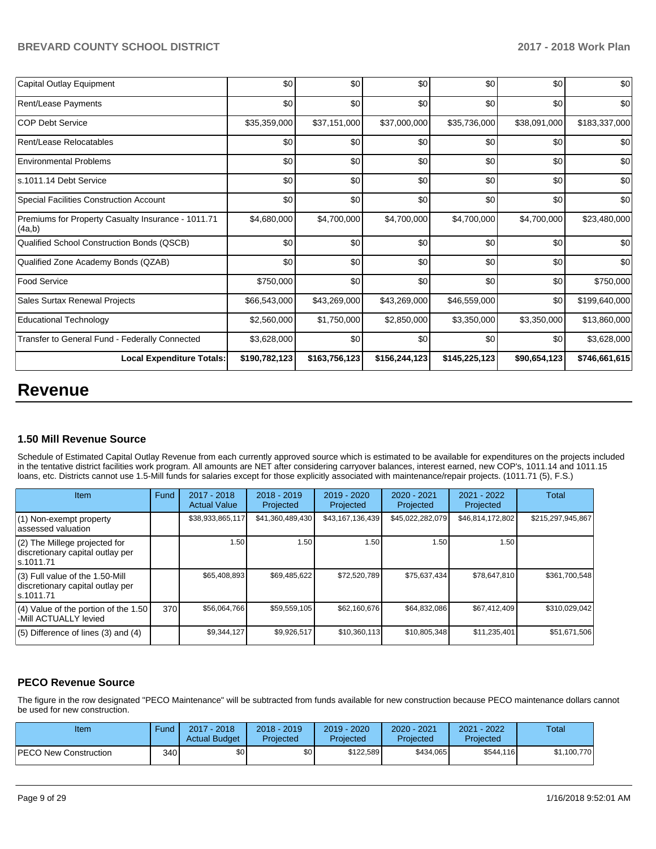| Capital Outlay Equipment                                     | \$0           | \$0           | \$0           | \$0           | \$0          | \$0           |
|--------------------------------------------------------------|---------------|---------------|---------------|---------------|--------------|---------------|
| Rent/Lease Payments                                          | \$0           | \$0           | \$0           | \$0           | \$0          | \$0           |
| <b>COP Debt Service</b>                                      | \$35,359,000  | \$37,151,000  | \$37,000,000  | \$35,736,000  | \$38,091,000 | \$183,337,000 |
| Rent/Lease Relocatables                                      | \$0           | \$0           | \$0           | \$0           | \$0          | \$0           |
| <b>Environmental Problems</b>                                | \$0           | \$0           | \$0           | \$0           | \$0          | \$0           |
| s.1011.14 Debt Service                                       | \$0           | \$0           | \$0           | \$0           | \$0          | \$0           |
| <b>Special Facilities Construction Account</b>               | \$0           | \$0           | \$0           | \$0           | \$0          | \$0           |
| Premiums for Property Casualty Insurance - 1011.71<br>(4a,b) | \$4,680,000   | \$4,700,000   | \$4,700,000   | \$4,700,000   | \$4,700,000  | \$23,480,000  |
| Qualified School Construction Bonds (QSCB)                   | \$0           | \$0           | \$0           | \$0           | \$0          | \$0           |
| Qualified Zone Academy Bonds (QZAB)                          | \$0           | \$0           | \$0           | \$0           | \$0          | \$0           |
| Food Service                                                 | \$750,000     | \$0           | \$0           | \$0           | \$0          | \$750,000     |
| Sales Surtax Renewal Projects                                | \$66,543,000  | \$43,269,000  | \$43,269,000  | \$46,559,000  | \$0          | \$199,640,000 |
| <b>Educational Technology</b>                                | \$2,560,000   | \$1,750,000   | \$2,850,000   | \$3,350,000   | \$3,350,000  | \$13,860,000  |
| Transfer to General Fund - Federally Connected               | \$3,628,000   | \$0           | \$0           | \$0           | \$0          | \$3,628,000   |
| <b>Local Expenditure Totals:</b>                             | \$190,782,123 | \$163,756,123 | \$156,244,123 | \$145,225,123 | \$90,654,123 | \$746,661,615 |

# **Revenue**

### **1.50 Mill Revenue Source**

Schedule of Estimated Capital Outlay Revenue from each currently approved source which is estimated to be available for expenditures on the projects included in the tentative district facilities work program. All amounts are NET after considering carryover balances, interest earned, new COP's, 1011.14 and 1011.15 loans, etc. Districts cannot use 1.5-Mill funds for salaries except for those explicitly associated with maintenance/repair projects. (1011.71 (5), F.S.)

| Item                                                                                | Fund | $2017 - 2018$<br><b>Actual Value</b> | $2018 - 2019$<br>Projected | 2019 - 2020<br>Projected | $2020 - 2021$<br>Projected | 2021 - 2022<br>Projected | <b>Total</b>      |
|-------------------------------------------------------------------------------------|------|--------------------------------------|----------------------------|--------------------------|----------------------------|--------------------------|-------------------|
| (1) Non-exempt property<br>lassessed valuation                                      |      | \$38,933,865,117                     | \$41,360,489,430           | \$43,167,136,439         | \$45,022,282,079           | \$46,814,172,802         | \$215,297,945,867 |
| (2) The Millege projected for<br>discretionary capital outlay per<br>ls.1011.71     |      | 1.50                                 | 1.50                       | 1.50                     | 1.50                       | 1.50                     |                   |
| $(3)$ Full value of the 1.50-Mill<br>discretionary capital outlay per<br>ls.1011.71 |      | \$65,408,893                         | \$69,485,622               | \$72,520,789             | \$75,637,434               | \$78,647,810             | \$361,700,548     |
| $(4)$ Value of the portion of the 1.50<br>-Mill ACTUALLY levied                     | 370  | \$56,064,766                         | \$59,559,105               | \$62,160,676             | \$64,832,086               | \$67,412,409             | \$310,029,042     |
| $(5)$ Difference of lines $(3)$ and $(4)$                                           |      | \$9,344,127                          | \$9,926,517                | \$10,360,113             | \$10,805,348               | \$11,235,401             | \$51,671,506      |

## **PECO Revenue Source**

The figure in the row designated "PECO Maintenance" will be subtracted from funds available for new construction because PECO maintenance dollars cannot be used for new construction.

| Item                         | Fund | $2017 - 2018$<br><b>Actual Budget</b> | $2018 - 2019$<br>Projected | 2019 - 2020<br>Projected | 2020 - 2021<br>Projected | 2021<br>$-2022$<br>Projected | Total       |
|------------------------------|------|---------------------------------------|----------------------------|--------------------------|--------------------------|------------------------------|-------------|
| <b>PECO New Construction</b> | 340  | \$0 <sub>1</sub>                      | \$0 <sub>1</sub>           | \$122.589                | \$434,065                | \$544,116                    | \$1,100,770 |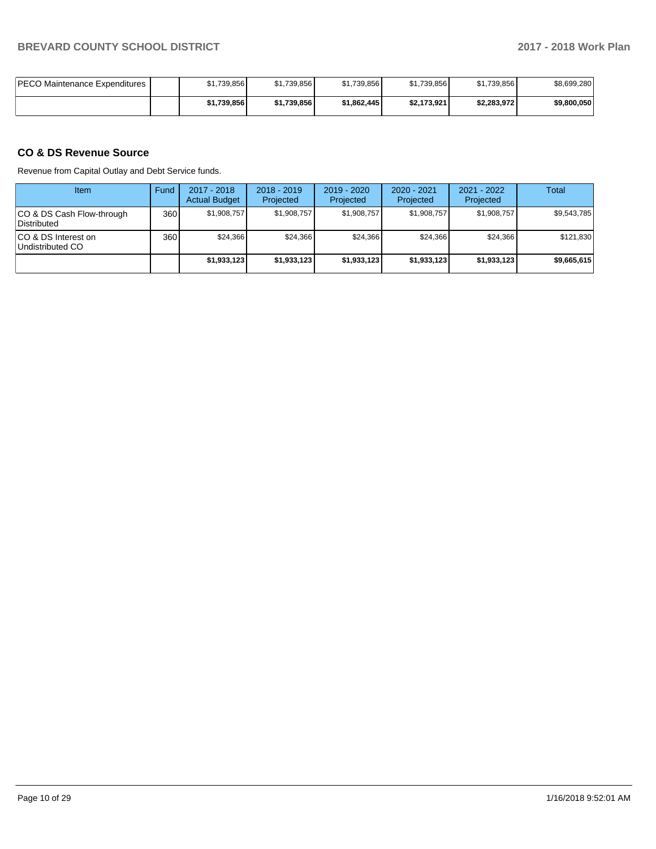| <b>PECO Maintenance Expenditures</b> | \$1,739,856 | \$1,739,856 | \$1,739,856 | \$1,739,856 | \$1,739,856 | \$8,699,280 |
|--------------------------------------|-------------|-------------|-------------|-------------|-------------|-------------|
|                                      | \$1.739.856 | \$1.739.856 | \$1,862,445 | \$2.173.921 | \$2,283,972 | \$9,800,050 |

## **CO & DS Revenue Source**

Revenue from Capital Outlay and Debt Service funds.

| Item                                      | Fund | 2017 - 2018<br><b>Actual Budget</b> | $2018 - 2019$<br>Projected | $2019 - 2020$<br>Projected | $2020 - 2021$<br>Projected | $2021 - 2022$<br>Projected | Total       |
|-------------------------------------------|------|-------------------------------------|----------------------------|----------------------------|----------------------------|----------------------------|-------------|
| ICO & DS Cash Flow-through<br>Distributed | 360  | \$1.908.757                         | \$1,908,757                | \$1.908.757                | \$1.908.757                | \$1,908,757                | \$9.543.785 |
| ICO & DS Interest on<br>Undistributed CO  | 360  | \$24.366                            | \$24.366                   | \$24.366                   | \$24.366                   | \$24.366                   | \$121,830   |
|                                           |      | \$1,933,123                         | \$1,933,123                | \$1,933,123                | \$1,933,123                | \$1,933,123                | \$9,665,615 |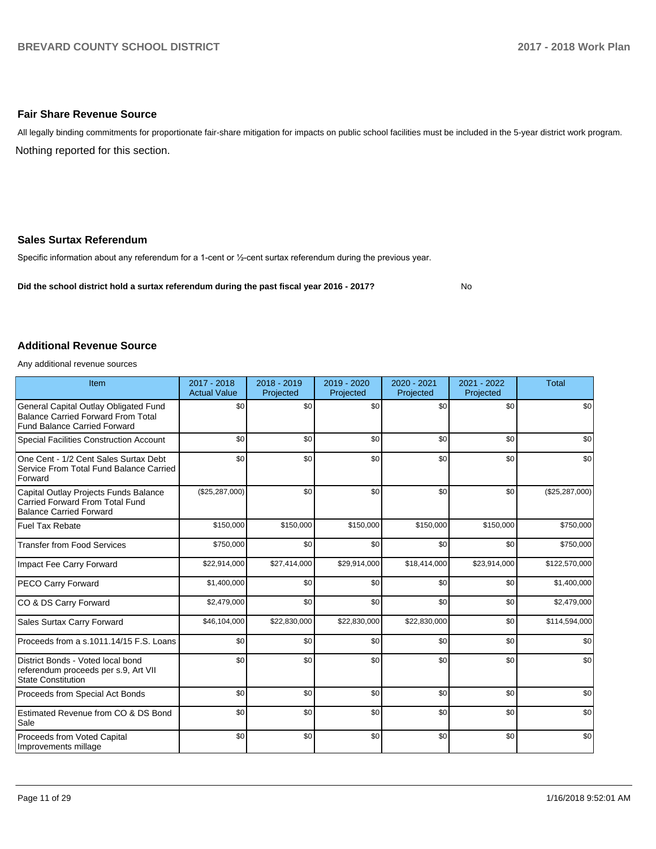#### **Fair Share Revenue Source**

Nothing reported for this section. All legally binding commitments for proportionate fair-share mitigation for impacts on public school facilities must be included in the 5-year district work program.

#### **Sales Surtax Referendum**

Specific information about any referendum for a 1-cent or 1/2-cent surtax referendum during the previous year.

**Did the school district hold a surtax referendum during the past fiscal year 2016 - 2017?**

No

#### **Additional Revenue Source**

Any additional revenue sources

| Item                                                                                                                      | $2017 - 2018$<br><b>Actual Value</b> | $2018 - 2019$<br>Projected | 2019 - 2020<br>Projected | 2020 - 2021<br>Projected | 2021 - 2022<br>Projected | <b>Total</b>     |
|---------------------------------------------------------------------------------------------------------------------------|--------------------------------------|----------------------------|--------------------------|--------------------------|--------------------------|------------------|
| General Capital Outlay Obligated Fund<br><b>Balance Carried Forward From Total</b><br><b>Fund Balance Carried Forward</b> | \$0                                  | \$0                        | \$0                      | \$0                      | \$0                      | \$0              |
| <b>Special Facilities Construction Account</b>                                                                            | \$0                                  | \$0                        | \$0                      | \$0                      | \$0                      | \$0              |
| One Cent - 1/2 Cent Sales Surtax Debt<br>Service From Total Fund Balance Carried<br>Forward                               | \$0                                  | \$0                        | \$0                      | \$0                      | \$0                      | \$0              |
| Capital Outlay Projects Funds Balance<br>Carried Forward From Total Fund<br><b>Balance Carried Forward</b>                | (\$25, 287, 000)                     | \$0                        | \$0                      | \$0                      | \$0                      | (\$25, 287, 000) |
| <b>Fuel Tax Rebate</b>                                                                                                    | \$150,000                            | \$150,000                  | \$150,000                | \$150,000                | \$150,000                | \$750,000        |
| <b>Transfer from Food Services</b>                                                                                        | \$750,000                            | \$0                        | \$0                      | \$0                      | \$0                      | \$750,000        |
| Impact Fee Carry Forward                                                                                                  | \$22,914,000                         | \$27,414,000               | \$29,914,000             | \$18,414,000             | \$23,914,000             | \$122,570,000    |
| PECO Carry Forward                                                                                                        | \$1,400,000                          | \$0                        | \$0                      | \$0                      | \$0                      | \$1,400,000      |
| CO & DS Carry Forward                                                                                                     | \$2,479,000                          | \$0                        | \$0                      | \$0                      | \$0                      | \$2,479,000      |
| Sales Surtax Carry Forward                                                                                                | \$46,104,000                         | \$22,830,000               | \$22,830,000             | \$22,830,000             | \$0                      | \$114,594,000    |
| Proceeds from a s.1011.14/15 F.S. Loans                                                                                   | \$0                                  | \$0                        | \$0                      | \$0                      | \$0                      | \$0              |
| District Bonds - Voted local bond<br>referendum proceeds per s.9, Art VII<br><b>State Constitution</b>                    | \$0                                  | \$0                        | \$0                      | \$0                      | \$0                      | \$0              |
| Proceeds from Special Act Bonds                                                                                           | \$0                                  | \$0                        | \$0                      | \$0                      | \$0                      | \$0              |
| Estimated Revenue from CO & DS Bond<br>Sale                                                                               | \$0                                  | \$0                        | \$0                      | \$0                      | \$0                      | \$0              |
| Proceeds from Voted Capital<br>Improvements millage                                                                       | \$0                                  | \$0                        | \$0                      | \$0                      | \$0                      | \$0              |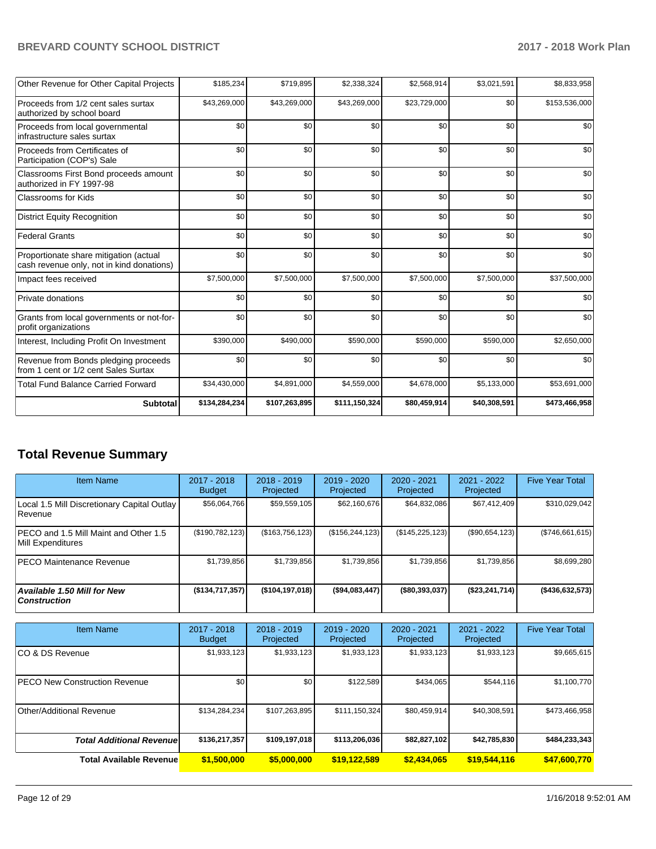| Other Revenue for Other Capital Projects                                            | \$185,234     | \$719,895     | \$2,338,324   | \$2,568,914  | \$3,021,591  | \$8,833,958   |
|-------------------------------------------------------------------------------------|---------------|---------------|---------------|--------------|--------------|---------------|
| Proceeds from 1/2 cent sales surtax<br>authorized by school board                   | \$43,269,000  | \$43,269,000  | \$43,269,000  | \$23,729,000 | \$0          | \$153,536,000 |
| Proceeds from local governmental<br>infrastructure sales surtax                     | \$0           | \$0           | \$0           | \$0          | \$0          | \$0           |
| Proceeds from Certificates of<br>Participation (COP's) Sale                         | \$0           | \$0           | \$0           | \$0          | \$0          | \$0           |
| Classrooms First Bond proceeds amount<br>authorized in FY 1997-98                   | \$0           | \$0           | \$0           | \$0          | \$0          | \$0           |
| <b>Classrooms for Kids</b>                                                          | \$0           | \$0           | \$0           | \$0          | \$0          | \$0           |
| <b>District Equity Recognition</b>                                                  | \$0           | \$0           | \$0           | \$0          | \$0          | \$0           |
| <b>Federal Grants</b>                                                               | \$0           | \$0           | \$0           | \$0          | \$0          | \$0           |
| Proportionate share mitigation (actual<br>cash revenue only, not in kind donations) | \$0           | \$0           | \$0           | \$0          | \$0          | \$0           |
| Impact fees received                                                                | \$7,500,000   | \$7,500,000   | \$7,500,000   | \$7,500,000  | \$7,500,000  | \$37,500,000  |
| Private donations                                                                   | \$0           | \$0           | \$0           | \$0          | \$0          | \$0           |
| Grants from local governments or not-for-<br>profit organizations                   | \$0           | \$0           | \$0           | \$0          | \$0          | \$0           |
| Interest, Including Profit On Investment                                            | \$390,000     | \$490,000     | \$590,000     | \$590,000    | \$590,000    | \$2,650,000   |
| Revenue from Bonds pledging proceeds<br>from 1 cent or 1/2 cent Sales Surtax        | \$0           | \$0           | \$0           | \$0          | \$0          | \$0           |
| <b>Total Fund Balance Carried Forward</b>                                           | \$34,430,000  | \$4,891,000   | \$4,559,000   | \$4,678,000  | \$5,133,000  | \$53,691,000  |
| <b>Subtotal</b>                                                                     | \$134,284,234 | \$107,263,895 | \$111,150,324 | \$80,459,914 | \$40,308,591 | \$473,466,958 |

# **Total Revenue Summary**

| Item Name                                                   | 2017 - 2018<br><b>Budget</b> | $2018 - 2019$<br>Projected | $2019 - 2020$<br>Projected | $2020 - 2021$<br>Projected | 2021 - 2022<br>Projected | <b>Five Year Total</b> |
|-------------------------------------------------------------|------------------------------|----------------------------|----------------------------|----------------------------|--------------------------|------------------------|
| Local 1.5 Mill Discretionary Capital Outlay<br>l Revenue    | \$56,064,766                 | \$59,559,105               | \$62,160,676               | \$64,832,086               | \$67,412,409             | \$310,029,042          |
| IPECO and 1.5 Mill Maint and Other 1.5<br>Mill Expenditures | (\$190,782,123)              | (\$163,756,123)            | (\$156, 244, 123)          | (\$145, 225, 123)          | (\$90,654,123)           | (\$746,661,615)        |
| <b>PECO Maintenance Revenue</b>                             | \$1,739,856                  | \$1.739.856                | \$1,739,856                | \$1.739.856                | \$1.739.856              | \$8,699,280            |
| <b>Available 1.50 Mill for New</b><br><b>Construction</b>   | ( \$134, 717, 357)           | (\$104, 197, 018)          | (\$94,083,447)             | (\$80,393,037)             | (\$23, 241, 714)         | ( \$436, 632, 573]     |

| <b>Item Name</b>                      | $2017 - 2018$<br><b>Budget</b> | $2018 - 2019$<br>Projected | $2019 - 2020$<br>Projected | $2020 - 2021$<br>Projected | $2021 - 2022$<br>Projected | <b>Five Year Total</b> |
|---------------------------------------|--------------------------------|----------------------------|----------------------------|----------------------------|----------------------------|------------------------|
| ICO & DS Revenue                      | \$1,933,123                    | \$1,933,123                | \$1,933,123                | \$1,933,123                | \$1,933,123                | \$9,665,615            |
| <b>IPECO New Construction Revenue</b> | \$0                            | \$0                        | \$122.589                  | \$434,065                  | \$544,116                  | \$1,100,770            |
| Other/Additional Revenue              | \$134,284,234                  | \$107.263.895              | \$111,150,324              | \$80,459,914               | \$40,308,591               | \$473,466,958          |
| <b>Total Additional Revenuel</b>      | \$136,217,357                  | \$109,197,018              | \$113,206,036              | \$82,827,102               | \$42,785,830               | \$484,233,343          |
| <b>Total Available Revenue</b>        | \$1,500,000                    | \$5,000,000                | \$19.122.589               | \$2,434,065                | \$19,544,116               | \$47,600,770           |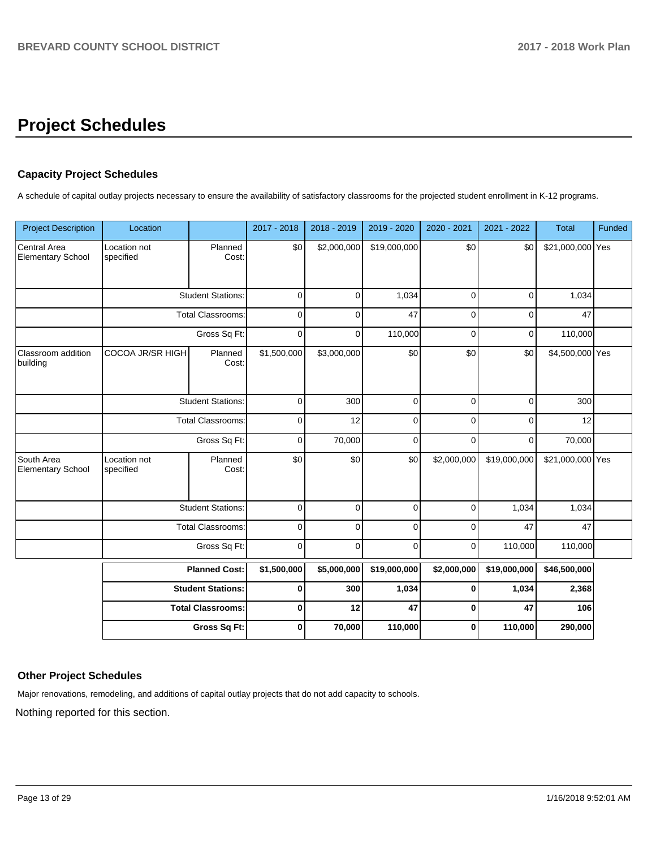# **Project Schedules**

## **Capacity Project Schedules**

A schedule of capital outlay projects necessary to ensure the availability of satisfactory classrooms for the projected student enrollment in K-12 programs.

| <b>Project Description</b>               | Location                  |                          | 2017 - 2018 | 2018 - 2019 | 2019 - 2020  | 2020 - 2021    | 2021 - 2022  | <b>Total</b>     | Funded |
|------------------------------------------|---------------------------|--------------------------|-------------|-------------|--------------|----------------|--------------|------------------|--------|
| Central Area<br><b>Elementary School</b> | Location not<br>specified | Planned<br>Cost:         | \$0         | \$2,000,000 | \$19,000,000 | \$0            | \$0          | \$21,000,000 Yes |        |
|                                          |                           | <b>Student Stations:</b> | $\mathbf 0$ | 0           | 1,034        | 0              | 0            | 1,034            |        |
|                                          |                           | <b>Total Classrooms:</b> | $\mathbf 0$ | $\mathbf 0$ | 47           | 0              | 0            | 47               |        |
|                                          |                           | Gross Sq Ft:             | $\mathbf 0$ | 0           | 110,000      | 0              | $\mathbf 0$  | 110,000          |        |
| Classroom addition<br>building           | COCOA JR/SR HIGH          | Planned<br>Cost:         | \$1,500,000 | \$3,000,000 | \$0          | \$0            | \$0          | \$4,500,000 Yes  |        |
|                                          |                           | <b>Student Stations:</b> | $\mathbf 0$ | 300         | $\mathbf 0$  | $\mathbf 0$    | 0            | 300              |        |
|                                          | <b>Total Classrooms:</b>  |                          | $\mathbf 0$ | 12          | $\mathbf 0$  | 0              | 0            | 12               |        |
|                                          |                           | Gross Sq Ft:             | $\mathbf 0$ | 70,000      | $\mathbf 0$  | 0              | $\mathbf 0$  | 70,000           |        |
| South Area<br><b>Elementary School</b>   | Location not<br>specified | Planned<br>Cost:         | \$0         | \$0         | \$0          | \$2,000,000    | \$19,000,000 | \$21,000,000 Yes |        |
|                                          |                           | <b>Student Stations:</b> | $\pmb{0}$   | $\mathbf 0$ | $\mathbf 0$  | 0              | 1,034        | 1,034            |        |
|                                          |                           | <b>Total Classrooms:</b> | $\mathbf 0$ | 0           | $\mathbf 0$  | 0              | 47           | 47               |        |
|                                          |                           | Gross Sq Ft:             | $\mathbf 0$ | $\mathbf 0$ | $\mathbf 0$  | $\overline{0}$ | 110,000      | 110,000          |        |
|                                          |                           | <b>Planned Cost:</b>     | \$1,500,000 | \$5,000,000 | \$19,000,000 | \$2,000,000    | \$19,000,000 | \$46,500,000     |        |
|                                          |                           | <b>Student Stations:</b> | $\bf{0}$    | 300         | 1,034        | 0              | 1,034        | 2,368            |        |
|                                          |                           | <b>Total Classrooms:</b> | $\mathbf 0$ | 12          | 47           | 0              | 47           | 106              |        |
|                                          |                           | Gross Sq Ft:             | $\mathbf 0$ | 70,000      | 110,000      | 0              | 110,000      | 290,000          |        |

### **Other Project Schedules**

Major renovations, remodeling, and additions of capital outlay projects that do not add capacity to schools.

Nothing reported for this section.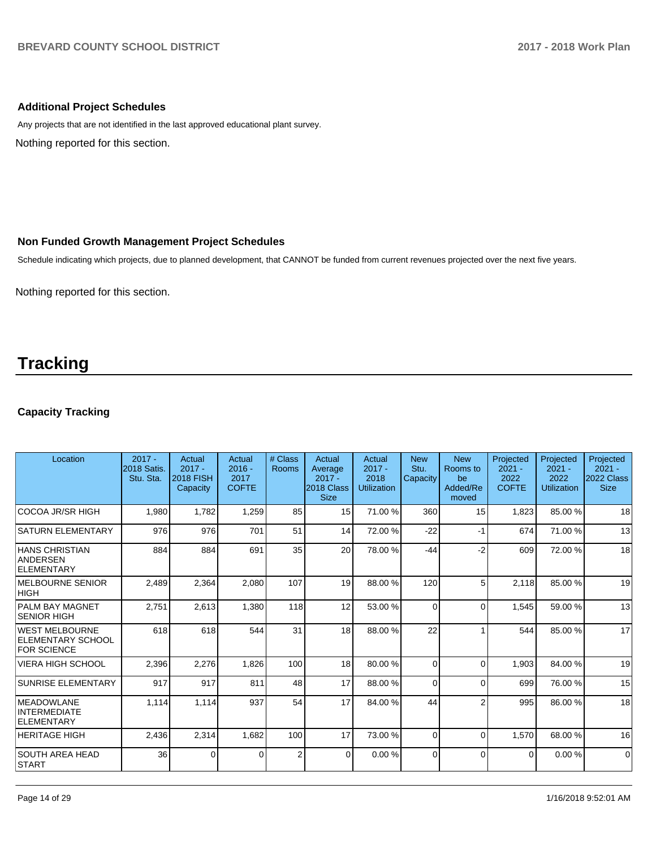### **Additional Project Schedules**

Any projects that are not identified in the last approved educational plant survey.

Nothing reported for this section.

### **Non Funded Growth Management Project Schedules**

Schedule indicating which projects, due to planned development, that CANNOT be funded from current revenues projected over the next five years.

Nothing reported for this section.

# **Tracking**

## **Capacity Tracking**

| Location                                                                | $2017 -$<br>2018 Satis.<br>Stu. Sta. | Actual<br>$2017 -$<br><b>2018 FISH</b><br>Capacity | Actual<br>$2016 -$<br>2017<br><b>COFTE</b> | # Class<br>Rooms | Actual<br>Average<br>$2017 -$<br>2018 Class<br><b>Size</b> | Actual<br>$2017 -$<br>2018<br><b>Utilization</b> | <b>New</b><br>Stu.<br>Capacity | <b>New</b><br>Rooms to<br>be<br>Added/Re<br>moved | Projected<br>$2021 -$<br>2022<br><b>COFTE</b> | Projected<br>$2021 -$<br>2022<br><b>Utilization</b> | Projected<br>$2021 -$<br>2022 Class<br><b>Size</b> |
|-------------------------------------------------------------------------|--------------------------------------|----------------------------------------------------|--------------------------------------------|------------------|------------------------------------------------------------|--------------------------------------------------|--------------------------------|---------------------------------------------------|-----------------------------------------------|-----------------------------------------------------|----------------------------------------------------|
| COCOA JR/SR HIGH                                                        | 1,980                                | 1,782                                              | 1,259                                      | 85               | 15                                                         | 71.00%                                           | 360                            | 15                                                | 1,823                                         | 85.00 %                                             | 18                                                 |
| <b>SATURN ELEMENTARY</b>                                                | 976                                  | 976                                                | 701                                        | 51               | 14                                                         | 72.00 %                                          | $-22$                          | -1                                                | 674                                           | 71.00 %                                             | 13                                                 |
| <b>HANS CHRISTIAN</b><br><b>ANDERSEN</b><br><b>ELEMENTARY</b>           | 884                                  | 884                                                | 691                                        | 35               | 20                                                         | 78.00 %                                          | $-44$                          | -2                                                | 609                                           | 72.00 %                                             | 18                                                 |
| <b>MELBOURNE SENIOR</b><br><b>HIGH</b>                                  | 2,489                                | 2,364                                              | 2,080                                      | 107              | 19                                                         | 88.00 %                                          | 120                            | 5                                                 | 2,118                                         | 85.00 %                                             | 19                                                 |
| PALM BAY MAGNET<br><b>SENIOR HIGH</b>                                   | 2,751                                | 2,613                                              | 1,380                                      | 118              | 12                                                         | 53.00 %                                          | $\Omega$                       | $\Omega$                                          | 1,545                                         | 59.00 %                                             | 13                                                 |
| <b>WEST MELBOURNE</b><br><b>ELEMENTARY SCHOOL</b><br><b>FOR SCIENCE</b> | 618                                  | 618                                                | 544                                        | 31               | 18                                                         | 88.00 %                                          | 22                             |                                                   | 544                                           | 85.00 %                                             | 17                                                 |
| <b>VIERA HIGH SCHOOL</b>                                                | 2,396                                | 2,276                                              | 1,826                                      | 100              | 18                                                         | 80.00 %                                          | $\Omega$                       | $\Omega$                                          | 1,903                                         | 84.00%                                              | 19                                                 |
| <b>SUNRISE ELEMENTARY</b>                                               | 917                                  | 917                                                | 811                                        | 48               | 17                                                         | 88.00 %                                          | $\Omega$                       | $\Omega$                                          | 699                                           | 76.00 %                                             | 15                                                 |
| <b>MEADOWLANE</b><br><b>INTERMEDIATE</b><br>ELEMENTARY                  | 1,114                                | 1,114                                              | 937                                        | 54               | 17                                                         | 84.00 %                                          | 44                             |                                                   | 995                                           | 86.00 %                                             | 18                                                 |
| <b>HERITAGE HIGH</b>                                                    | 2,436                                | 2,314                                              | 1,682                                      | 100              | 17                                                         | 73.00 %                                          | $\Omega$                       | $\Omega$                                          | 1.570                                         | 68.00 %                                             | 16                                                 |
| <b>SOUTH AREA HEAD</b><br><b>START</b>                                  | 36                                   | 0                                                  | <sup>0</sup>                               | $\overline{2}$   | $\Omega$                                                   | 0.00%                                            | 0                              | $\Omega$                                          | $\Omega$                                      | 0.00%                                               | $\overline{0}$                                     |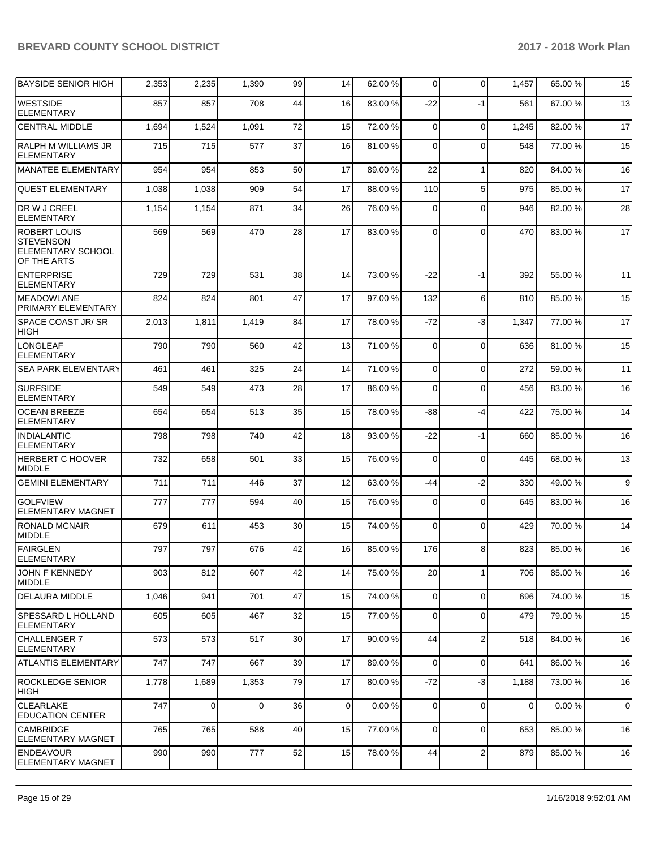| <b>BAYSIDE SENIOR HIGH</b>                                                         | 2,353 | 2,235          | 1,390 | 99 | 14             | 62.00 % | $\overline{0}$ | $\Omega$       | 1,457       | 65.00 % | 15             |
|------------------------------------------------------------------------------------|-------|----------------|-------|----|----------------|---------|----------------|----------------|-------------|---------|----------------|
| <b>WESTSIDE</b><br><b>ELEMENTARY</b>                                               | 857   | 857            | 708   | 44 | 16             | 83.00 % | -22            | $-1$           | 561         | 67.00 % | 13             |
| <b>CENTRAL MIDDLE</b>                                                              | 1,694 | 1,524          | 1,091 | 72 | 15             | 72.00 % | $\mathbf 0$    | $\mathbf 0$    | 1,245       | 82.00%  | 17             |
| RALPH M WILLIAMS JR<br><b>ELEMENTARY</b>                                           | 715   | 715            | 577   | 37 | 16             | 81.00%  | $\mathbf 0$    | $\Omega$       | 548         | 77.00 % | 15             |
| MANATEE ELEMENTARY                                                                 | 954   | 954            | 853   | 50 | 17             | 89.00 % | 22             | $\overline{1}$ | 820         | 84.00 % | 16             |
| <b>QUEST ELEMENTARY</b>                                                            | 1,038 | 1,038          | 909   | 54 | 17             | 88.00 % | 110            | 5              | 975         | 85.00 % | 17             |
| DR W J CREEL<br><b>ELEMENTARY</b>                                                  | 1,154 | 1,154          | 871   | 34 | 26             | 76.00 % | 0              | $\Omega$       | 946         | 82.00 % | 28             |
| <b>ROBERT LOUIS</b><br><b>STEVENSON</b><br><b>ELEMENTARY SCHOOL</b><br>OF THE ARTS | 569   | 569            | 470   | 28 | 17             | 83.00 % | $\Omega$       | $\Omega$       | 470         | 83.00 % | 17             |
| <b>ENTERPRISE</b><br><b>ELEMENTARY</b>                                             | 729   | 729            | 531   | 38 | 14             | 73.00 % | $-22$          | $-1$           | 392         | 55.00 % | 11             |
| <b>MEADOWLANE</b><br>PRIMARY ELEMENTARY                                            | 824   | 824            | 801   | 47 | 17             | 97.00 % | 132            | 6              | 810         | 85.00 % | 15             |
| SPACE COAST JR/SR<br>HIGH                                                          | 2,013 | 1,811          | 1,419 | 84 | 17             | 78.00 % | $-72$          | $-3$           | 1,347       | 77.00 % | 17             |
| <b>LONGLEAF</b><br><b>ELEMENTARY</b>                                               | 790   | 790            | 560   | 42 | 13             | 71.00 % | $\mathbf 0$    | $\mathbf 0$    | 636         | 81.00%  | 15             |
| <b>SEA PARK ELEMENTARY</b>                                                         | 461   | 461            | 325   | 24 | 14             | 71.00 % | $\mathbf 0$    | $\mathbf 0$    | 272         | 59.00 % | 11             |
| <b>SURFSIDE</b><br><b>ELEMENTARY</b>                                               | 549   | 549            | 473   | 28 | 17             | 86.00 % | 0              | $\Omega$       | 456         | 83.00 % | 16             |
| <b>OCEAN BREEZE</b><br><b>ELEMENTARY</b>                                           | 654   | 654            | 513   | 35 | 15             | 78.00 % | -88            | $-4$           | 422         | 75.00 % | 14             |
| <b>INDIALANTIC</b><br><b>ELEMENTARY</b>                                            | 798   | 798            | 740   | 42 | 18             | 93.00 % | -22            | $-1$           | 660         | 85.00 % | 16             |
| <b>HERBERT C HOOVER</b><br><b>MIDDLE</b>                                           | 732   | 658            | 501   | 33 | 15             | 76.00 % | $\Omega$       | $\mathbf 0$    | 445         | 68.00%  | 13             |
| <b>GEMINI ELEMENTARY</b>                                                           | 711   | 711            | 446   | 37 | 12             | 63.00 % | -44            | $-2$           | 330         | 49.00 % | 9              |
| <b>GOLFVIEW</b><br>ELEMENTARY MAGNET                                               | 777   | 777            | 594   | 40 | 15             | 76.00 % | $\Omega$       | $\mathbf 0$    | 645         | 83.00 % | 16             |
| <b>RONALD MCNAIR</b><br><b>MIDDLE</b>                                              | 679   | 611            | 453   | 30 | 15             | 74.00 % | 0              | $\mathbf 0$    | 429         | 70.00%  | 14             |
| FAIRGLEN<br>ELEMENTARY                                                             | 797   | 797            | 676   | 42 | 16             | 85.00 % | 176            | 8              | 823         | 85.00 % | 16             |
| <b>JOHN F KENNEDY</b><br><b>MIDDLE</b>                                             | 903   | 812            | 607   | 42 | 14             | 75.00 % | 20             | $\mathbf 1$    | 706         | 85.00 % | 16             |
| DELAURA MIDDLE                                                                     | 1,046 | 941            | 701   | 47 | 15             | 74.00 % | $\mathbf 0$    | $\mathbf 0$    | 696         | 74.00 % | 15             |
| SPESSARD L HOLLAND<br><b>ELEMENTARY</b>                                            | 605   | 605            | 467   | 32 | 15             | 77.00 % | 0              | $\mathbf 0$    | 479         | 79.00 % | 15             |
| CHALLENGER 7<br><b>ELEMENTARY</b>                                                  | 573   | 573            | 517   | 30 | 17             | 90.00 % | 44             | $\overline{2}$ | 518         | 84.00 % | 16             |
| <b>ATLANTIS ELEMENTARY</b>                                                         | 747   | 747            | 667   | 39 | 17             | 89.00 % | $\Omega$       | $\mathbf 0$    | 641         | 86.00 % | 16             |
| <b>ROCKLEDGE SENIOR</b><br><b>HIGH</b>                                             | 1,778 | 1,689          | 1,353 | 79 | 17             | 80.00 % | $-72$          | -3             | 1,188       | 73.00 % | 16             |
| <b>CLEARLAKE</b><br><b>EDUCATION CENTER</b>                                        | 747   | $\overline{0}$ | 0     | 36 | $\overline{0}$ | 0.00%   | 0              | $\mathbf 0$    | $\mathbf 0$ | 0.00%   | $\overline{0}$ |
| <b>CAMBRIDGE</b><br>ELEMENTARY MAGNET                                              | 765   | 765            | 588   | 40 | 15             | 77.00 % | $\mathbf 0$    | $\mathbf 0$    | 653         | 85.00 % | 16             |
| <b>ENDEAVOUR</b><br>ELEMENTARY MAGNET                                              | 990   | 990            | 777   | 52 | 15             | 78.00 % | 44             | $\overline{2}$ | 879         | 85.00 % | 16             |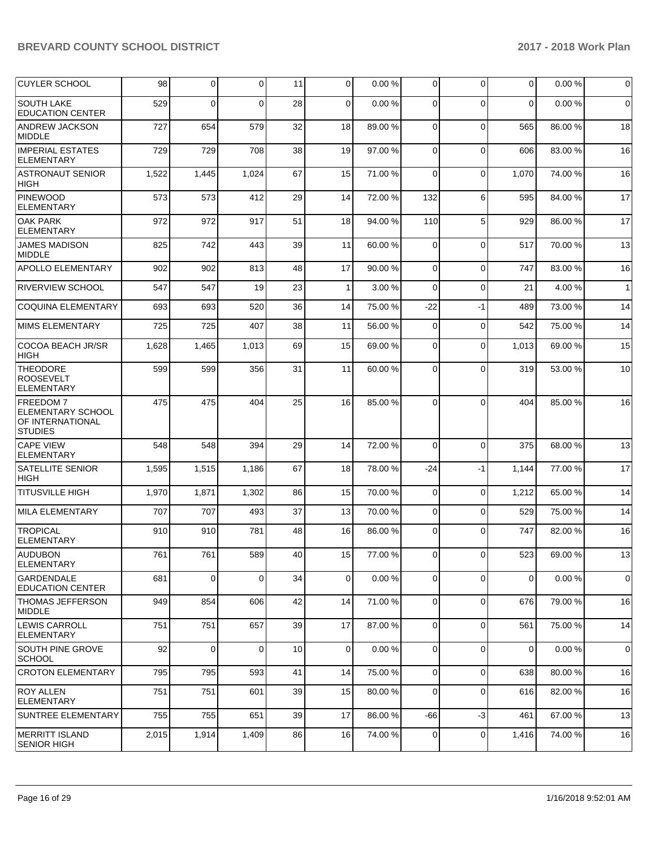| <b>CUYLER SCHOOL</b>                                                              | 98    | $\mathbf 0$ | $\Omega$    | 11 | $\Omega$     | 0.00%   | 0           | $\mathbf 0$ | $\mathbf 0$ | 0.00%   | $\mathbf 0$  |
|-----------------------------------------------------------------------------------|-------|-------------|-------------|----|--------------|---------|-------------|-------------|-------------|---------|--------------|
| <b>SOUTH LAKE</b><br><b>EDUCATION CENTER</b>                                      | 529   | 0           | $\Omega$    | 28 | $\Omega$     | 0.00%   | $\Omega$    | $\Omega$    | $\Omega$    | 0.00%   | $\mathbf 0$  |
| <b>ANDREW JACKSON</b><br><b>MIDDLE</b>                                            | 727   | 654         | 579         | 32 | 18           | 89.00 % | 0           | $\Omega$    | 565         | 86.00 % | 18           |
| <b>IMPERIAL ESTATES</b><br><b>ELEMENTARY</b>                                      | 729   | 729         | 708         | 38 | 19           | 97.00 % | $\mathbf 0$ | $\mathbf 0$ | 606         | 83.00 % | 16           |
| <b>ASTRONAUT SENIOR</b><br><b>HIGH</b>                                            | 1,522 | 1,445       | 1,024       | 67 | 15           | 71.00 % | $\Omega$    | $\mathbf 0$ | 1,070       | 74.00 % | 16           |
| <b>PINEWOOD</b><br><b>ELEMENTARY</b>                                              | 573   | 573         | 412         | 29 | 14           | 72.00 % | 132         | 6           | 595         | 84.00 % | 17           |
| <b>OAK PARK</b><br><b>ELEMENTARY</b>                                              | 972   | 972         | 917         | 51 | 18           | 94.00 % | 110         | 5           | 929         | 86.00 % | 17           |
| <b>JAMES MADISON</b><br><b>MIDDLE</b>                                             | 825   | 742         | 443         | 39 | 11           | 60.00 % | $\Omega$    | $\mathbf 0$ | 517         | 70.00 % | 13           |
| <b>APOLLO ELEMENTARY</b>                                                          | 902   | 902         | 813         | 48 | 17           | 90.00 % | 0           | $\mathbf 0$ | 747         | 83.00 % | 16           |
| <b>RIVERVIEW SCHOOL</b>                                                           | 547   | 547         | 19          | 23 | $\mathbf{1}$ | 3.00 %  | 0           | $\Omega$    | 21          | 4.00 %  | $\mathbf{1}$ |
| <b>COQUINA ELEMENTARY</b>                                                         | 693   | 693         | 520         | 36 | 14           | 75.00 % | $-22$       | $-1$        | 489         | 73.00 % | 14           |
| IMIMS ELEMENTARY                                                                  | 725   | 725         | 407         | 38 | 11           | 56.00 % | 0           | $\mathbf 0$ | 542         | 75.00 % | 14           |
| COCOA BEACH JR/SR<br><b>HIGH</b>                                                  | 1,628 | 1,465       | 1,013       | 69 | 15           | 69.00 % | 0           | $\mathbf 0$ | 1,013       | 69.00 % | 15           |
| <b>THEODORE</b><br><b>ROOSEVELT</b><br>ELEMENTARY                                 | 599   | 599         | 356         | 31 | 11           | 60.00%  | 0           | $\Omega$    | 319         | 53.00 % | 10           |
| <b>FREEDOM7</b><br><b>ELEMENTARY SCHOOL</b><br>OF INTERNATIONAL<br><b>STUDIES</b> | 475   | 475         | 404         | 25 | 16           | 85.00 % | $\Omega$    | $\Omega$    | 404         | 85.00 % | 16           |
| <b>CAPE VIEW</b><br><b>ELEMENTARY</b>                                             | 548   | 548         | 394         | 29 | 14           | 72.00 % | $\Omega$    | $\mathbf 0$ | 375         | 68.00 % | 13           |
| <b>SATELLITE SENIOR</b><br><b>HIGH</b>                                            | 1,595 | 1,515       | 1,186       | 67 | 18           | 78.00 % | -24         | $-1$        | 1,144       | 77.00 % | 17           |
| <b>TITUSVILLE HIGH</b>                                                            | 1,970 | 1,871       | 1,302       | 86 | 15           | 70.00 % | $\mathbf 0$ | $\mathbf 0$ | 1,212       | 65.00 % | 14           |
| MILA ELEMENTARY                                                                   | 707   | 707         | 493         | 37 | 13           | 70.00 % | $\mathbf 0$ | $\mathbf 0$ | 529         | 75.00 % | 14           |
| TROPICAL<br><b>ELEMENTARY</b>                                                     | 910   | 910         | 781         | 48 | 16           | 86.00 % | $\Omega$    | $\Omega$    | 747         | 82.00 % | 16           |
| <b>AUDUBON</b><br><b>ELEMENTARY</b>                                               | 761   | 7611        | 589         | 40 | 15           | 77.00 % | $\Omega$    | $\Omega$    | 523         | 69.00 % | 13           |
| <b>GARDENDALE</b><br><b>EDUCATION CENTER</b>                                      | 681   | $\mathbf 0$ | $\mathbf 0$ | 34 | 0            | 0.00%   | $\mathbf 0$ | $\mathbf 0$ | 0           | 0.00%   | 0            |
| <b>THOMAS JEFFERSON</b><br>MIDDLE                                                 | 949   | 854         | 606         | 42 | 14           | 71.00 % | $\mathbf 0$ | $\mathbf 0$ | 676         | 79.00 % | 16           |
| <b>ILEWIS CARROLL</b><br>ELEMENTARY                                               | 751   | 751         | 657         | 39 | 17           | 87.00 % | 0           | $\mathbf 0$ | 561         | 75.00 % | 14           |
| <b>SOUTH PINE GROVE</b><br><b>SCHOOL</b>                                          | 92    | $\mathbf 0$ | $\Omega$    | 10 | 0            | 0.00%   | $\mathbf 0$ | $\mathbf 0$ | $\mathbf 0$ | 0.00%   | 0            |
| <b>CROTON ELEMENTARY</b>                                                          | 795   | 795         | 593         | 41 | 14           | 75.00 % | $\mathbf 0$ | $\mathbf 0$ | 638         | 80.00 % | 16           |
| <b>ROY ALLEN</b><br><b>ELEMENTARY</b>                                             | 751   | 751         | 601         | 39 | 15           | 80.00%  | 0           | $\mathbf 0$ | 616         | 82.00 % | 16           |
| <b>SUNTREE ELEMENTARY</b>                                                         | 755   | 755         | 651         | 39 | 17           | 86.00 % | -66         | $-3$        | 461         | 67.00 % | 13           |
| <b>IMERRITT ISLAND</b><br> SENIOR HIGH                                            | 2,015 | 1,914       | 1,409       | 86 | 16           | 74.00 % | 0           | $\mathbf 0$ | 1,416       | 74.00 % | 16           |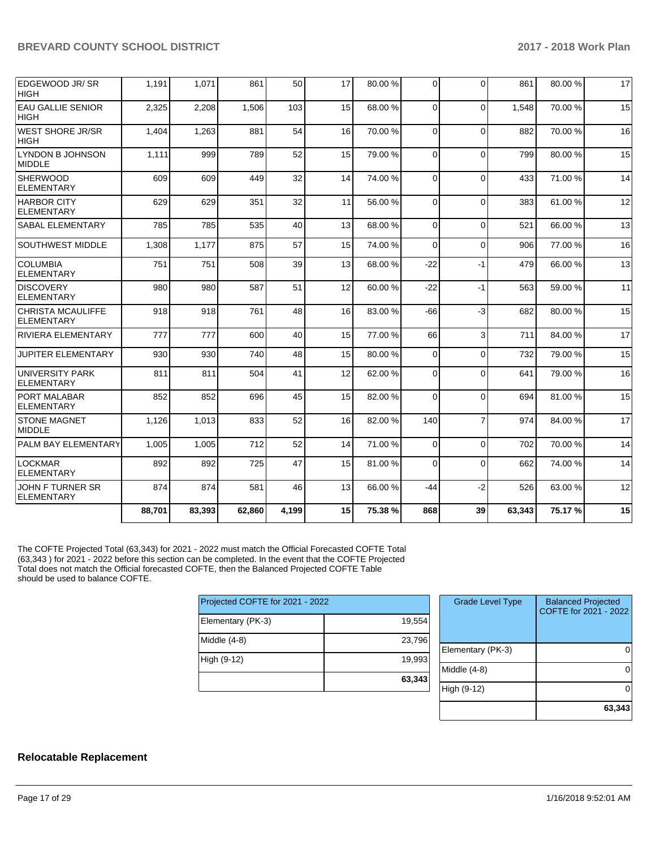| EDGEWOOD JR/ SR<br><b>HIGH</b>                | 1,191  | 1,071  | 861    | 50    | 17 | 80.00 % | 0           | $\Omega$       | 861    | 80.00 % | 17 |
|-----------------------------------------------|--------|--------|--------|-------|----|---------|-------------|----------------|--------|---------|----|
| <b>EAU GALLIE SENIOR</b><br><b>HIGH</b>       | 2,325  | 2,208  | 1,506  | 103   | 15 | 68.00 % | $\Omega$    | $\Omega$       | 1.548  | 70.00 % | 15 |
| <b>WEST SHORE JR/SR</b><br><b>HIGH</b>        | 1,404  | 1,263  | 881    | 54    | 16 | 70.00%  | $\Omega$    | $\Omega$       | 882    | 70.00%  | 16 |
| LYNDON B JOHNSON<br><b>MIDDLE</b>             | 1,111  | 999    | 789    | 52    | 15 | 79.00 % | $\Omega$    | $\Omega$       | 799    | 80.00 % | 15 |
| <b>SHERWOOD</b><br><b>ELEMENTARY</b>          | 609    | 609    | 449    | 32    | 14 | 74.00 % | $\Omega$    | $\Omega$       | 433    | 71.00 % | 14 |
| <b>HARBOR CITY</b><br><b>ELEMENTARY</b>       | 629    | 629    | 351    | 32    | 11 | 56.00 % | 0           | $\Omega$       | 383    | 61.00%  | 12 |
| <b>SABAL ELEMENTARY</b>                       | 785    | 785    | 535    | 40    | 13 | 68.00 % | $\Omega$    | $\Omega$       | 521    | 66.00 % | 13 |
| <b>SOUTHWEST MIDDLE</b>                       | 1,308  | 1,177  | 875    | 57    | 15 | 74.00 % | 0           | $\Omega$       | 906    | 77.00 % | 16 |
| <b>COLUMBIA</b><br><b>ELEMENTARY</b>          | 751    | 751    | 508    | 39    | 13 | 68.00 % | $-22$       | $-1$           | 479    | 66.00 % | 13 |
| <b>DISCOVERY</b><br><b>ELEMENTARY</b>         | 980    | 980    | 587    | 51    | 12 | 60.00 % | $-22$       | $-1$           | 563    | 59.00 % | 11 |
| <b>CHRISTA MCAULIFFE</b><br><b>ELEMENTARY</b> | 918    | 918    | 761    | 48    | 16 | 83.00 % | $-66$       | $-3$           | 682    | 80.00 % | 15 |
| RIVIERA ELEMENTARY                            | 777    | 777    | 600    | 40    | 15 | 77.00 % | 66          | 3              | 711    | 84.00 % | 17 |
| <b>JUPITER ELEMENTARY</b>                     | 930    | 930    | 740    | 48    | 15 | 80.00%  | $\mathbf 0$ | $\Omega$       | 732    | 79.00 % | 15 |
| UNIVERSITY PARK<br>ELEMENTARY                 | 811    | 811    | 504    | 41    | 12 | 62.00 % | $\Omega$    | $\Omega$       | 641    | 79.00 % | 16 |
| PORT MALABAR<br><b>ELEMENTARY</b>             | 852    | 852    | 696    | 45    | 15 | 82.00 % | $\Omega$    | $\Omega$       | 694    | 81.00%  | 15 |
| <b>STONE MAGNET</b><br><b>MIDDLE</b>          | 1,126  | 1.013  | 833    | 52    | 16 | 82.00 % | 140         | $\overline{7}$ | 974    | 84.00%  | 17 |
| <b>PALM BAY ELEMENTARY</b>                    | 1,005  | 1,005  | 712    | 52    | 14 | 71.00 % | $\mathbf 0$ | $\Omega$       | 702    | 70.00 % | 14 |
| <b>LOCKMAR</b><br><b>ELEMENTARY</b>           | 892    | 892    | 725    | 47    | 15 | 81.00%  | 0           | $\Omega$       | 662    | 74.00 % | 14 |
| <b>JOHN F TURNER SR</b><br><b>ELEMENTARY</b>  | 874    | 874    | 581    | 46    | 13 | 66.00 % | $-44$       | $-2$           | 526    | 63.00 % | 12 |
|                                               | 88,701 | 83,393 | 62,860 | 4.199 | 15 | 75.38%  | 868         | 39             | 63,343 | 75.17%  | 15 |

The COFTE Projected Total (63,343) for 2021 - 2022 must match the Official Forecasted COFTE Total (63,343 ) for 2021 - 2022 before this section can be completed. In the event that the COFTE Projected Total does not match the Official forecasted COFTE, then the Balanced Projected COFTE Table should be used to balance COFTE.

| Projected COFTE for 2021 - 2022 |        |  |  |  |  |  |
|---------------------------------|--------|--|--|--|--|--|
| Elementary (PK-3)               | 19,554 |  |  |  |  |  |
| Middle $(4-8)$                  | 23,796 |  |  |  |  |  |
| High (9-12)                     | 19,993 |  |  |  |  |  |
|                                 | 63,343 |  |  |  |  |  |

| <b>Grade Level Type</b> | <b>Balanced Projected</b><br>COFTE for 2021 - 2022 |
|-------------------------|----------------------------------------------------|
| Elementary (PK-3)       |                                                    |
| Middle $(4-8)$          |                                                    |
| High (9-12)             |                                                    |
|                         | 63,343                                             |

### **Relocatable Replacement**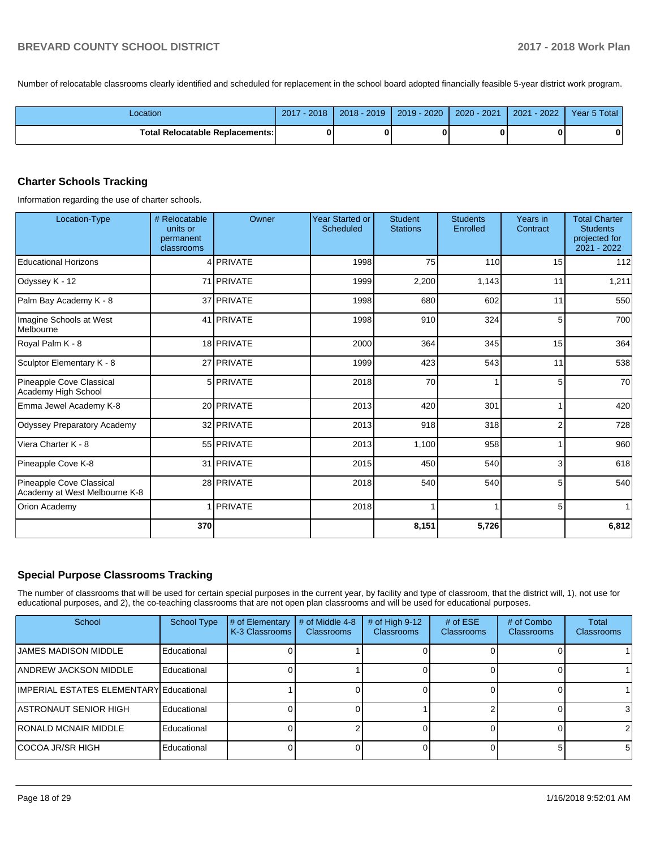Number of relocatable classrooms clearly identified and scheduled for replacement in the school board adopted financially feasible 5-year district work program.

| Location                               | 2017 - 2018 | 2018 - 2019 | 2019 - 2020 | 2020 - 2021 | $-2022$<br>2021 | Year 5 Total |
|----------------------------------------|-------------|-------------|-------------|-------------|-----------------|--------------|
| <b>Total Relocatable Replacements:</b> |             |             |             |             |                 | 0            |

#### **Charter Schools Tracking**

Information regarding the use of charter schools.

| Location-Type                                             | # Relocatable<br>units or<br>permanent<br>classrooms | Owner          | <b>Year Started or</b><br><b>Scheduled</b> | <b>Student</b><br><b>Stations</b> | <b>Students</b><br>Enrolled | Years in<br>Contract | <b>Total Charter</b><br><b>Students</b><br>projected for<br>2021 - 2022 |
|-----------------------------------------------------------|------------------------------------------------------|----------------|--------------------------------------------|-----------------------------------|-----------------------------|----------------------|-------------------------------------------------------------------------|
| <b>Educational Horizons</b>                               |                                                      | 4 PRIVATE      | 1998                                       | 75                                | 110                         | 15                   | 112                                                                     |
| Odyssey K - 12                                            |                                                      | 71 PRIVATE     | 1999                                       | 2,200                             | 1,143                       | 11                   | 1,211                                                                   |
| Palm Bay Academy K - 8                                    |                                                      | 37 PRIVATE     | 1998                                       | 680                               | 602                         | 11                   | 550                                                                     |
| Imagine Schools at West<br>Melbourne                      |                                                      | 41 PRIVATE     | 1998                                       | 910                               | 324                         | 5                    | 700                                                                     |
| Royal Palm K - 8                                          |                                                      | 18 PRIVATE     | 2000                                       | 364                               | 345                         | 15                   | 364                                                                     |
| Sculptor Elementary K - 8                                 |                                                      | 27 PRIVATE     | 1999                                       | 423                               | 543                         | 11                   | 538                                                                     |
| Pineapple Cove Classical<br>Academy High School           |                                                      | 5 PRIVATE      | 2018                                       | 70                                |                             | 5                    | 70                                                                      |
| Emma Jewel Academy K-8                                    |                                                      | 20 PRIVATE     | 2013                                       | 420                               | 301                         |                      | 420                                                                     |
| Odyssey Preparatory Academy                               |                                                      | 32 PRIVATE     | 2013                                       | 918                               | 318                         | $\overline{2}$       | 728                                                                     |
| Viera Charter K - 8                                       |                                                      | 55 PRIVATE     | 2013                                       | 1,100                             | 958                         |                      | 960                                                                     |
| Pineapple Cove K-8                                        |                                                      | 31 PRIVATE     | 2015                                       | 450                               | 540                         | 3                    | 618                                                                     |
| Pineapple Cove Classical<br>Academy at West Melbourne K-8 |                                                      | 28 PRIVATE     | 2018                                       | 540                               | 540                         | 5                    | 540                                                                     |
| Orion Academy                                             |                                                      | <b>PRIVATE</b> | 2018                                       | 1                                 |                             | 5                    | 1                                                                       |
|                                                           | 370                                                  |                |                                            | 8,151                             | 5,726                       |                      | 6,812                                                                   |

### **Special Purpose Classrooms Tracking**

The number of classrooms that will be used for certain special purposes in the current year, by facility and type of classroom, that the district will, 1), not use for educational purposes, and 2), the co-teaching classrooms that are not open plan classrooms and will be used for educational purposes.

| School                                         | <b>School Type</b> | # of Elementary<br>K-3 Classrooms | # of Middle 4-8<br><b>Classrooms</b> | # of High $9-12$<br>Classrooms | # of $ESE$<br><b>Classrooms</b> | # of Combo<br>Classrooms | <b>Total</b><br>Classrooms |
|------------------------------------------------|--------------------|-----------------------------------|--------------------------------------|--------------------------------|---------------------------------|--------------------------|----------------------------|
| <b>JAMES MADISON MIDDLE</b>                    | Educational        |                                   |                                      |                                |                                 |                          |                            |
| IANDREW JACKSON MIDDLE                         | Educational        |                                   |                                      |                                |                                 |                          |                            |
| <b>IMPERIAL ESTATES ELEMENTARY Educational</b> |                    |                                   |                                      |                                |                                 |                          |                            |
| <b>ASTRONAUT SENIOR HIGH</b>                   | Educational        |                                   |                                      |                                |                                 |                          |                            |
| RONALD MCNAIR MIDDLE                           | Educational        |                                   |                                      |                                |                                 |                          |                            |
| ICOCOA JR/SR HIGH                              | Educational        |                                   |                                      |                                |                                 |                          | 51                         |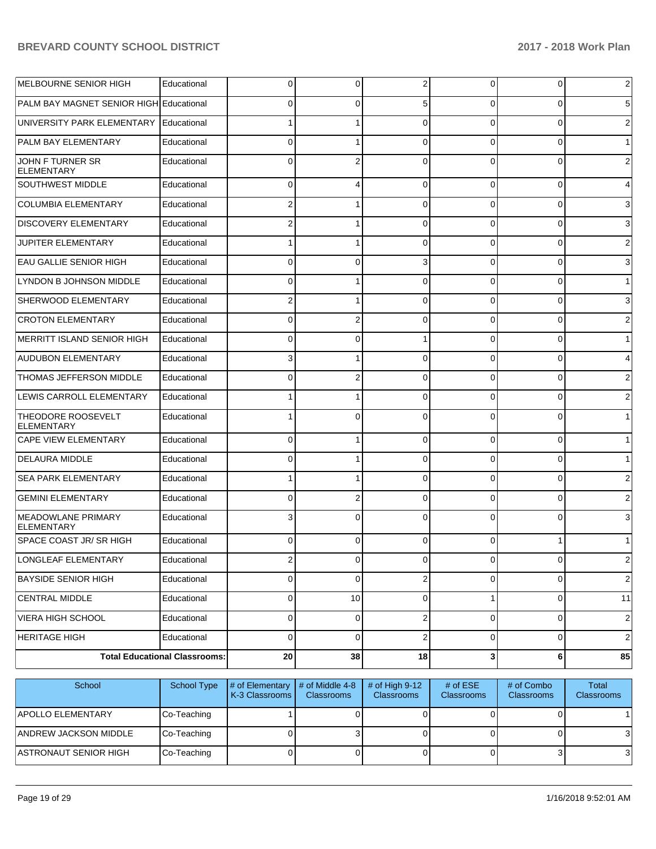| <b>MELBOURNE SENIOR HIGH</b>                   | Educational                          | $\overline{0}$ | 0              | $\overline{2}$ | 0              | 0        | 2              |
|------------------------------------------------|--------------------------------------|----------------|----------------|----------------|----------------|----------|----------------|
| PALM BAY MAGNET SENIOR HIGH Educational        |                                      | $\Omega$       | 0              | 5              | $\Omega$       | 0        | 5              |
| UNIVERSITY PARK ELEMENTARY                     | Educational                          |                |                | $\Omega$       | 0              | 0        | $\overline{c}$ |
| PALM BAY ELEMENTARY                            | Educational                          | $\Omega$       |                | $\Omega$       | $\Omega$       | 0        | $\mathbf{1}$   |
| JOHN F TURNER SR<br><b>ELEMENTARY</b>          | Educational                          | $\Omega$       | 2              | $\Omega$       | $\Omega$       | $\Omega$ | $\overline{2}$ |
| <b>SOUTHWEST MIDDLE</b>                        | Educational                          | 0              | 4              | $\Omega$       | $\overline{0}$ | 0        | 4              |
| <b>COLUMBIA ELEMENTARY</b>                     | Educational                          | 2              |                | $\Omega$       | 0              | 0        | 3              |
| <b>DISCOVERY ELEMENTARY</b>                    | Educational                          | $\overline{2}$ |                | $\Omega$       | 0              | 0        | 3              |
| JUPITER ELEMENTARY                             | Educational                          | 1              |                | $\Omega$       | 0              | 0        | $\overline{2}$ |
| <b>EAU GALLIE SENIOR HIGH</b>                  | Educational                          | 0              | 0              | 3              | 0              | 0        | 3              |
| LYNDON B JOHNSON MIDDLE                        | Educational                          | 0              |                | $\Omega$       | 0              | 0        | $\mathbf{1}$   |
| SHERWOOD ELEMENTARY                            | Educational                          | 2              |                | $\Omega$       | 0              | 0        | 3              |
| <b>CROTON ELEMENTARY</b>                       | Educational                          | 0              | $\overline{2}$ | $\Omega$       | 0              | 0        | $\overline{2}$ |
| MERRITT ISLAND SENIOR HIGH                     | Educational                          | 0              | $\Omega$       |                | 0              | 0        | $\mathbf{1}$   |
| <b>AUDUBON ELEMENTARY</b>                      | Educational                          | 3              |                | $\Omega$       | 0              | 0        | 4              |
| THOMAS JEFFERSON MIDDLE                        | Educational                          | 0              | $\overline{2}$ | $\Omega$       | 0              | 0        | $\overline{2}$ |
| LEWIS CARROLL ELEMENTARY                       | Educational                          | 1              |                | $\Omega$       | $\Omega$       | $\Omega$ | $\overline{2}$ |
| THEODORE ROOSEVELT<br><b>ELEMENTARY</b>        | Educational                          |                | 0              | $\Omega$       | $\Omega$       | 0        | $\mathbf{1}$   |
| <b>CAPE VIEW ELEMENTARY</b>                    | Educational                          | 0              |                | $\Omega$       | 0              | 0        | $\mathbf{1}$   |
| <b>DELAURA MIDDLE</b>                          | Educational                          | 0              |                | $\Omega$       | 0              | 0        | $\mathbf{1}$   |
| <b>SEA PARK ELEMENTARY</b>                     | Educational                          |                |                | $\Omega$       | 0              | 0        | $\overline{c}$ |
| <b>GEMINI ELEMENTARY</b>                       | Educational                          | 0              | 2              | $\Omega$       | $\Omega$       | 0        | $\overline{2}$ |
| <b>MEADOWLANE PRIMARY</b><br><b>ELEMENTARY</b> | Educational                          | 3              | $\Omega$       | $\Omega$       | 0              | 0        | 3              |
| SPACE COAST JR/ SR HIGH                        | Educational                          | $\Omega$       | 0              | $\Omega$       | $\Omega$       |          | $\mathbf{1}$   |
| LONGLEAF ELEMENTARY                            | Educational                          | $\mathbf{Z}$   | ο              | $\cup$         | ο              | $\sigma$ | $\overline{z}$ |
| <b>BAYSIDE SENIOR HIGH</b>                     | Educational                          | $\overline{0}$ | 0              | 2              | $\overline{0}$ | 0        | $\overline{c}$ |
| <b>CENTRAL MIDDLE</b>                          | Educational                          | $\mathbf 0$    | 10             | $\mathbf 0$    | 1              | 0        | 11             |
| VIERA HIGH SCHOOL                              | Educational                          | $\overline{0}$ | 0              | $\overline{2}$ | $\mathbf 0$    | 0        | $\overline{c}$ |
| <b>HERITAGE HIGH</b>                           | Educational                          | $\mathbf 0$    | 0              | $\overline{2}$ | $\overline{0}$ | 0        | $\overline{2}$ |
|                                                | <b>Total Educational Classrooms:</b> | ${\bf 20}$     | 38             | 18             | $\mathbf{3}$   | 6        | 85             |

| School                       | <b>School Type</b> | $\sharp$ of Elementary $\sharp$ of Middle 4-8<br>K-3 Classrooms | <b>Classrooms</b> | # of High $9-12$<br><b>Classrooms</b> | # of $ESE$<br><b>Classrooms</b> | # of Combo<br><b>Classrooms</b> | Total<br><b>Classrooms</b> |
|------------------------------|--------------------|-----------------------------------------------------------------|-------------------|---------------------------------------|---------------------------------|---------------------------------|----------------------------|
| <b>APOLLO ELEMENTARY</b>     | Co-Teaching        |                                                                 |                   |                                       |                                 |                                 |                            |
| IANDREW JACKSON MIDDLE       | Co-Teaching        |                                                                 |                   |                                       |                                 |                                 | 3                          |
| <b>ASTRONAUT SENIOR HIGH</b> | Co-Teaching        |                                                                 |                   |                                       |                                 |                                 | 3                          |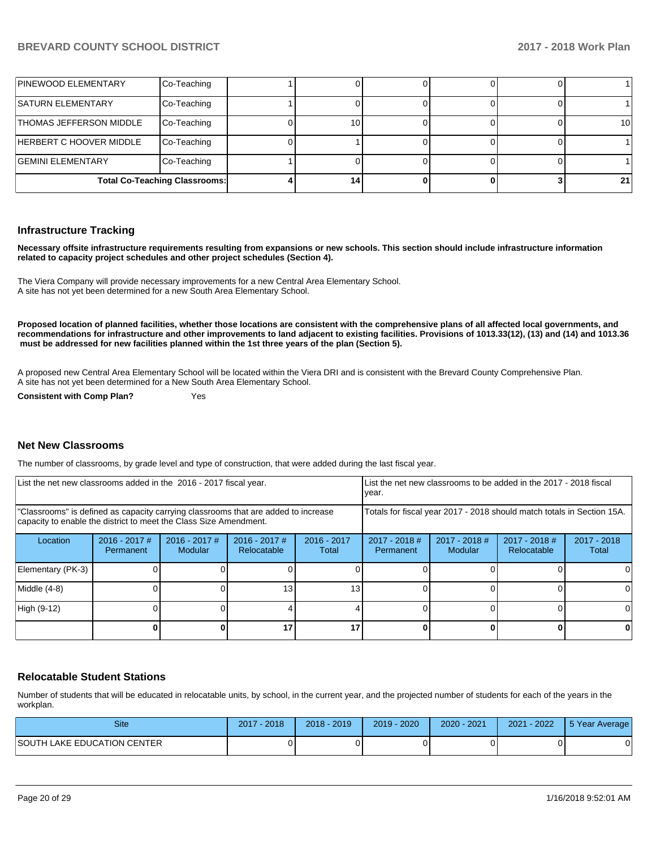| <b>PINEWOOD ELEMENTARY</b>           | Co-Teaching |  |  |                 |
|--------------------------------------|-------------|--|--|-----------------|
| <b>SATURN ELEMENTARY</b>             | Co-Teaching |  |  |                 |
| THOMAS JEFFERSON MIDDLE              | Co-Teaching |  |  | 10 <sup>1</sup> |
| HERBERT C HOOVER MIDDLE              | Co-Teaching |  |  |                 |
| <b>GEMINI ELEMENTARY</b>             | Co-Teaching |  |  |                 |
| <b>Total Co-Teaching Classrooms:</b> |             |  |  | 21              |

#### **Infrastructure Tracking**

**Necessary offsite infrastructure requirements resulting from expansions or new schools. This section should include infrastructure information related to capacity project schedules and other project schedules (Section 4).** 

The Viera Company will provide necessary improvements for a new Central Area Elementary School. A site has not yet been determined for a new South Area Elementary School.

**Proposed location of planned facilities, whether those locations are consistent with the comprehensive plans of all affected local governments, and recommendations for infrastructure and other improvements to land adjacent to existing facilities. Provisions of 1013.33(12), (13) and (14) and 1013.36 must be addressed for new facilities planned within the 1st three years of the plan (Section 5).** 

A proposed new Central Area Elementary School will be located within the Viera DRI and is consistent with the Brevard County Comprehensive Plan. A site has not yet been determined for a New South Area Elementary School.

**Consistent with Comp Plan?** Yes

## **Net New Classrooms**

The number of classrooms, by grade level and type of construction, that were added during the last fiscal year.

| List the net new classrooms added in the 2016 - 2017 fiscal year.                                                                                       |                              |                            |                                |                                                                        | year.                        |                            |                                | List the net new classrooms to be added in the 2017 - 2018 fiscal |  |  |  |
|---------------------------------------------------------------------------------------------------------------------------------------------------------|------------------------------|----------------------------|--------------------------------|------------------------------------------------------------------------|------------------------------|----------------------------|--------------------------------|-------------------------------------------------------------------|--|--|--|
| "Classrooms" is defined as capacity carrying classrooms that are added to increase<br>capacity to enable the district to meet the Class Size Amendment. |                              |                            |                                | Totals for fiscal year 2017 - 2018 should match totals in Section 15A. |                              |                            |                                |                                                                   |  |  |  |
| Location                                                                                                                                                | $2016 - 2017$ #<br>Permanent | $2016 - 2017$ #<br>Modular | $2016 - 2017$ #<br>Relocatable | $2016 - 2017$<br>Total                                                 | $2017 - 2018$ #<br>Permanent | $2017 - 2018$ #<br>Modular | $2017 - 2018$ #<br>Relocatable | $2017 - 2018$<br>Total                                            |  |  |  |
| Elementary (PK-3)                                                                                                                                       |                              |                            |                                |                                                                        |                              |                            |                                |                                                                   |  |  |  |
| Middle (4-8)                                                                                                                                            |                              |                            | 13                             | 13                                                                     |                              |                            |                                |                                                                   |  |  |  |
| High (9-12)                                                                                                                                             |                              |                            |                                |                                                                        |                              |                            |                                |                                                                   |  |  |  |
|                                                                                                                                                         |                              |                            |                                | 17                                                                     |                              |                            |                                | 0                                                                 |  |  |  |

#### **Relocatable Student Stations**

Number of students that will be educated in relocatable units, by school, in the current year, and the projected number of students for each of the years in the workplan.

| <b>Site</b>                 | 2018<br>2017 | $2018 - 2019$ | $2019 - 2020$ | $2020 - 2021$ | 2021 - 2022 | 5 Year Average |
|-----------------------------|--------------|---------------|---------------|---------------|-------------|----------------|
| SOUTH LAKE EDUCATION CENTER |              |               |               |               |             | v              |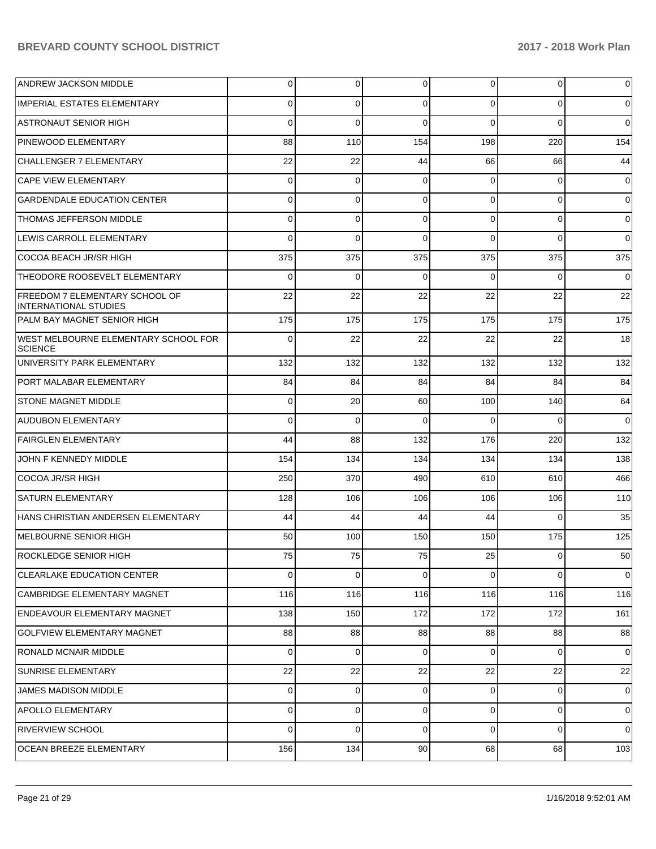| <b>ANDREW JACKSON MIDDLE</b>                                          | $\overline{0}$ | 0        | 0           | $\overline{0}$ | 0           | 0           |
|-----------------------------------------------------------------------|----------------|----------|-------------|----------------|-------------|-------------|
| <b>IMPERIAL ESTATES ELEMENTARY</b>                                    | 0              | 0        | 0           | 0              | 0           | 0           |
| ASTRONAUT SENIOR HIGH                                                 | $\Omega$       | $\Omega$ | $\mathbf 0$ | $\Omega$       | $\Omega$    | 0           |
| <b>PINEWOOD ELEMENTARY</b>                                            | 88             | 110      | 154         | 198            | 220         | 154         |
| CHALLENGER 7 ELEMENTARY                                               | 22             | 22       | 44          | 66             | 66          | 44          |
| <b>CAPE VIEW ELEMENTARY</b>                                           | $\mathbf 0$    | 0        | 0           | 0              | $\mathbf 0$ | 0           |
| <b>GARDENDALE EDUCATION CENTER</b>                                    | 0              | 0        | 0           | $\Omega$       | $\mathbf 0$ | 0           |
| <b>THOMAS JEFFERSON MIDDLE</b>                                        | 0              | 0        | 0           | 0              | $\mathbf 0$ | 0           |
| LEWIS CARROLL ELEMENTARY                                              | 0              | $\Omega$ | $\Omega$    | $\Omega$       | $\Omega$    | 0           |
| COCOA BEACH JR/SR HIGH                                                | 375            | 375      | 375         | 375            | 375         | 375         |
| THEODORE ROOSEVELT ELEMENTARY                                         | 0              | 0        | 0           | 0              | $\Omega$    | 0           |
| <b>FREEDOM 7 ELEMENTARY SCHOOL OF</b><br><b>INTERNATIONAL STUDIES</b> | 22             | 22       | 22          | 22             | 22          | 22          |
| PALM BAY MAGNET SENIOR HIGH                                           | 175            | 175      | 175         | 175            | 175         | 175         |
| <b>WEST MELBOURNE ELEMENTARY SCHOOL FOR</b><br>SCIENCE                | $\Omega$       | 22       | 22          | 22             | 22          | 18          |
| UNIVERSITY PARK ELEMENTARY                                            | 132            | 132      | 132         | 132            | 132         | 132         |
| PORT MALABAR ELEMENTARY                                               | 84             | 84       | 84          | 84             | 84          | 84          |
| <b>STONE MAGNET MIDDLE</b>                                            | 0              | 20       | 60          | 100            | 140         | 64          |
| <b>AUDUBON ELEMENTARY</b>                                             | 0              | 0        | 0           | $\Omega$       | $\Omega$    | 0           |
| <b>FAIRGLEN ELEMENTARY</b>                                            | 44             | 88       | 132         | 176            | 220         | 132         |
| JOHN F KENNEDY MIDDLE                                                 | 154            | 134      | 134         | 134            | 134         | 138         |
| COCOA JR/SR HIGH                                                      | 250            | 370      | 490         | 610            | 610         | 466         |
| <b>SATURN ELEMENTARY</b>                                              | 128            | 106      | 106         | 106            | 106         | 110         |
| HANS CHRISTIAN ANDERSEN ELEMENTARY                                    | 44             | 44       | 44          | 44             | $\Omega$    | 35          |
| MELBOURNE SENIOR HIGH                                                 | 50             | 100      | 150         | 150            | 175         | 125         |
| ROCKLEDGE SENIOR HIGH                                                 | 75I            | 75       | 75          | 25             | $\Omega$    | 50          |
| <b>CLEARLAKE EDUCATION CENTER</b>                                     | 0              | 0        | $\mathbf 0$ | 0              | $\mathbf 0$ | $\mathbf 0$ |
| CAMBRIDGE ELEMENTARY MAGNET                                           | 116            | 116      | 116         | 116            | 116         | 116         |
| ENDEAVOUR ELEMENTARY MAGNET                                           | 138            | 150      | 172         | 172            | 172         | 161         |
| <b>GOLFVIEW ELEMENTARY MAGNET</b>                                     | 88             | 88       | 88          | 88             | 88          | 88          |
| <b>RONALD MCNAIR MIDDLE</b>                                           | 0              | 0        | 0           | $\Omega$       | 0           | 0           |
| <b>SUNRISE ELEMENTARY</b>                                             | 22             | 22       | 22          | 22             | 22          | 22          |
| JAMES MADISON MIDDLE                                                  | 0              | 0        | 0           | $\Omega$       | 0           | 0           |
| <b>APOLLO ELEMENTARY</b>                                              | 0              | 0        | 0           | 0              | 0           | 0           |
| <b>RIVERVIEW SCHOOL</b>                                               | 0              | 0        | 0           | 0              | 0           | $\mathbf 0$ |
| <b>OCEAN BREEZE ELEMENTARY</b>                                        | 156            | 134      | 90          | 68             | 68          | 103         |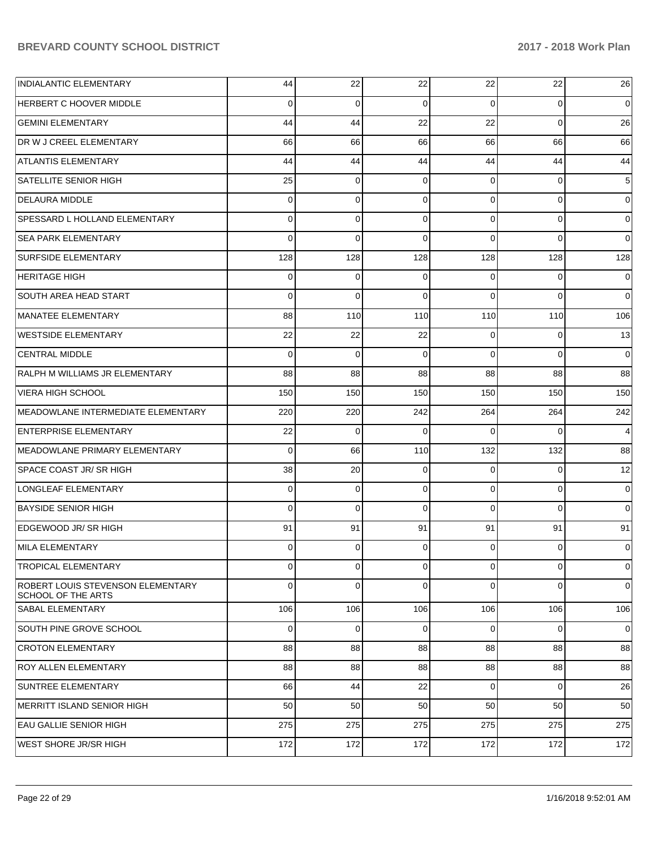| <b>INDIALANTIC ELEMENTARY</b>                                  | 44             | 22             | 22          | 22             | 22             | 26          |
|----------------------------------------------------------------|----------------|----------------|-------------|----------------|----------------|-------------|
| <b>HERBERT C HOOVER MIDDLE</b>                                 | 0              | 0              | $\Omega$    | $\Omega$       | $\Omega$       | 0           |
| <b>GEMINI ELEMENTARY</b>                                       | 44             | 44             | 22          | 22             | $\Omega$       | 26          |
| DR W J CREEL ELEMENTARY                                        | 66             | 66             | 66          | 66             | 66             | 66          |
| <b>ATLANTIS ELEMENTARY</b>                                     | 44             | 44             | 44          | 44             | 44             | 44          |
| SATELLITE SENIOR HIGH                                          | 25             | $\overline{0}$ | $\Omega$    | $\Omega$       | $\Omega$       | 5           |
| <b>DELAURA MIDDLE</b>                                          | $\Omega$       | $\overline{0}$ | $\Omega$    | $\Omega$       | $\Omega$       | $\Omega$    |
| SPESSARD L HOLLAND ELEMENTARY                                  | $\Omega$       | 0              | $\Omega$    | $\Omega$       | $\Omega$       | 0           |
| <b>SEA PARK ELEMENTARY</b>                                     | $\Omega$       | $\Omega$       | $\Omega$    | $\Omega$       | $\Omega$       | $\Omega$    |
| <b>SURFSIDE ELEMENTARY</b>                                     | 128            | 128            | 128         | 128            | 128            | 128         |
| <b>HERITAGE HIGH</b>                                           | $\Omega$       | $\Omega$       | 0           | $\Omega$       | $\Omega$       | $\Omega$    |
| SOUTH AREA HEAD START                                          | $\Omega$       | $\Omega$       | $\Omega$    | $\Omega$       | $\Omega$       | $\Omega$    |
| MANATEE ELEMENTARY                                             | 88             | 110            | 110         | 110            | 110            | 106         |
| <b>WESTSIDE ELEMENTARY</b>                                     | 22             | 22             | 22          | $\Omega$       | $\Omega$       | 13          |
| <b>CENTRAL MIDDLE</b>                                          | $\Omega$       | $\Omega$       | $\Omega$    | $\Omega$       | $\Omega$       | $\Omega$    |
| RALPH M WILLIAMS JR ELEMENTARY                                 | 88             | 88             | 88          | 88             | 88             | 88          |
| <b>VIERA HIGH SCHOOL</b>                                       | 150            | 150            | 150         | 150            | 150            | 150         |
| MEADOWLANE INTERMEDIATE ELEMENTARY                             | 220            | 220            | 242         | 264            | 264            | 242         |
| <b>ENTERPRISE ELEMENTARY</b>                                   | 22             | $\Omega$       | $\Omega$    | $\Omega$       | $\Omega$       | 4           |
| <b>MEADOWLANE PRIMARY ELEMENTARY</b>                           | $\Omega$       | 66             | 110         | 132            | 132            | 88          |
| SPACE COAST JR/ SR HIGH                                        | 38             | 20             | 0           | $\Omega$       | $\Omega$       | 12          |
| LONGLEAF ELEMENTARY                                            | $\Omega$       | $\overline{0}$ | $\Omega$    | $\Omega$       | $\Omega$       | 0           |
| <b>BAYSIDE SENIOR HIGH</b>                                     | $\Omega$       | $\Omega$       | $\Omega$    | $\Omega$       | $\Omega$       | $\Omega$    |
| EDGEWOOD JR/SR HIGH                                            | 91             | 91             | 91          | 91             | 91             | 91          |
| MILA ELEMENTARY                                                | 0              | 0              | 0           | $\Omega$       | $\Omega$       | $\Omega$    |
| <b>TROPICAL ELEMENTARY</b>                                     | $\overline{0}$ | $\overline{0}$ | $\mathbf 0$ | $\overline{0}$ | $\overline{0}$ | 0           |
| ROBERT LOUIS STEVENSON ELEMENTARY<br><b>SCHOOL OF THE ARTS</b> | $\Omega$       | $\Omega$       | $\Omega$    | $\Omega$       | $\Omega$       | $\mathbf 0$ |
| <b>SABAL ELEMENTARY</b>                                        | 106            | 106            | 106         | 106            | 106            | 106         |
| SOUTH PINE GROVE SCHOOL                                        | $\mathbf 0$    | $\mathbf{0}$   | $\mathbf 0$ | $\Omega$       | $\mathbf 0$    | 0           |
| <b>CROTON ELEMENTARY</b>                                       | 88             | 88             | 88          | 88             | 88             | 88          |
| ROY ALLEN ELEMENTARY                                           | 88             | 88             | 88          | 88             | 88             | 88          |
| <b>SUNTREE ELEMENTARY</b>                                      | 66             | 44             | 22          | $\Omega$       | $\mathbf 0$    | 26          |
| MERRITT ISLAND SENIOR HIGH                                     | 50             | 50             | 50          | 50             | 50             | 50          |
| <b>EAU GALLIE SENIOR HIGH</b>                                  | 275            | 275            | 275         | 275            | 275            | 275         |
| WEST SHORE JR/SR HIGH                                          | 172            | 172            | 172         | 172            | 172            | 172         |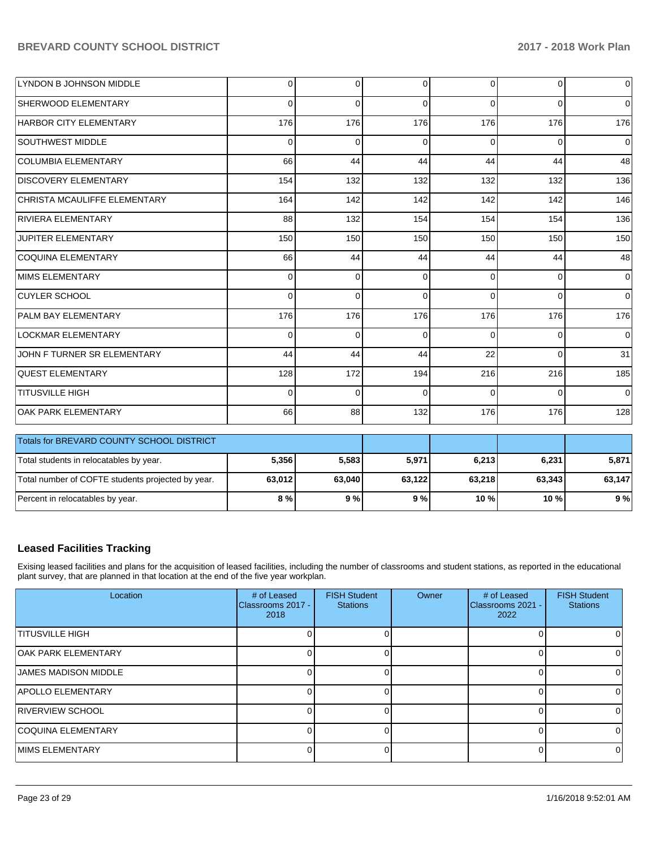| LYNDON B JOHNSON MIDDLE                           | $\Omega$ | $\overline{0}$ | $\Omega$ | $\Omega$ | $\Omega$       | $\overline{0}$ |
|---------------------------------------------------|----------|----------------|----------|----------|----------------|----------------|
| SHERWOOD ELEMENTARY                               | $\Omega$ | $\Omega$       | $\Omega$ | $\Omega$ | $\Omega$       | $\overline{0}$ |
| <b>HARBOR CITY ELEMENTARY</b>                     | 176      | 176            | 176      | 176      | 176            | 176            |
| <b>SOUTHWEST MIDDLE</b>                           | $\Omega$ | $\Omega$       | $\Omega$ | $\Omega$ | $\Omega$       | $\overline{0}$ |
| <b>COLUMBIA ELEMENTARY</b>                        | 66       | 44             | 44       | 44       | 44             | 48             |
| <b>DISCOVERY ELEMENTARY</b>                       | 154      | 132            | 132      | 132      | 132            | 136            |
| CHRISTA MCAULIFFE ELEMENTARY                      | 164      | 142            | 142      | 142      | 142            | 146            |
| RIVIERA ELEMENTARY                                | 88       | 132            | 154      | 154      | 154            | 136            |
| <b>JUPITER ELEMENTARY</b>                         | 150      | 150            | 150      | 150      | 150            | 150            |
| <b>COQUINA ELEMENTARY</b>                         | 66       | 44             | 44       | 44       | 44             | 48             |
| MIMS ELEMENTARY                                   | $\Omega$ | $\mathbf 0$    | $\Omega$ | $\Omega$ | $\overline{0}$ | $\overline{0}$ |
| <b>CUYLER SCHOOL</b>                              | $\Omega$ | $\Omega$       | $\Omega$ | $\Omega$ | $\Omega$       | $\overline{0}$ |
| PALM BAY ELEMENTARY                               | 176      | 176            | 176      | 176      | 176            | 176            |
| <b>LOCKMAR ELEMENTARY</b>                         | $\Omega$ | $\Omega$       | $\Omega$ | $\Omega$ | $\Omega$       | $\overline{0}$ |
| JOHN F TURNER SR ELEMENTARY                       | 44       | 44             | 44       | 22       | $\Omega$       | 31             |
| <b>QUEST ELEMENTARY</b>                           | 128      | 172            | 194      | 216      | 216            | 185            |
| <b>TITUSVILLE HIGH</b>                            | $\Omega$ | $\Omega$       | $\Omega$ | $\Omega$ | $\Omega$       | $\Omega$       |
| OAK PARK ELEMENTARY                               | 66       | 88             | 132      | 176      | 176            | 128            |
| Totals for BREVARD COUNTY SCHOOL DISTRICT         |          |                |          |          |                |                |
| Total students in relocatables by year.           | 5,356    | 5,583          | 5,971    | 6,213    | 6,231          | 5,871          |
| Total number of COFTE students projected by year. | 63,012   | 63,040         | 63,122   | 63,218   | 63,343         | 63,147         |
| Percent in relocatables by year.                  | 8%       | 9%             | 9%       | 10 %     | 10 %           | 9%             |

## **Leased Facilities Tracking**

Exising leased facilities and plans for the acquisition of leased facilities, including the number of classrooms and student stations, as reported in the educational plant survey, that are planned in that location at the end of the five year workplan.

| Location                    | # of Leased<br>Classrooms 2017 -<br>2018 | <b>FISH Student</b><br><b>Stations</b> | Owner | # of Leased<br>Classrooms 2021 -<br>2022 | <b>FISH Student</b><br><b>Stations</b> |
|-----------------------------|------------------------------------------|----------------------------------------|-------|------------------------------------------|----------------------------------------|
| <b>TITUSVILLE HIGH</b>      |                                          |                                        |       |                                          |                                        |
| <b>OAK PARK ELEMENTARY</b>  |                                          |                                        |       |                                          |                                        |
| <b>JAMES MADISON MIDDLE</b> |                                          |                                        |       |                                          |                                        |
| <b>APOLLO ELEMENTARY</b>    |                                          |                                        |       |                                          |                                        |
| <b>RIVERVIEW SCHOOL</b>     |                                          |                                        |       |                                          |                                        |
| <b>COQUINA ELEMENTARY</b>   |                                          |                                        |       |                                          |                                        |
| <b>IMIMS ELEMENTARY</b>     |                                          |                                        |       | ΩI                                       | 0                                      |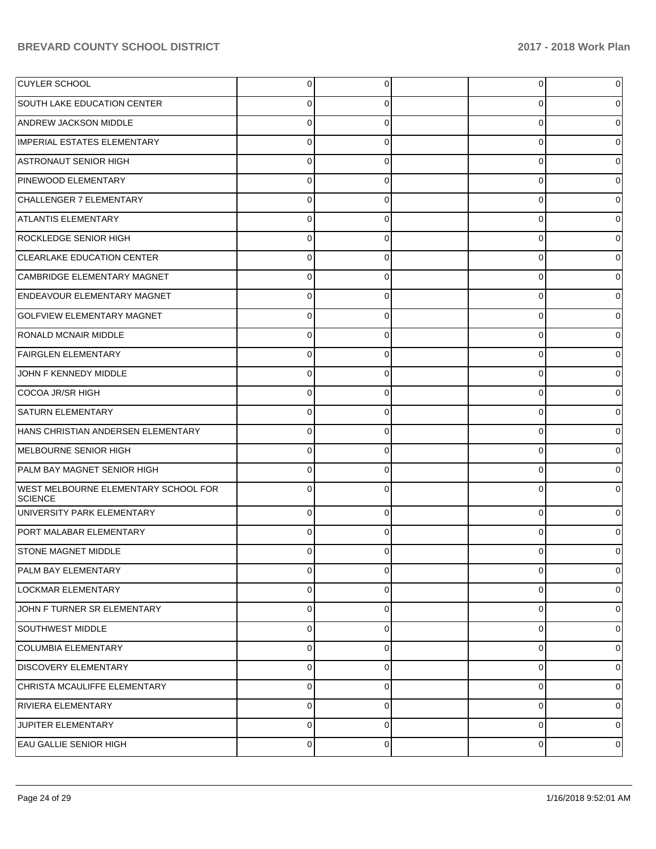| <b>CUYLER SCHOOL</b>                                   | $\Omega$    | 0           | $\overline{0}$ |   |
|--------------------------------------------------------|-------------|-------------|----------------|---|
| <b>SOUTH LAKE EDUCATION CENTER</b>                     | 0           | 0           | 0              |   |
| <b>ANDREW JACKSON MIDDLE</b>                           | $\Omega$    | 0           | 0              |   |
| <b>IMPERIAL ESTATES ELEMENTARY</b>                     | 0           | 0           | 0              |   |
| <b>ASTRONAUT SENIOR HIGH</b>                           | $\Omega$    | 0           | 0              |   |
| PINEWOOD ELEMENTARY                                    | 0           | 0           | 0              |   |
| CHALLENGER 7 ELEMENTARY                                | $\Omega$    | 0           | 0              |   |
| <b>ATLANTIS ELEMENTARY</b>                             | $\Omega$    | 0           | 0              |   |
| <b>ROCKLEDGE SENIOR HIGH</b>                           | $\Omega$    | 0           | 0              |   |
| <b>CLEARLAKE EDUCATION CENTER</b>                      | 0           | 0           | 0              |   |
| CAMBRIDGE ELEMENTARY MAGNET                            | $\Omega$    | 0           | 0              |   |
| ENDEAVOUR ELEMENTARY MAGNET                            | $\Omega$    | 0           | 0              |   |
| <b>GOLFVIEW ELEMENTARY MAGNET</b>                      | $\Omega$    | 0           | 0              |   |
| <b>RONALD MCNAIR MIDDLE</b>                            | 0           | 0           | 0              |   |
| <b>FAIRGLEN ELEMENTARY</b>                             | $\Omega$    | 0           | 0              |   |
| JOHN F KENNEDY MIDDLE                                  | $\Omega$    | 0           | 0              |   |
| COCOA JR/SR HIGH                                       | $\Omega$    | 0           | 0              |   |
| <b>SATURN ELEMENTARY</b>                               | $\Omega$    | 0           | 0              |   |
| HANS CHRISTIAN ANDERSEN ELEMENTARY                     | $\Omega$    | 0           | 0              |   |
| MELBOURNE SENIOR HIGH                                  | $\Omega$    | 0           | 0              |   |
| PALM BAY MAGNET SENIOR HIGH                            | $\Omega$    | 0           | 0              |   |
| WEST MELBOURNE ELEMENTARY SCHOOL FOR<br><b>SCIENCE</b> | $\Omega$    | 0           | 0              |   |
| UNIVERSITY PARK ELEMENTARY                             | $\Omega$    | 0           | 0              |   |
| PORT MALABAR ELEMENTARY                                | $\Omega$    | $\Omega$    | $\Omega$       |   |
| <b>STONE MAGNET MIDDLE</b>                             | $\Omega$    | 0           | 0              | 0 |
| <b>PALM BAY ELEMENTARY</b>                             | $\Omega$    | $\Omega$    | 0              | 0 |
| LOCKMAR ELEMENTARY                                     | $\Omega$    | 0           | $\mathbf 0$    | 0 |
| JOHN F TURNER SR ELEMENTARY                            | $\Omega$    | 0           | 0              | 0 |
| SOUTHWEST MIDDLE                                       | $\Omega$    | 0           | $\mathbf 0$    | 0 |
| <b>COLUMBIA ELEMENTARY</b>                             | $\Omega$    | $\mathbf 0$ | $\mathbf 0$    | 0 |
| <b>DISCOVERY ELEMENTARY</b>                            | $\mathbf 0$ | 0           | $\mathbf 0$    | 0 |
| CHRISTA MCAULIFFE ELEMENTARY                           | $\Omega$    | 0           | $\mathbf 0$    | 0 |
| RIVIERA ELEMENTARY                                     | $\Omega$    | 0           | 0              | 0 |
| JUPITER ELEMENTARY                                     | $\Omega$    | 0           | $\mathbf 0$    | 0 |
| <b>EAU GALLIE SENIOR HIGH</b>                          | 0           | $\mathbf 0$ | 0              | 0 |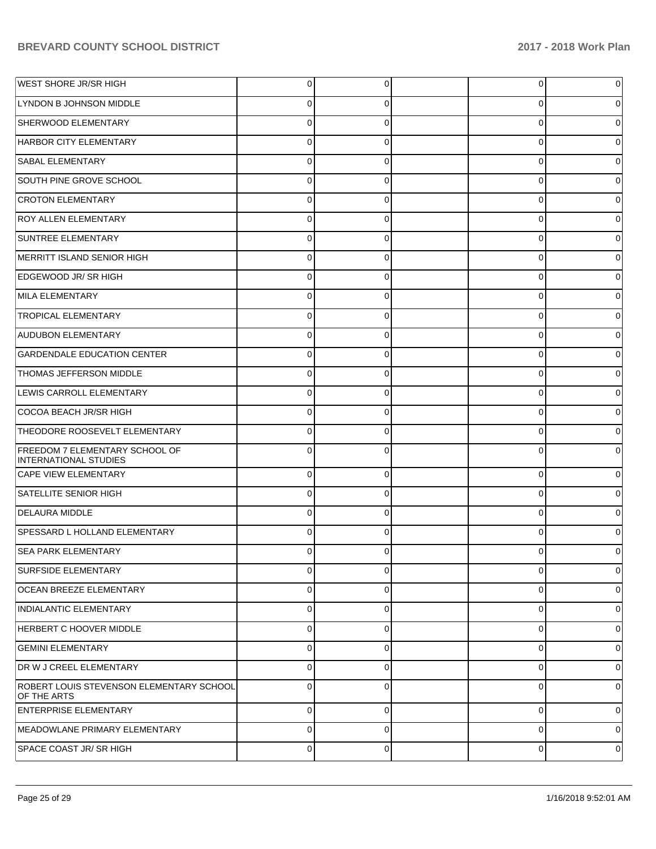| WEST SHORE JR/SR HIGH                                          | $\overline{0}$ | 0        | 0           | 0        |
|----------------------------------------------------------------|----------------|----------|-------------|----------|
| LYNDON B JOHNSON MIDDLE                                        | 0              | 0        | 0           | 0        |
| SHERWOOD ELEMENTARY                                            | 0              | 0        | 0           | 0        |
| <b>HARBOR CITY ELEMENTARY</b>                                  | $\Omega$       | 0        | 0           | 0        |
| <b>SABAL ELEMENTARY</b>                                        | 0              | 0        | 0           | 0        |
| SOUTH PINE GROVE SCHOOL                                        | 0              | 0        | 0           | 0        |
| <b>CROTON ELEMENTARY</b>                                       | 0              | 0        | 0           | 0        |
| <b>ROY ALLEN ELEMENTARY</b>                                    | $\Omega$       | 0        | 0           | 0        |
| <b>SUNTREE ELEMENTARY</b>                                      | 0              | 0        | 0           | 0        |
| MERRITT ISLAND SENIOR HIGH                                     | $\Omega$       | 0        | 0           | 0        |
| EDGEWOOD JR/ SR HIGH                                           | 0              | 0        | 0           | 0        |
| MILA ELEMENTARY                                                | $\Omega$       | 0        | 0           | 0        |
| <b>TROPICAL ELEMENTARY</b>                                     | $\Omega$       | 0        | 0           | 0        |
| <b>AUDUBON ELEMENTARY</b>                                      | $\Omega$       | 0        | 0           | 0        |
| <b>GARDENDALE EDUCATION CENTER</b>                             | 0              | 0        | 0           | 0        |
| <b>THOMAS JEFFERSON MIDDLE</b>                                 | 0              | 0        | 0           | 0        |
| LEWIS CARROLL ELEMENTARY                                       | $\Omega$       | 0        | 0           | 0        |
| COCOA BEACH JR/SR HIGH                                         | $\Omega$       | 0        | 0           | 0        |
| THEODORE ROOSEVELT ELEMENTARY                                  | $\Omega$       | 0        | 0           | 0        |
| <b>FREEDOM 7 ELEMENTARY SCHOOL OF</b><br>INTERNATIONAL STUDIES | $\Omega$       | 0        | 0           | 0        |
| <b>CAPE VIEW ELEMENTARY</b>                                    | $\Omega$       | $\Omega$ | $\mathbf 0$ | 0        |
| <b>SATELLITE SENIOR HIGH</b>                                   | $\Omega$       | $\Omega$ | $\Omega$    |          |
| <b>DELAURA MIDDLE</b>                                          | $\Omega$       | $\Omega$ | $\mathbf 0$ |          |
| SPESSARD L HOLLAND ELEMENTARY                                  | $\Omega$       | $\Omega$ | $\Omega$    |          |
| <b>SEA PARK ELEMENTARY</b>                                     | $\Omega$       | $\Omega$ | 0           | 0        |
| SURFSIDE ELEMENTARY                                            | $\Omega$       | $\Omega$ | $\mathbf 0$ | $\Omega$ |
| <b>OCEAN BREEZE ELEMENTARY</b>                                 | $\Omega$       | $\Omega$ | $\mathbf 0$ | $\Omega$ |
| <b>INDIALANTIC ELEMENTARY</b>                                  | $\Omega$       | $\Omega$ | $\mathbf 0$ | $\Omega$ |
| HERBERT C HOOVER MIDDLE                                        | $\Omega$       | $\Omega$ | $\mathbf 0$ | $\Omega$ |
| <b>GEMINI ELEMENTARY</b>                                       | $\Omega$       | $\Omega$ | $\mathbf 0$ | $\Omega$ |
| DR W J CREEL ELEMENTARY                                        | $\Omega$       | $\Omega$ | $\mathbf 0$ | $\Omega$ |
| ROBERT LOUIS STEVENSON ELEMENTARY SCHOOL<br>OF THE ARTS        | $\Omega$       | $\Omega$ | $\Omega$    | $\Omega$ |
| <b>ENTERPRISE ELEMENTARY</b>                                   | 0              | 0        | 0           | 0        |
| MEADOWLANE PRIMARY ELEMENTARY                                  | $\Omega$       | 0        | 0           | 0        |
| SPACE COAST JR/ SR HIGH                                        | 0              | 0        | 0           | 0        |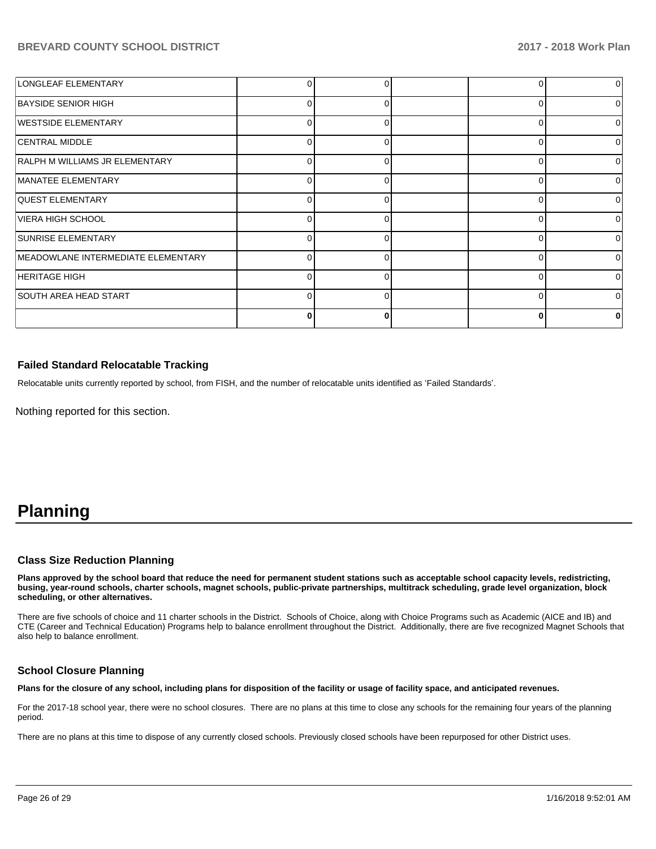| LONGLEAF ELEMENTARY                |          |   |   | $\overline{0}$ |
|------------------------------------|----------|---|---|----------------|
| <b>BAYSIDE SENIOR HIGH</b>         | 0        | 0 |   | 0              |
| <b>WESTSIDE ELEMENTARY</b>         | 0        |   | ∩ | O.             |
| <b>CENTRAL MIDDLE</b>              | U        |   |   | U.             |
| RALPH M WILLIAMS JR ELEMENTARY     | ∩        |   |   | 0              |
| MANATEE ELEMENTARY                 | $\Omega$ | n | ∩ | ΩI             |
| <b>QUEST ELEMENTARY</b>            | n        |   |   | 0              |
| VIERA HIGH SCHOOL                  | O        |   | C | 0              |
| <b>SUNRISE ELEMENTARY</b>          | $\Omega$ | 0 |   | 0              |
| MEADOWLANE INTERMEDIATE ELEMENTARY | 0        | 0 | ∩ | $\Omega$       |
| HERITAGE HIGH                      | 0        |   |   | U              |
| SOUTH AREA HEAD START              | ∩        |   |   | <sup>0</sup>   |
|                                    | 0        | ŋ | ŋ | U              |

#### **Failed Standard Relocatable Tracking**

Relocatable units currently reported by school, from FISH, and the number of relocatable units identified as 'Failed Standards'.

Nothing reported for this section.

# **Planning**

#### **Class Size Reduction Planning**

**Plans approved by the school board that reduce the need for permanent student stations such as acceptable school capacity levels, redistricting, busing, year-round schools, charter schools, magnet schools, public-private partnerships, multitrack scheduling, grade level organization, block scheduling, or other alternatives.**

There are five schools of choice and 11 charter schools in the District. Schools of Choice, along with Choice Programs such as Academic (AICE and IB) and CTE (Career and Technical Education) Programs help to balance enrollment throughout the District. Additionally, there are five recognized Magnet Schools that also help to balance enrollment.

#### **School Closure Planning**

**Plans for the closure of any school, including plans for disposition of the facility or usage of facility space, and anticipated revenues.** 

For the 2017-18 school year, there were no school closures. There are no plans at this time to close any schools for the remaining four years of the planning period.

There are no plans at this time to dispose of any currently closed schools. Previously closed schools have been repurposed for other District uses.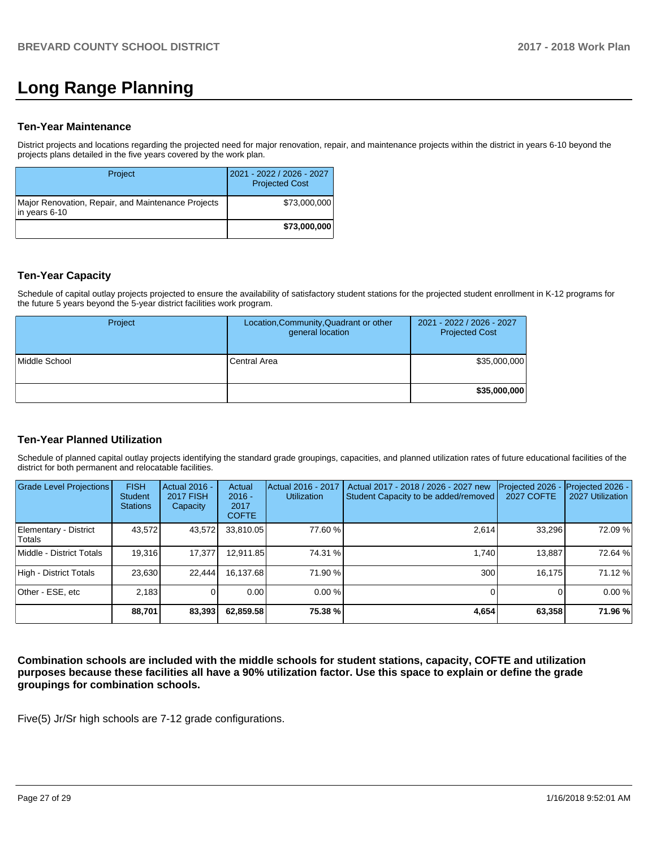# **Long Range Planning**

## **Ten-Year Maintenance**

District projects and locations regarding the projected need for major renovation, repair, and maintenance projects within the district in years 6-10 beyond the projects plans detailed in the five years covered by the work plan.

| Project                                                             | 2021 - 2022 / 2026 - 2027<br><b>Projected Cost</b> |
|---------------------------------------------------------------------|----------------------------------------------------|
| Major Renovation, Repair, and Maintenance Projects<br>in years 6-10 | \$73,000,000                                       |
|                                                                     | \$73,000,000                                       |

### **Ten-Year Capacity**

Schedule of capital outlay projects projected to ensure the availability of satisfactory student stations for the projected student enrollment in K-12 programs for the future 5 years beyond the 5-year district facilities work program.

| Project       | Location, Community, Quadrant or other<br>general location | 2021 - 2022 / 2026 - 2027<br><b>Projected Cost</b> |
|---------------|------------------------------------------------------------|----------------------------------------------------|
| Middle School | <b>Central Area</b>                                        | \$35,000,000                                       |
|               |                                                            | \$35,000,000                                       |

## **Ten-Year Planned Utilization**

Schedule of planned capital outlay projects identifying the standard grade groupings, capacities, and planned utilization rates of future educational facilities of the district for both permanent and relocatable facilities.

| <b>Grade Level Projections</b>  | <b>FISH</b><br><b>Student</b><br><b>Stations</b> | Actual 2016 -<br><b>2017 FISH</b><br>Capacity | Actual<br>$2016 -$<br>2017<br><b>COFTE</b> | Actual 2016 - 2017<br><b>Utilization</b> | Actual 2017 - 2018 / 2026 - 2027 new<br>Student Capacity to be added/removed | Projected 2026<br><b>2027 COFTE</b> | Projected 2026 -<br>2027 Utilization |
|---------------------------------|--------------------------------------------------|-----------------------------------------------|--------------------------------------------|------------------------------------------|------------------------------------------------------------------------------|-------------------------------------|--------------------------------------|
| Elementary - District<br>Totals | 43,572                                           | 43,572                                        | 33,810.05                                  | 77.60 %                                  | 2,614                                                                        | 33,296                              | 72.09%                               |
| Middle - District Totals        | 19.316                                           | 17.377                                        | 12,911.85                                  | 74.31 %                                  | 1.740                                                                        | 13.887                              | 72.64 %                              |
| High - District Totals          | 23.630                                           | 22.444                                        | 16.137.68                                  | 71.90 %                                  | 300                                                                          | 16.175                              | 71.12 %                              |
| Other - ESE, etc                | 2.183                                            |                                               | 0.00                                       | 0.00%                                    |                                                                              |                                     | 0.00%                                |
|                                 | 88,701                                           | 83,393                                        | 62.859.58                                  | 75.38 %                                  | 4,654                                                                        | 63,358                              | 71.96 %                              |

**Combination schools are included with the middle schools for student stations, capacity, COFTE and utilization purposes because these facilities all have a 90% utilization factor. Use this space to explain or define the grade groupings for combination schools.** 

Five(5) Jr/Sr high schools are 7-12 grade configurations.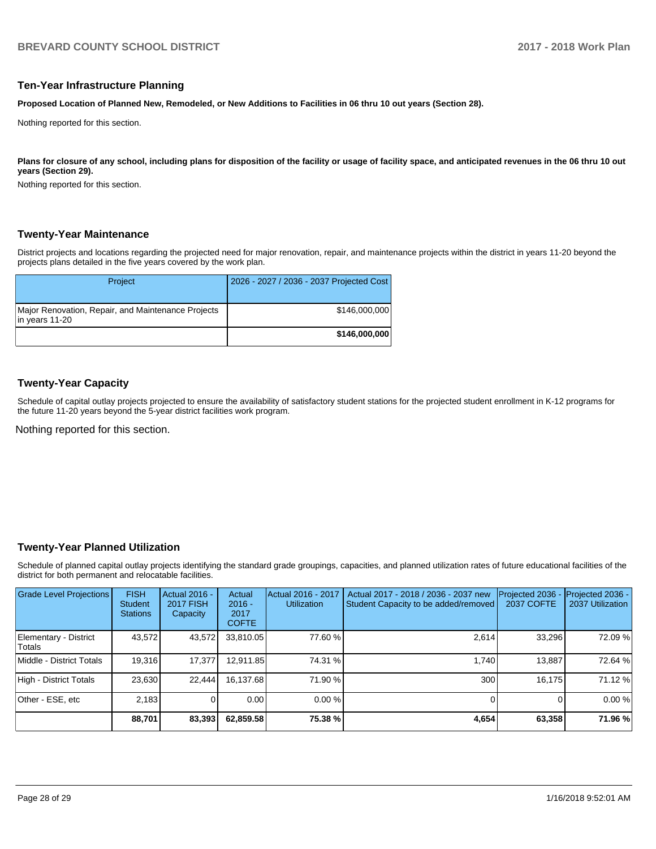#### **Ten-Year Infrastructure Planning**

**Proposed Location of Planned New, Remodeled, or New Additions to Facilities in 06 thru 10 out years (Section 28).**

Nothing reported for this section.

Plans for closure of any school, including plans for disposition of the facility or usage of facility space, and anticipated revenues in the 06 thru 10 out **years (Section 29).**

Nothing reported for this section.

#### **Twenty-Year Maintenance**

District projects and locations regarding the projected need for major renovation, repair, and maintenance projects within the district in years 11-20 beyond the projects plans detailed in the five years covered by the work plan.

| Project                                                              | 2026 - 2027 / 2036 - 2037 Projected Cost |
|----------------------------------------------------------------------|------------------------------------------|
| Major Renovation, Repair, and Maintenance Projects<br>in years 11-20 | \$146,000,000                            |
|                                                                      | \$146,000,000                            |

### **Twenty-Year Capacity**

Schedule of capital outlay projects projected to ensure the availability of satisfactory student stations for the projected student enrollment in K-12 programs for the future 11-20 years beyond the 5-year district facilities work program.

Nothing reported for this section.

#### **Twenty-Year Planned Utilization**

Schedule of planned capital outlay projects identifying the standard grade groupings, capacities, and planned utilization rates of future educational facilities of the district for both permanent and relocatable facilities.

| <b>Grade Level Projections</b>         | <b>FISH</b><br><b>Student</b><br><b>Stations</b> | Actual 2016 -<br><b>2017 FISH</b><br>Capacity | Actual<br>$2016 -$<br>2017<br><b>COFTE</b> | Actual 2016 - 2017<br><b>Utilization</b> | Actual 2017 - 2018 / 2036 - 2037 new<br>Student Capacity to be added/removed | Projected 2036<br>2037 COFTE | Projected 2036 -<br>2037 Utilization |
|----------------------------------------|--------------------------------------------------|-----------------------------------------------|--------------------------------------------|------------------------------------------|------------------------------------------------------------------------------|------------------------------|--------------------------------------|
| Elementary - District<br><b>Totals</b> | 43,572                                           | 43,572                                        | 33.810.05                                  | 77.60 %                                  | 2.614                                                                        | 33,296                       | 72.09%                               |
| Middle - District Totals               | 19.316                                           | 17.377                                        | 12.911.85                                  | 74.31 %                                  | 1.740                                                                        | 13.887                       | 72.64 %                              |
| High - District Totals                 | 23,630                                           | 22.444                                        | 16.137.68                                  | 71.90 %                                  | 300                                                                          | 16.175                       | 71.12 %                              |
| Other - ESE, etc                       | 2.183                                            |                                               | 0.00                                       | 0.00%                                    |                                                                              |                              | 0.00%                                |
|                                        | 88,701                                           | 83,393                                        | 62,859.58                                  | 75.38 %                                  | 4,654                                                                        | 63,358                       | 71.96 %                              |